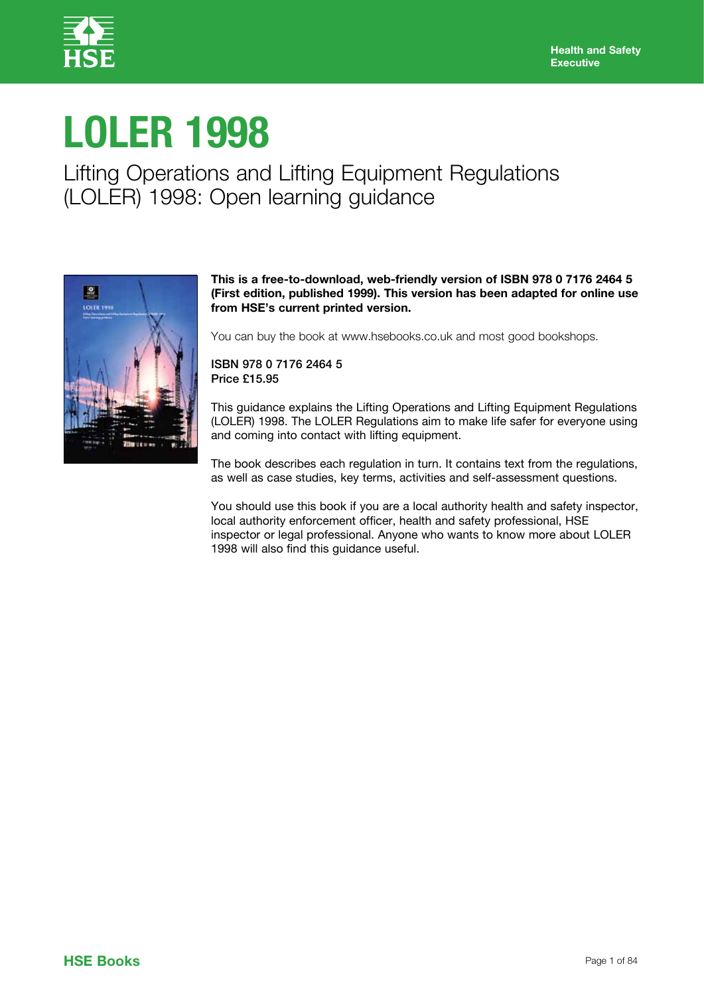

# **LOLER 1998**

Lifting Operations and Lifting Equipment Regulations (LOLER) 1998: Open learning guidance



# **This is a free-to-download, web-friendly version of ISBN 978 0 7176 2464 5 (First edition, published 1999). This version has been adapted for online use from HSE's current printed version.**

You can buy the book at www.hsebooks.co.uk and most good bookshops.

ISBN 978 0 7176 2464 5 Price £15.95

This guidance explains the Lifting Operations and Lifting Equipment Regulations (LOLER) 1998. The LOLER Regulations aim to make life safer for everyone using and coming into contact with lifting equipment.

The book describes each regulation in turn. It contains text from the regulations, as well as case studies, key terms, activities and self-assessment questions.

You should use this book if you are a local authority health and safety inspector, local authority enforcement officer, health and safety professional, HSE inspector or legal professional. Anyone who wants to know more about LOLER 1998 will also find this guidance useful.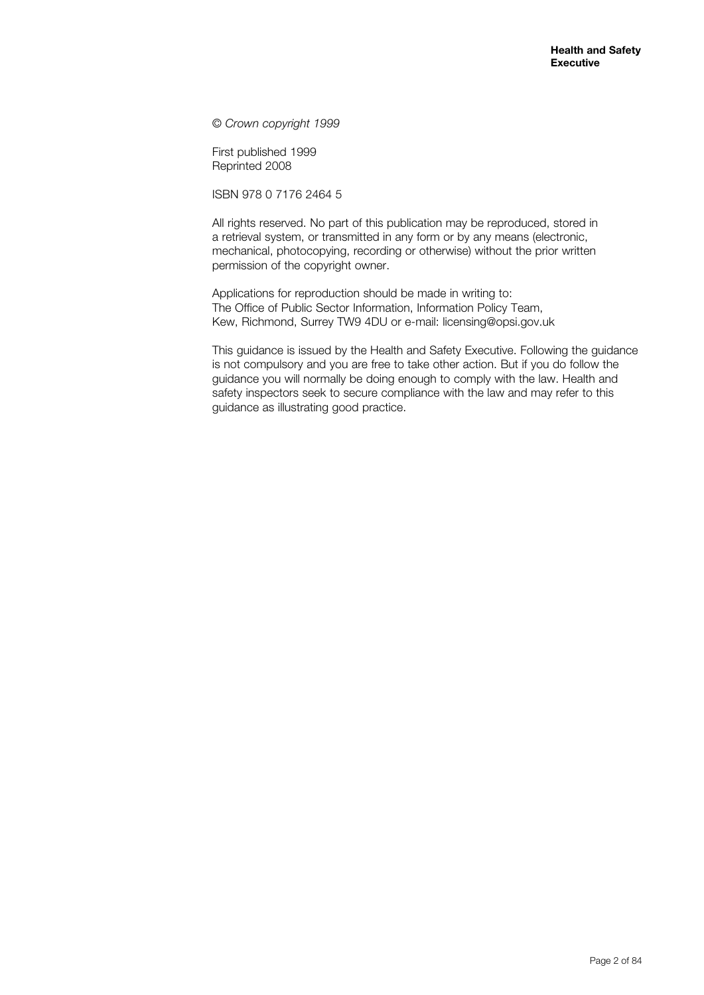© *Crown copyright 1999*

First published 1999 Reprinted 2008

ISBN 978 0 7176 2464 5

All rights reserved. No part of this publication may be reproduced, stored in a retrieval system, or transmitted in any form or by any means (electronic, mechanical, photocopying, recording or otherwise) without the prior written permission of the copyright owner.

Applications for reproduction should be made in writing to: The Office of Public Sector Information, Information Policy Team, Kew, Richmond, Surrey TW9 4DU or e-mail: licensing@opsi.gov.uk

This guidance is issued by the Health and Safety Executive. Following the guidance is not compulsory and you are free to take other action. But if you do follow the guidance you will normally be doing enough to comply with the law. Health and safety inspectors seek to secure compliance with the law and may refer to this guidance as illustrating good practice.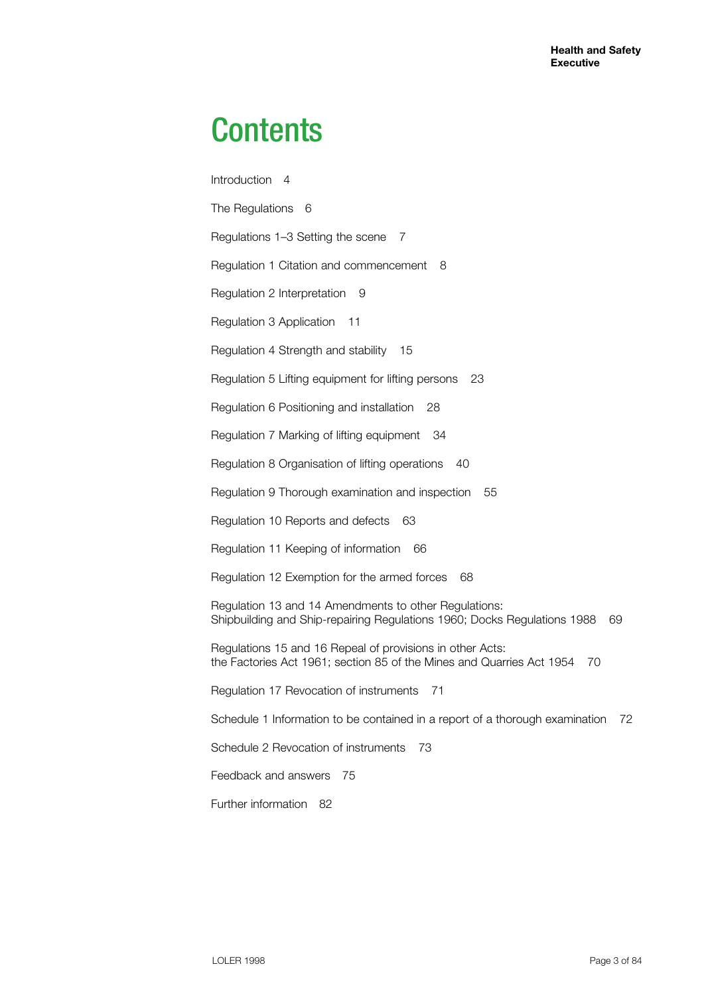# **Contents**

Introduction 4 The Regulations 6 Regulations 1–3 Setting the scene 7 Regulation 1 Citation and commencement 8 Regulation 2 Interpretation 9 Regulation 3 Application 11 Regulation 4 Strength and stability 15 Regulation 5 Lifting equipment for lifting persons 23 Regulation 6 Positioning and installation 28 Regulation 7 Marking of lifting equipment 34 Regulation 8 Organisation of lifting operations 40 Regulation 9 Thorough examination and inspection 55 Regulation 10 Reports and defects 63 Regulation 11 Keeping of information 66 Regulation 12 Exemption for the armed forces 68 Regulation 13 and 14 Amendments to other Regulations: Shipbuilding and Ship-repairing Regulations 1960; Docks Regulations 1988 69 Regulations 15 and 16 Repeal of provisions in other Acts: the Factories Act 1961; section 85 of the Mines and Quarries Act 1954 70 Regulation 17 Revocation of instruments 71 Schedule 1 Information to be contained in a report of a thorough examination 72 Schedule 2 Revocation of instruments 73 Feedback and answers 75 Further information 82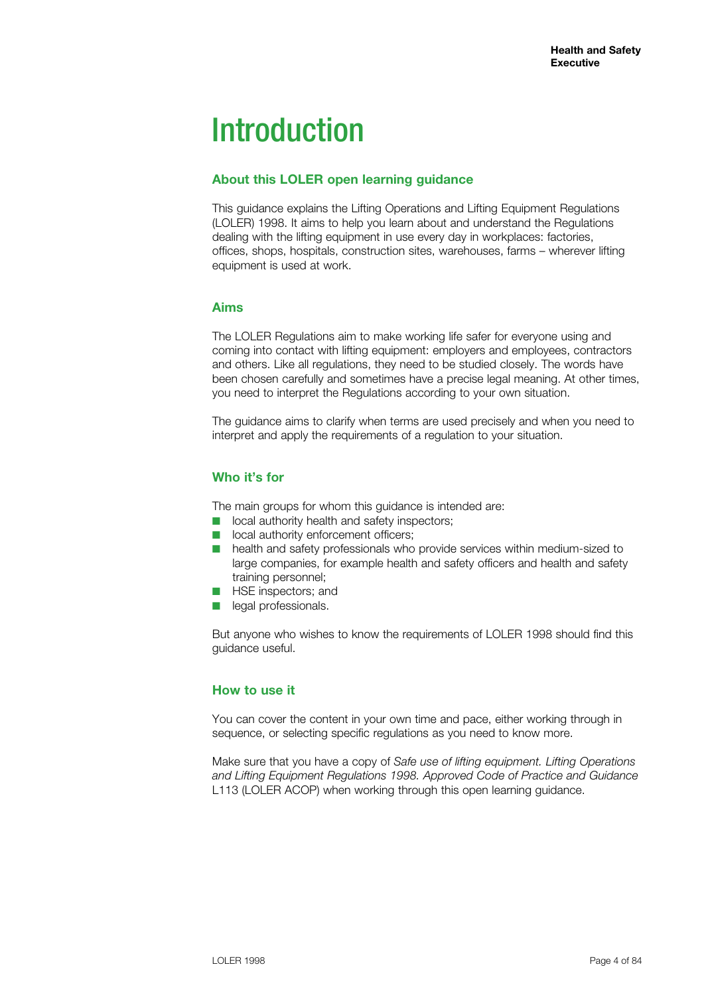# Introduction

# **About this LOLER open learning guidance**

This guidance explains the Lifting Operations and Lifting Equipment Regulations (LOLER) 1998. It aims to help you learn about and understand the Regulations dealing with the lifting equipment in use every day in workplaces: factories, offices, shops, hospitals, construction sites, warehouses, farms – wherever lifting equipment is used at work.

# **Aims**

The LOLER Regulations aim to make working life safer for everyone using and coming into contact with lifting equipment: employers and employees, contractors and others. Like all regulations, they need to be studied closely. The words have been chosen carefully and sometimes have a precise legal meaning. At other times, you need to interpret the Regulations according to your own situation.

The guidance aims to clarify when terms are used precisely and when you need to interpret and apply the requirements of a regulation to your situation.

# **Who it's for**

The main groups for whom this guidance is intended are:

- $\blacksquare$  local authority health and safety inspectors;
- **n** local authority enforcement officers;
- health and safety professionals who provide services within medium-sized to large companies, for example health and safety officers and health and safety training personnel;
- **n** HSE inspectors; and
- **n** legal professionals.

But anyone who wishes to know the requirements of LOLER 1998 should find this guidance useful.

# **How to use it**

You can cover the content in your own time and pace, either working through in sequence, or selecting specific regulations as you need to know more.

Make sure that you have a copy of *Safe use of lifting equipment. Lifting Operations and Lifting Equipment Regulations 1998. Approved Code of Practice and Guidance* L113 (LOLER ACOP) when working through this open learning guidance.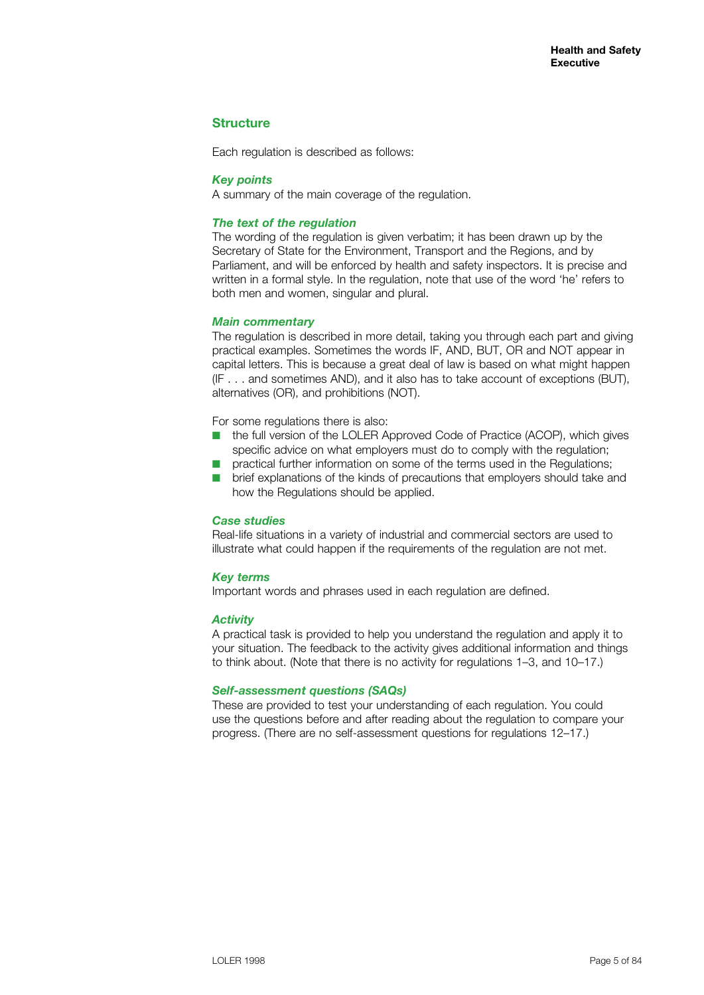# **Structure**

Each regulation is described as follows:

#### *Key points*

A summary of the main coverage of the regulation.

#### *The text of the regulation*

The wording of the regulation is given verbatim; it has been drawn up by the Secretary of State for the Environment, Transport and the Regions, and by Parliament, and will be enforced by health and safety inspectors. It is precise and written in a formal style. In the regulation, note that use of the word 'he' refers to both men and women, singular and plural.

#### *Main commentary*

The regulation is described in more detail, taking you through each part and giving practical examples. Sometimes the words IF, AND, BUT, OR and NOT appear in capital letters. This is because a great deal of law is based on what might happen (IF . . . and sometimes AND), and it also has to take account of exceptions (BUT), alternatives (OR), and prohibitions (NOT).

For some regulations there is also:

- the full version of the LOLER Approved Code of Practice (ACOP), which gives specific advice on what employers must do to comply with the regulation;
- practical further information on some of the terms used in the Regulations;
- brief explanations of the kinds of precautions that employers should take and how the Regulations should be applied.

#### *Case studies*

Real-life situations in a variety of industrial and commercial sectors are used to illustrate what could happen if the requirements of the regulation are not met.

#### *Key terms*

Important words and phrases used in each regulation are defined.

#### *Activity*

A practical task is provided to help you understand the regulation and apply it to your situation. The feedback to the activity gives additional information and things to think about. (Note that there is no activity for regulations 1–3, and 10–17.)

#### *Self-assessment questions (SAQs)*

These are provided to test your understanding of each regulation. You could use the questions before and after reading about the regulation to compare your progress. (There are no self-assessment questions for regulations 12–17.)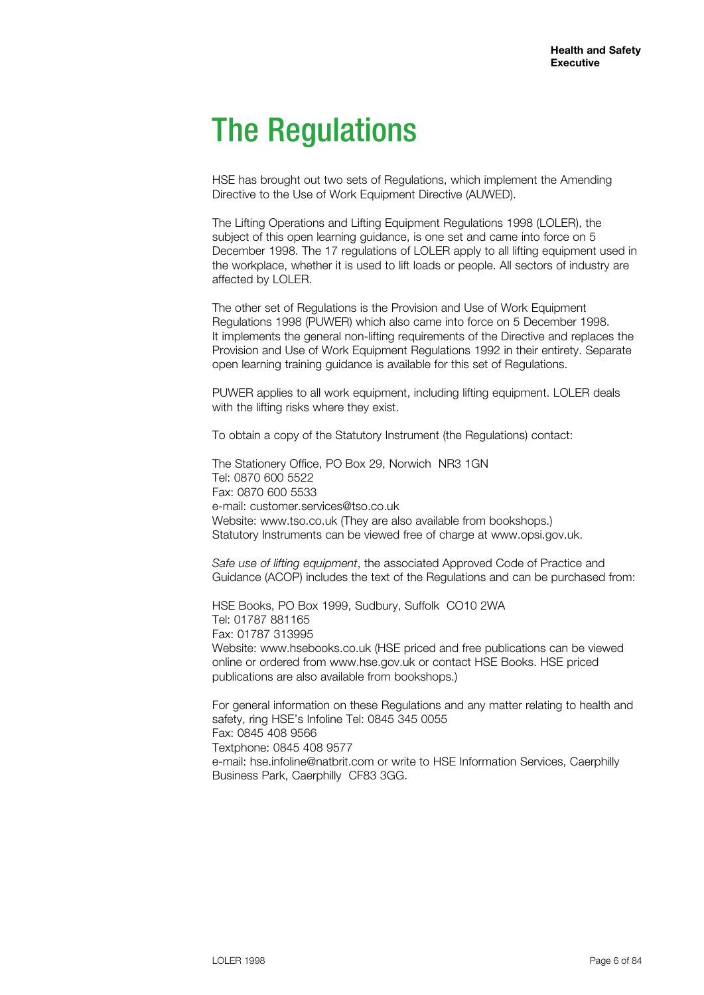# The Regulations

HSE has brought out two sets of Regulations, which implement the Amending Directive to the Use of Work Equipment Directive (AUWED).

The Lifting Operations and Lifting Equipment Regulations 1998 (LOLER), the subject of this open learning guidance, is one set and came into force on 5 December 1998. The 17 regulations of LOLER apply to all lifting equipment used in the workplace, whether it is used to lift loads or people. All sectors of industry are affected by LOLER.

The other set of Regulations is the Provision and Use of Work Equipment Regulations 1998 (PUWER) which also came into force on 5 December 1998. It implements the general non-lifting requirements of the Directive and replaces the Provision and Use of Work Equipment Regulations 1992 in their entirety. Separate open learning training guidance is available for this set of Regulations.

PUWER applies to all work equipment, including lifting equipment. LOLER deals with the lifting risks where they exist.

To obtain a copy of the Statutory Instrument (the Regulations) contact:

The Stationery Office, PO Box 29, Norwich NR3 1GN Tel: 0870 600 5522 Fax: 0870 600 5533 e-mail: customer.services@tso.co.uk Website: www.tso.co.uk (They are also available from bookshops.) Statutory Instruments can be viewed free of charge at www.opsi.gov.uk.

*Safe use of lifting equipment*, the associated Approved Code of Practice and Guidance (ACOP) includes the text of the Regulations and can be purchased from:

HSE Books, PO Box 1999, Sudbury, Suffolk CO10 2WA Tel: 01787 881165 Fax: 01787 313995 Website: www.hsebooks.co.uk (HSE priced and free publications can be viewed online or ordered from www.hse.gov.uk or contact HSE Books. HSE priced publications are also available from bookshops.)

For general information on these Regulations and any matter relating to health and safety, ring HSE's Infoline Tel: 0845 345 0055 Fax: 0845 408 9566 Textphone: 0845 408 9577 e-mail: hse.infoline@natbrit.com or write to HSE Information Services, Caerphilly Business Park, Caerphilly CF83 3GG.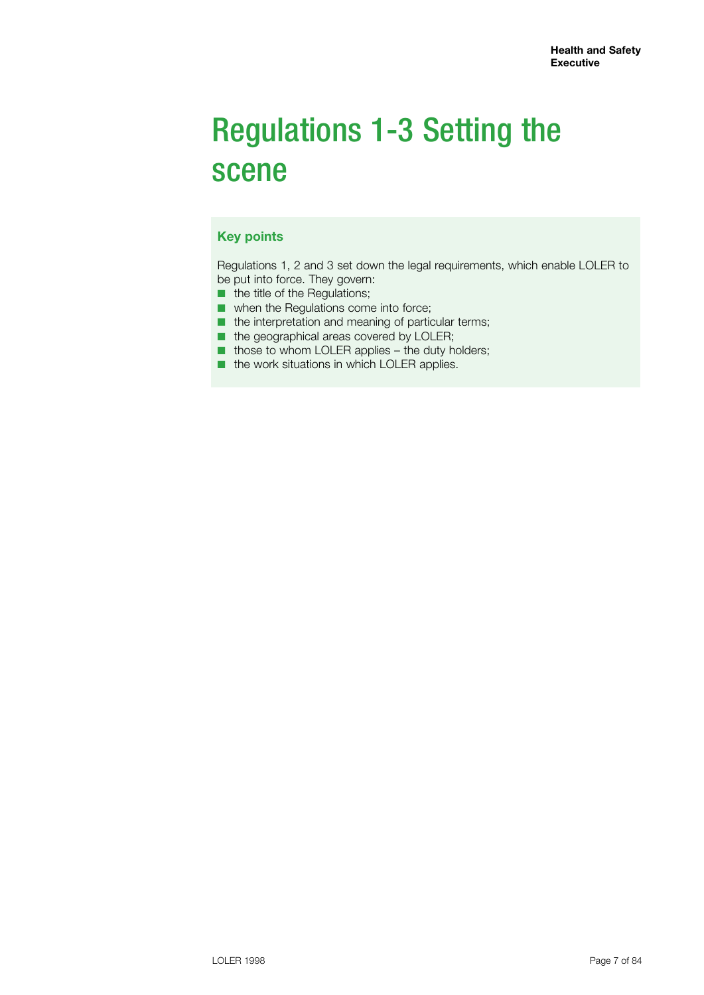# Regulations 1-3 Setting the scene

# **Key points**

Regulations 1, 2 and 3 set down the legal requirements, which enable LOLER to be put into force. They govern:

- the title of the Regulations;
- when the Regulations come into force;
- the interpretation and meaning of particular terms;
- the geographical areas covered by LOLER;
- those to whom LOLER applies the duty holders;
- the work situations in which LOLER applies.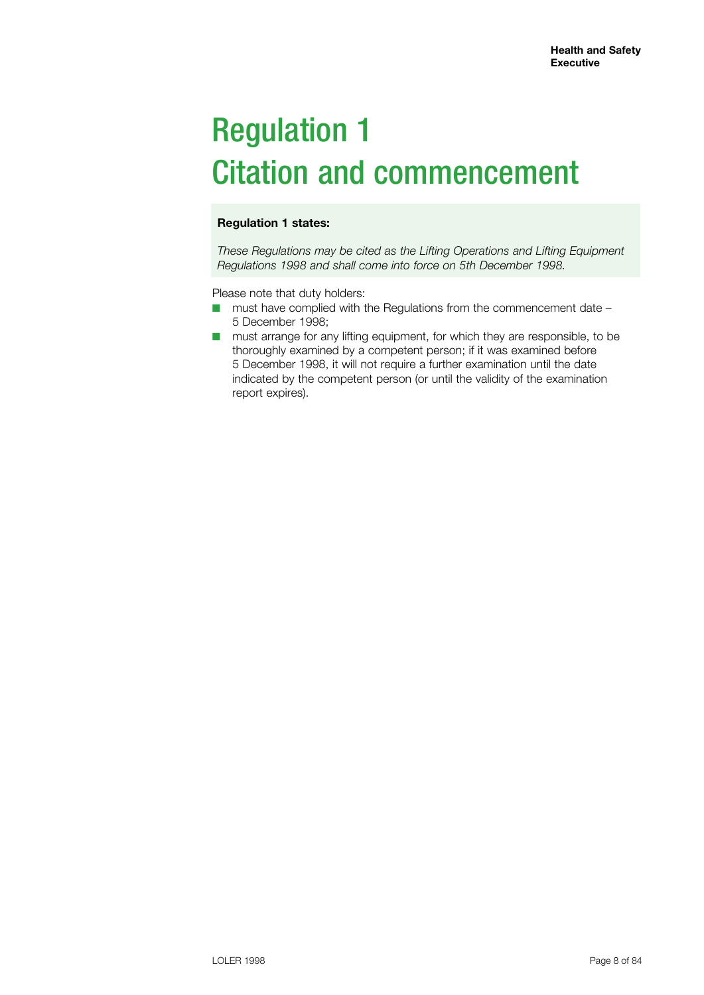# Regulation 1 Citation and commencement

# **Regulation 1 states:**

*These Regulations may be cited as the Lifting Operations and Lifting Equipment Regulations 1998 and shall come into force on 5th December 1998.*

Please note that duty holders:

- $\blacksquare$  must have complied with the Regulations from the commencement date 5 December 1998;
- must arrange for any lifting equipment, for which they are responsible, to be thoroughly examined by a competent person; if it was examined before 5 December 1998, it will not require a further examination until the date indicated by the competent person (or until the validity of the examination report expires).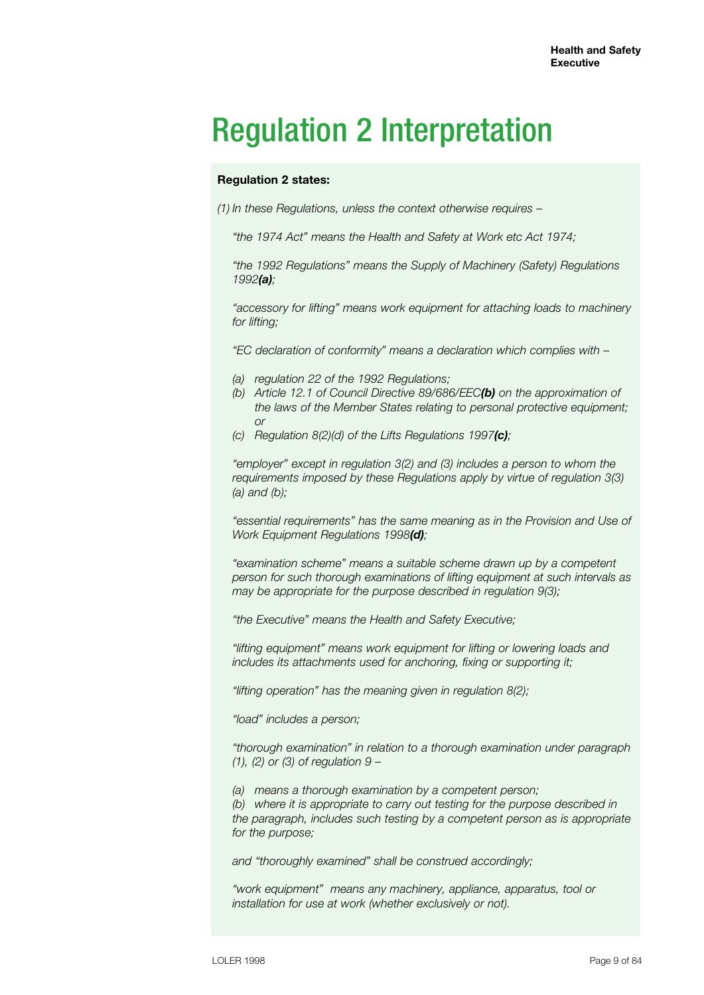# Regulation 2 Interpretation

# **Regulation 2 states:**

*(1) In these Regulations, unless the context otherwise requires –*

*"the 1974 Act" means the Health and Safety at Work etc Act 1974;*

*"the 1992 Regulations" means the Supply of Machinery (Safety) Regulations 1992(a);*

*"accessory for lifting" means work equipment for attaching loads to machinery for lifting;*

*"EC declaration of conformity" means a declaration which complies with –*

- *(a) regulation 22 of the 1992 Regulations;*
- *(b) Article 12.1 of Council Directive 89/686/EEC(b) on the approximation of the laws of the Member States relating to personal protective equipment; or*
	- *(c) Regulation 8(2)(d) of the Lifts Regulations 1997(c);*

*"employer" except in regulation 3(2) and (3) includes a person to whom the requirements imposed by these Regulations apply by virtue of regulation 3(3) (a) and (b);*

*"essential requirements" has the same meaning as in the Provision and Use of Work Equipment Regulations 1998(d);*

*"examination scheme" means a suitable scheme drawn up by a competent person for such thorough examinations of lifting equipment at such intervals as may be appropriate for the purpose described in regulation 9(3);*

*"the Executive" means the Health and Safety Executive;*

*"lifting equipment" means work equipment for lifting or lowering loads and includes its attachments used for anchoring, fixing or supporting it;*

*"lifting operation" has the meaning given in regulation 8(2);*

*"load" includes a person;*

*"thorough examination" in relation to a thorough examination under paragraph (1), (2) or (3) of regulation 9 –*

*(a) means a thorough examination by a competent person;*

*(b) where it is appropriate to carry out testing for the purpose described in the paragraph, includes such testing by a competent person as is appropriate for the purpose;*

*and "thoroughly examined" shall be construed accordingly;*

*"work equipment" means any machinery, appliance, apparatus, tool or installation for use at work (whether exclusively or not).*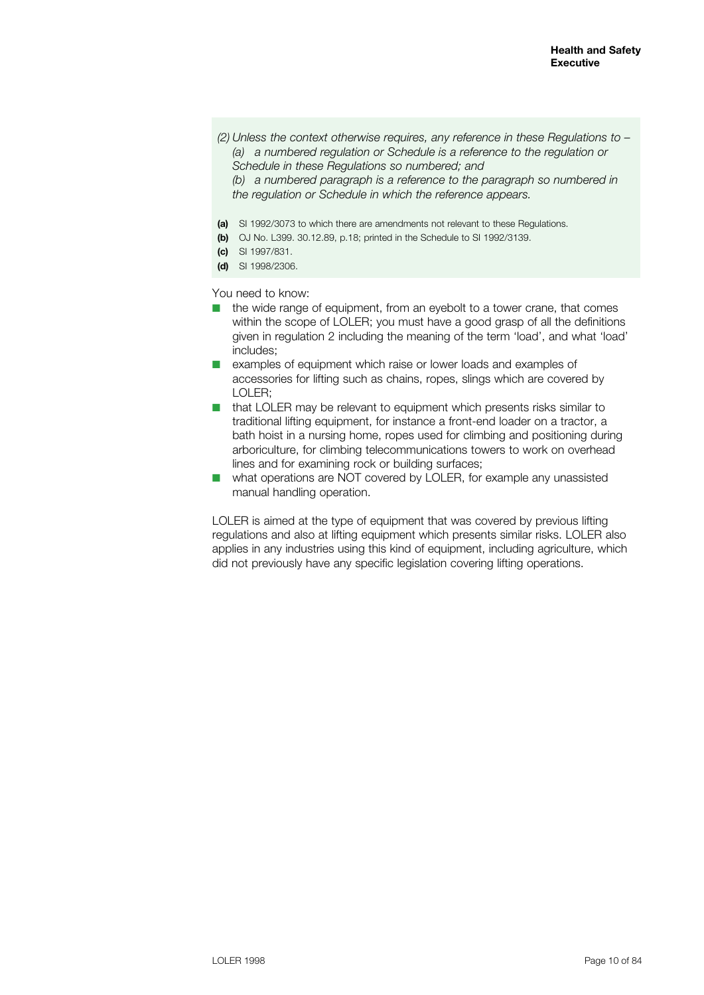*(2) Unless the context otherwise requires, any reference in these Regulations to – (a) a numbered regulation or Schedule is a reference to the regulation or Schedule in these Regulations so numbered; and*

*(b) a numbered paragraph is a reference to the paragraph so numbered in the regulation or Schedule in which the reference appears.*

- **(a)** SI 1992/3073 to which there are amendments not relevant to these Regulations.
- **(b)** OJ No. L399. 30.12.89, p.18; printed in the Schedule to SI 1992/3139.
- **(c)** SI 1997/831.
- **(d)** SI 1998/2306.

You need to know:

- $\blacksquare$  the wide range of equipment, from an eyebolt to a tower crane, that comes within the scope of LOLER; you must have a good grasp of all the definitions given in regulation 2 including the meaning of the term 'load', and what 'load' includes;
- examples of equipment which raise or lower loads and examples of accessories for lifting such as chains, ropes, slings which are covered by LOLER;
- $\blacksquare$  that LOLER may be relevant to equipment which presents risks similar to traditional lifting equipment, for instance a front-end loader on a tractor, a bath hoist in a nursing home, ropes used for climbing and positioning during arboriculture, for climbing telecommunications towers to work on overhead lines and for examining rock or building surfaces;
- $\blacksquare$  what operations are NOT covered by LOLER, for example any unassisted manual handling operation.

LOLER is aimed at the type of equipment that was covered by previous lifting regulations and also at lifting equipment which presents similar risks. LOLER also applies in any industries using this kind of equipment, including agriculture, which did not previously have any specific legislation covering lifting operations.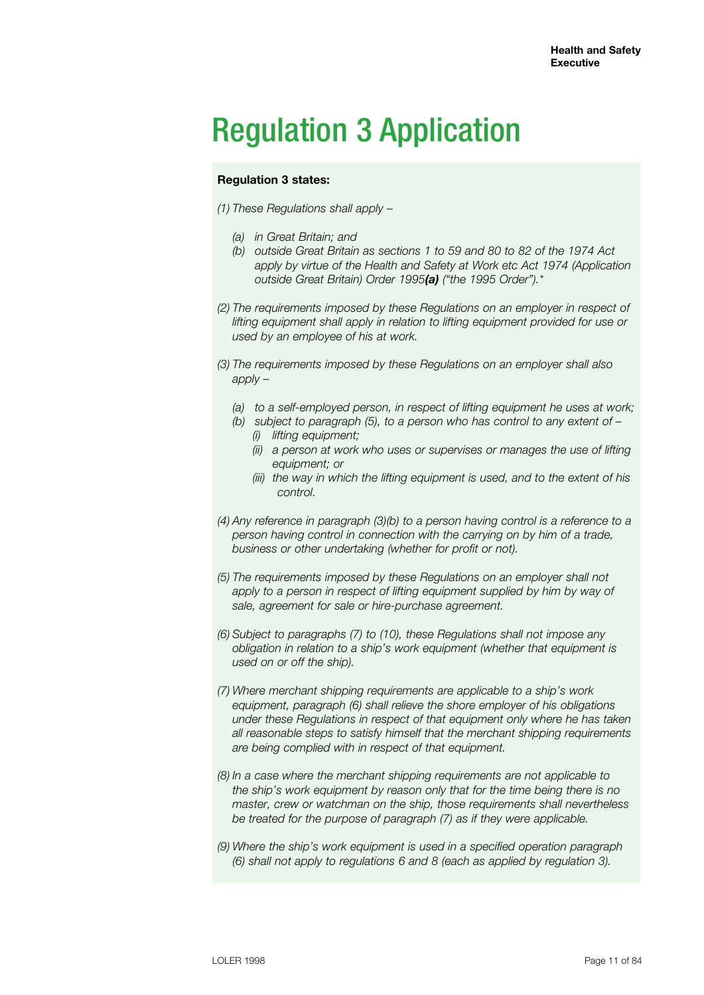# Regulation 3 Application

# **Regulation 3 states:**

- *(1) These Regulations shall apply –*
	- *(a) in Great Britain; and*
	- *(b) outside Great Britain as sections 1 to 59 and 80 to 82 of the 1974 Act apply by virtue of the Health and Safety at Work etc Act 1974 (Application outside Great Britain) Order 1995(a) ("the 1995 Order").\**
- *(2) The requirements imposed by these Regulations on an employer in respect of*  lifting equipment shall apply in relation to lifting equipment provided for use or *used by an employee of his at work.*
- *(3) The requirements imposed by these Regulations on an employer shall also apply –*
	- *(a) to a self-employed person, in respect of lifting equipment he uses at work;*
	- *(b) subject to paragraph (5), to a person who has control to any extent of – (i) lifting equipment;*
		- *(ii) a person at work who uses or supervises or manages the use of lifting equipment; or*
		- *(iii) the way in which the lifting equipment is used, and to the extent of his control.*
- *(4) Any reference in paragraph (3)(b) to a person having control is a reference to a person having control in connection with the carrying on by him of a trade, business or other undertaking (whether for profit or not).*
- *(5) The requirements imposed by these Regulations on an employer shall not*  apply to a person in respect of lifting equipment supplied by him by way of *sale, agreement for sale or hire-purchase agreement.*
- *(6) Subject to paragraphs (7) to (10), these Regulations shall not impose any obligation in relation to a ship's work equipment (whether that equipment is used on or off the ship).*
- *(7) Where merchant shipping requirements are applicable to a ship's work equipment, paragraph (6) shall relieve the shore employer of his obligations under these Regulations in respect of that equipment only where he has taken all reasonable steps to satisfy himself that the merchant shipping requirements are being complied with in respect of that equipment.*
- *(8) In a case where the merchant shipping requirements are not applicable to the ship's work equipment by reason only that for the time being there is no master, crew or watchman on the ship, those requirements shall nevertheless be treated for the purpose of paragraph (7) as if they were applicable.*
- *(9) Where the ship's work equipment is used in a specified operation paragraph (6) shall not apply to regulations 6 and 8 (each as applied by regulation 3).*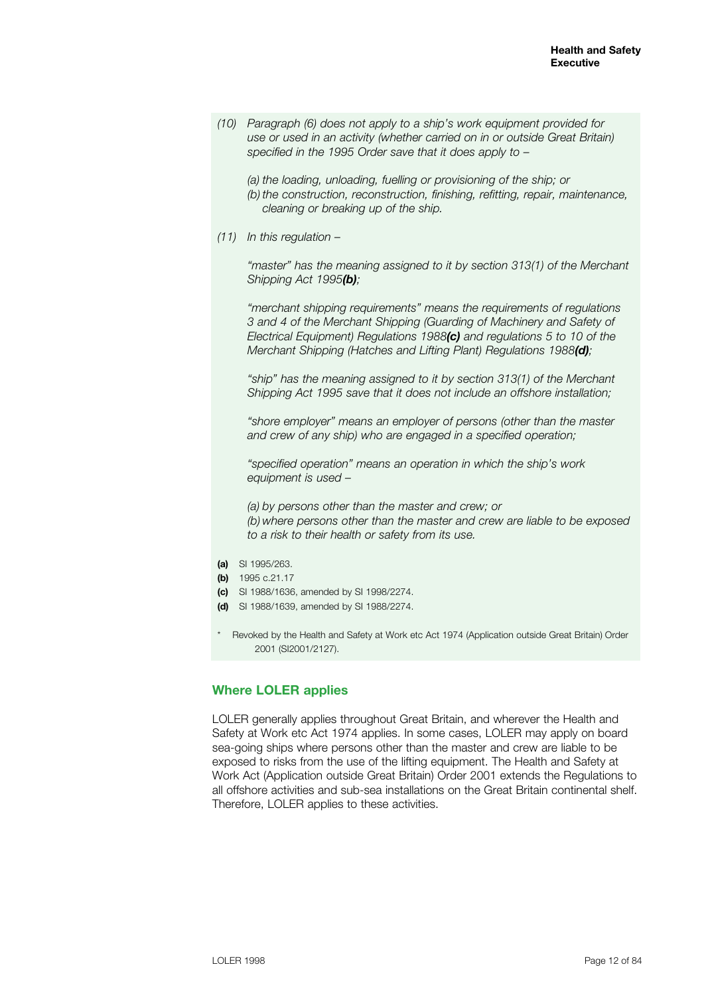*(10) Paragraph (6) does not apply to a ship's work equipment provided for use or used in an activity (whether carried on in or outside Great Britain) specified in the 1995 Order save that it does apply to –*

 *(a) the loading, unloading, fuelling or provisioning of the ship; or (b) the construction, reconstruction, finishing, refitting, repair, maintenance, cleaning or breaking up of the ship.*

*(11) In this regulation –*

 *"master" has the meaning assigned to it by section 313(1) of the Merchant Shipping Act 1995(b);*

 *"merchant shipping requirements" means the requirements of regulations 3 and 4 of the Merchant Shipping (Guarding of Machinery and Safety of Electrical Equipment) Regulations 1988(c) and regulations 5 to 10 of the Merchant Shipping (Hatches and Lifting Plant) Regulations 1988(d);*

 *"ship" has the meaning assigned to it by section 313(1) of the Merchant Shipping Act 1995 save that it does not include an offshore installation;*

 *"shore employer" means an employer of persons (other than the master and crew of any ship) who are engaged in a specified operation;*

 *"specified operation" means an operation in which the ship's work equipment is used –*

 *(a) by persons other than the master and crew; or (b) where persons other than the master and crew are liable to be exposed to a risk to their health or safety from its use.*

- **(a)** SI 1995/263.
- **(b)** 1995 c.21.17
- **(c)** SI 1988/1636, amended by SI 1998/2274.
- **(d)** SI 1988/1639, amended by SI 1988/2274.
- \* Revoked by the Health and Safety at Work etc Act 1974 (Application outside Great Britain) Order 2001 (SI2001/2127).

### **Where LOLER applies**

LOLER generally applies throughout Great Britain, and wherever the Health and Safety at Work etc Act 1974 applies. In some cases, LOLER may apply on board sea-going ships where persons other than the master and crew are liable to be exposed to risks from the use of the lifting equipment. The Health and Safety at Work Act (Application outside Great Britain) Order 2001 extends the Regulations to all offshore activities and sub-sea installations on the Great Britain continental shelf. Therefore, LOLER applies to these activities.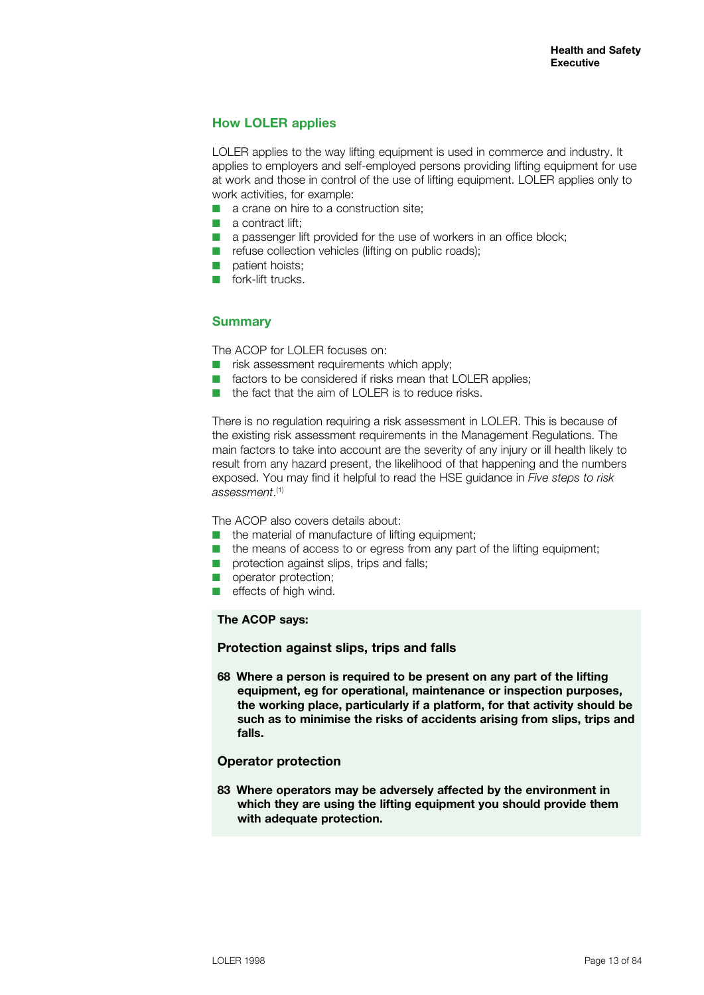# **How LOLER applies**

LOLER applies to the way lifting equipment is used in commerce and industry. It applies to employers and self-employed persons providing lifting equipment for use at work and those in control of the use of lifting equipment. LOLER applies only to work activities, for example:

- $\blacksquare$  a crane on hire to a construction site;
- $\blacksquare$  a contract lift:
- $\blacksquare$  a passenger lift provided for the use of workers in an office block;
- $\blacksquare$  refuse collection vehicles (lifting on public roads);
- $\Box$  patient hoists;
- $\blacksquare$  fork-lift trucks.

# **Summary**

The ACOP for LOLER focuses on:

- $\blacksquare$  risk assessment requirements which apply;
- $\blacksquare$  factors to be considered if risks mean that LOLER applies;
- $\blacksquare$  the fact that the aim of LOLER is to reduce risks.

There is no regulation requiring a risk assessment in LOLER. This is because of the existing risk assessment requirements in the Management Regulations. The main factors to take into account are the severity of any injury or ill health likely to result from any hazard present, the likelihood of that happening and the numbers exposed. You may find it helpful to read the HSE guidance in *Five steps to risk assessment*. (1)

The ACOP also covers details about:

- $\blacksquare$  the material of manufacture of lifting equipment:
- $\blacksquare$  the means of access to or egress from any part of the lifting equipment;
- $\blacksquare$  protection against slips, trips and falls:
- operator protection:
- $\blacksquare$  effects of high wind.

#### **The ACOP says:**

#### **Protection against slips, trips and falls**

**68 Where a person is required to be present on any part of the lifting equipment, eg for operational, maintenance or inspection purposes, the working place, particularly if a platform, for that activity should be such as to minimise the risks of accidents arising from slips, trips and falls.**

# **Operator protection**

**83 Where operators may be adversely affected by the environment in which they are using the lifting equipment you should provide them with adequate protection.**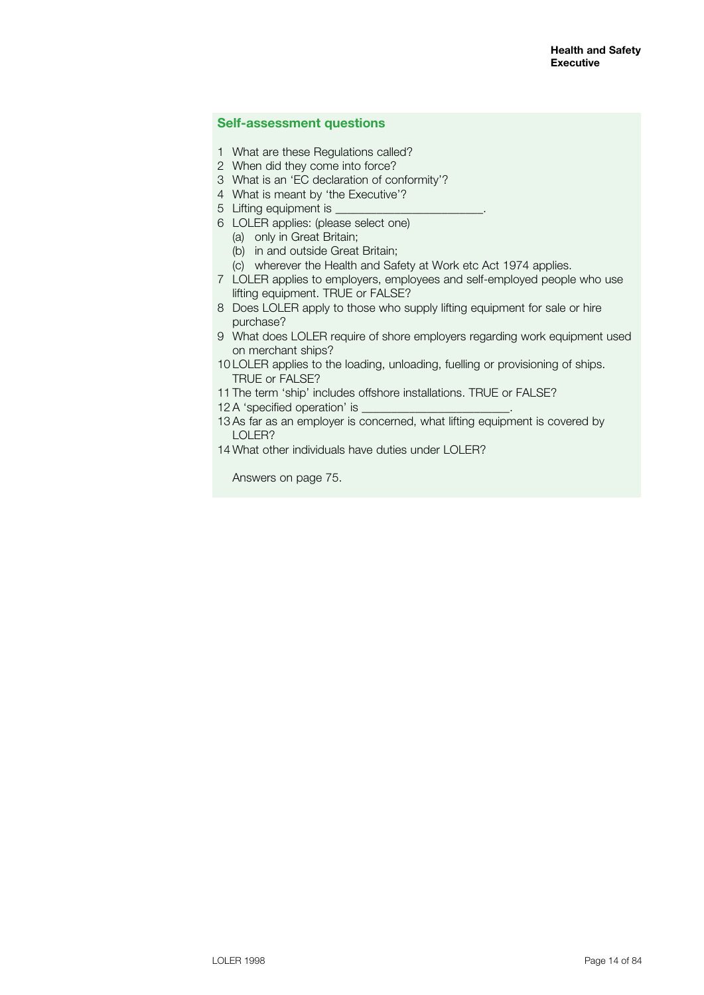### **Self-assessment questions**

- 1 What are these Regulations called?
- 2 When did they come into force?
- 3 What is an 'EC declaration of conformity'?
- 4 What is meant by 'the Executive'?
- 5 Lifting equipment is
- 6 LOLER applies: (please select one)
	- (a) only in Great Britain;
	- (b) in and outside Great Britain;
- (c) wherever the Health and Safety at Work etc Act 1974 applies.
- 7 LOLER applies to employers, employees and self-employed people who use lifting equipment. TRUE or FALSE?
- 8 Does LOLER apply to those who supply lifting equipment for sale or hire purchase?
- 9 What does LOLER require of shore employers regarding work equipment used on merchant ships?
- 10 LOLER applies to the loading, unloading, fuelling or provisioning of ships. TRUE or FALSE?
- 11 The term 'ship' includes offshore installations. TRUE or FALSE?
- 12 A 'specified operation' is
- 13 As far as an employer is concerned, what lifting equipment is covered by LOLER?
- 14 What other individuals have duties under LOLER?

Answers on page 75.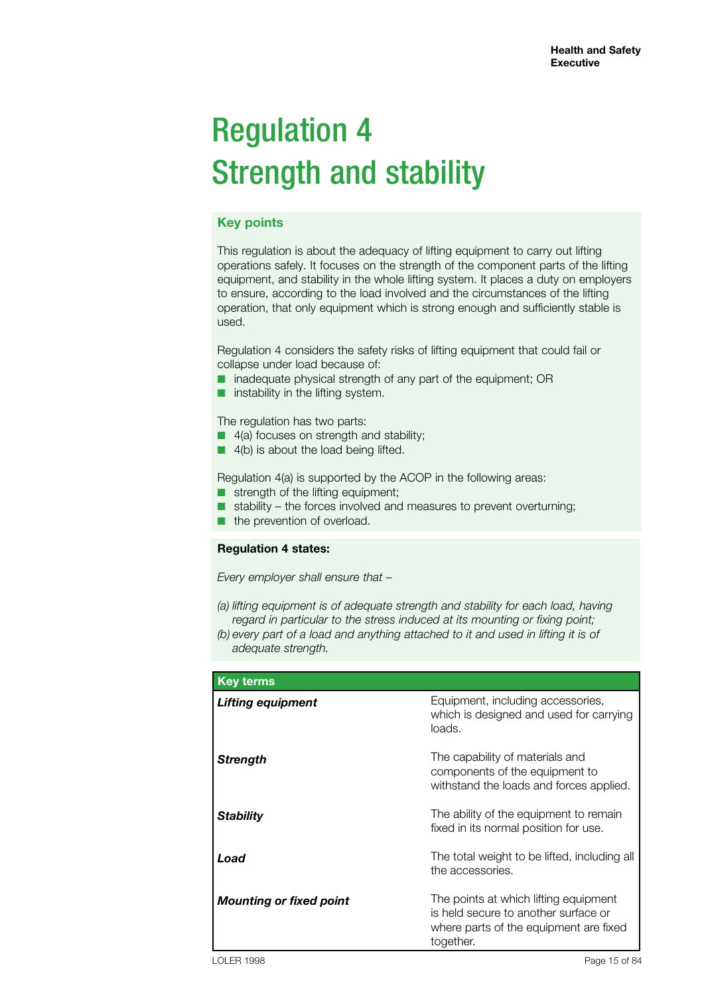# Regulation 4 Strength and stability

# **Key points**

This regulation is about the adequacy of lifting equipment to carry out lifting operations safely. It focuses on the strength of the component parts of the lifting equipment, and stability in the whole lifting system. It places a duty on employers to ensure, according to the load involved and the circumstances of the lifting operation, that only equipment which is strong enough and sufficiently stable is used.

Regulation 4 considers the safety risks of lifting equipment that could fail or collapse under load because of:

- inadequate physical strength of any part of the equipment; OR
- instability in the lifting system.

The regulation has two parts:

- 4(a) focuses on strength and stability;
- 4(b) is about the load being lifted.

Regulation 4(a) is supported by the ACOP in the following areas:

- strength of the lifting equipment;
- stability the forces involved and measures to prevent overturning;
- the prevention of overload.

### **Regulation 4 states:**

*Every employer shall ensure that –*

- *(a) lifting equipment is of adequate strength and stability for each load, having regard in particular to the stress induced at its mounting or fixing point;*
- *(b) every part of a load and anything attached to it and used in lifting it is of adequate strength.*

| <b>Key terms</b>               |                                                                                                                                      |
|--------------------------------|--------------------------------------------------------------------------------------------------------------------------------------|
| <b>Lifting equipment</b>       | Equipment, including accessories,<br>which is designed and used for carrying<br>loads.                                               |
| <b>Strength</b>                | The capability of materials and<br>components of the equipment to<br>withstand the loads and forces applied.                         |
| <b>Stability</b>               | The ability of the equipment to remain<br>fixed in its normal position for use.                                                      |
| Load                           | The total weight to be lifted, including all<br>the accessories.                                                                     |
| <b>Mounting or fixed point</b> | The points at which lifting equipment<br>is held secure to another surface or<br>where parts of the equipment are fixed<br>together. |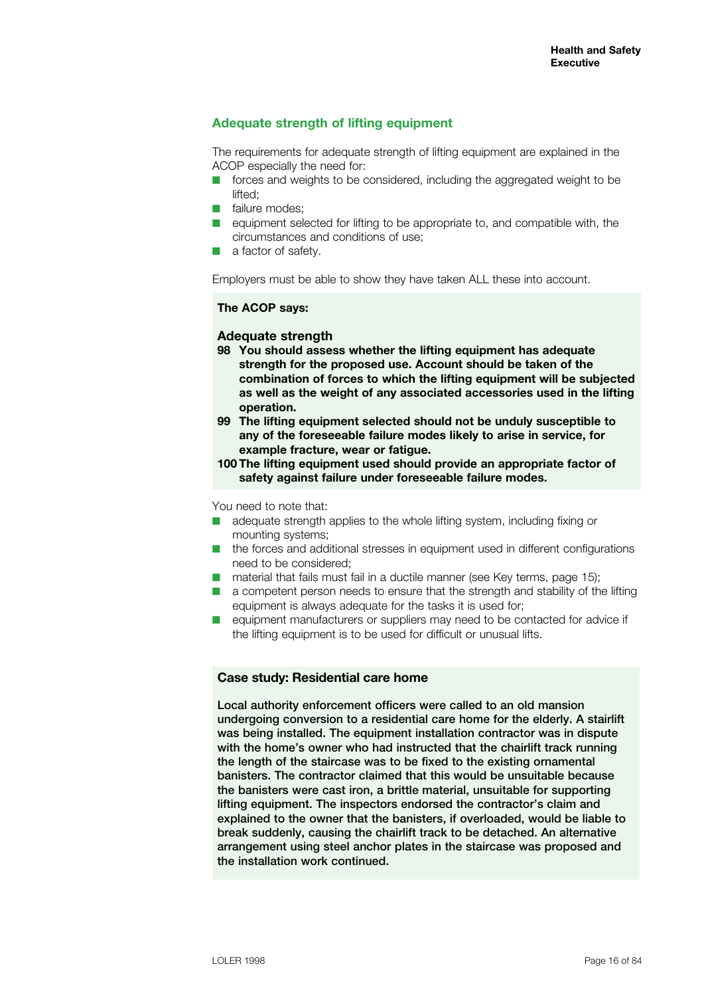# **Adequate strength of lifting equipment**

The requirements for adequate strength of lifting equipment are explained in the ACOP especially the need for:

- $\blacksquare$  forces and weights to be considered, including the aggregated weight to be lifted;
- $\blacksquare$  failure modes:
- $\blacksquare$  equipment selected for lifting to be appropriate to, and compatible with, the circumstances and conditions of use;
- $\blacksquare$  a factor of safety.

Employers must be able to show they have taken ALL these into account.

#### **The ACOP says:**

### **Adequate strength**

- **98 You should assess whether the lifting equipment has adequate strength for the proposed use. Account should be taken of the combination of forces to which the lifting equipment will be subjected as well as the weight of any associated accessories used in the lifting operation.**
- **99 The lifting equipment selected should not be unduly susceptible to any of the foreseeable failure modes likely to arise in service, for example fracture, wear or fatigue.**
- **100 The lifting equipment used should provide an appropriate factor of safety against failure under foreseeable failure modes.**

You need to note that:

- $\blacksquare$  adequate strength applies to the whole lifting system, including fixing or mounting systems;
- $\blacksquare$  the forces and additional stresses in equipment used in different configurations need to be considered;
- $\blacksquare$  material that fails must fail in a ductile manner (see Key terms, page 15):
- $\blacksquare$  a competent person needs to ensure that the strength and stability of the lifting equipment is always adequate for the tasks it is used for;
- **n** equipment manufacturers or suppliers may need to be contacted for advice if the lifting equipment is to be used for difficult or unusual lifts.

# **Case study: Residential care home**

Local authority enforcement officers were called to an old mansion undergoing conversion to a residential care home for the elderly. A stairlift was being installed. The equipment installation contractor was in dispute with the home's owner who had instructed that the chairlift track running the length of the staircase was to be fixed to the existing ornamental banisters. The contractor claimed that this would be unsuitable because the banisters were cast iron, a brittle material, unsuitable for supporting lifting equipment. The inspectors endorsed the contractor's claim and explained to the owner that the banisters, if overloaded, would be liable to break suddenly, causing the chairlift track to be detached. An alternative arrangement using steel anchor plates in the staircase was proposed and the installation work continued.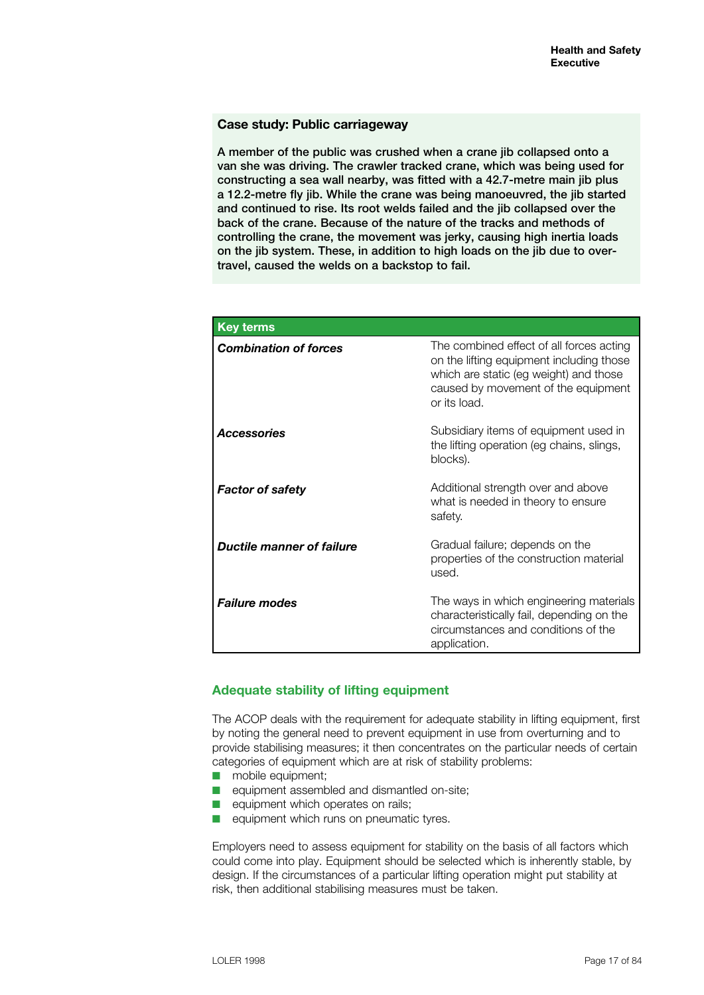### **Case study: Public carriageway**

A member of the public was crushed when a crane jib collapsed onto a van she was driving. The crawler tracked crane, which was being used for constructing a sea wall nearby, was fitted with a 42.7-metre main jib plus a 12.2-metre fly jib. While the crane was being manoeuvred, the jib started and continued to rise. Its root welds failed and the jib collapsed over the back of the crane. Because of the nature of the tracks and methods of controlling the crane, the movement was jerky, causing high inertia loads on the jib system. These, in addition to high loads on the jib due to overtravel, caused the welds on a backstop to fail.

| <b>Key terms</b>                 |                                                                                                                                                                                       |
|----------------------------------|---------------------------------------------------------------------------------------------------------------------------------------------------------------------------------------|
| <b>Combination of forces</b>     | The combined effect of all forces acting<br>on the lifting equipment including those<br>which are static (eg weight) and those<br>caused by movement of the equipment<br>or its load. |
| <b>Accessories</b>               | Subsidiary items of equipment used in<br>the lifting operation (eg chains, slings,<br>blocks).                                                                                        |
| <b>Factor of safety</b>          | Additional strength over and above<br>what is needed in theory to ensure<br>safety.                                                                                                   |
| <b>Ductile manner of failure</b> | Gradual failure; depends on the<br>properties of the construction material<br>used.                                                                                                   |
| <b>Failure modes</b>             | The ways in which engineering materials<br>characteristically fail, depending on the<br>circumstances and conditions of the<br>application.                                           |

# **Adequate stability of lifting equipment**

The ACOP deals with the requirement for adequate stability in lifting equipment, first by noting the general need to prevent equipment in use from overturning and to provide stabilising measures; it then concentrates on the particular needs of certain categories of equipment which are at risk of stability problems:

- $\blacksquare$  mobile equipment:
- $\blacksquare$  equipment assembled and dismantled on-site;
- $\blacksquare$  equipment which operates on rails;
- $\blacksquare$  equipment which runs on pneumatic tyres.

Employers need to assess equipment for stability on the basis of all factors which could come into play. Equipment should be selected which is inherently stable, by design. If the circumstances of a particular lifting operation might put stability at risk, then additional stabilising measures must be taken.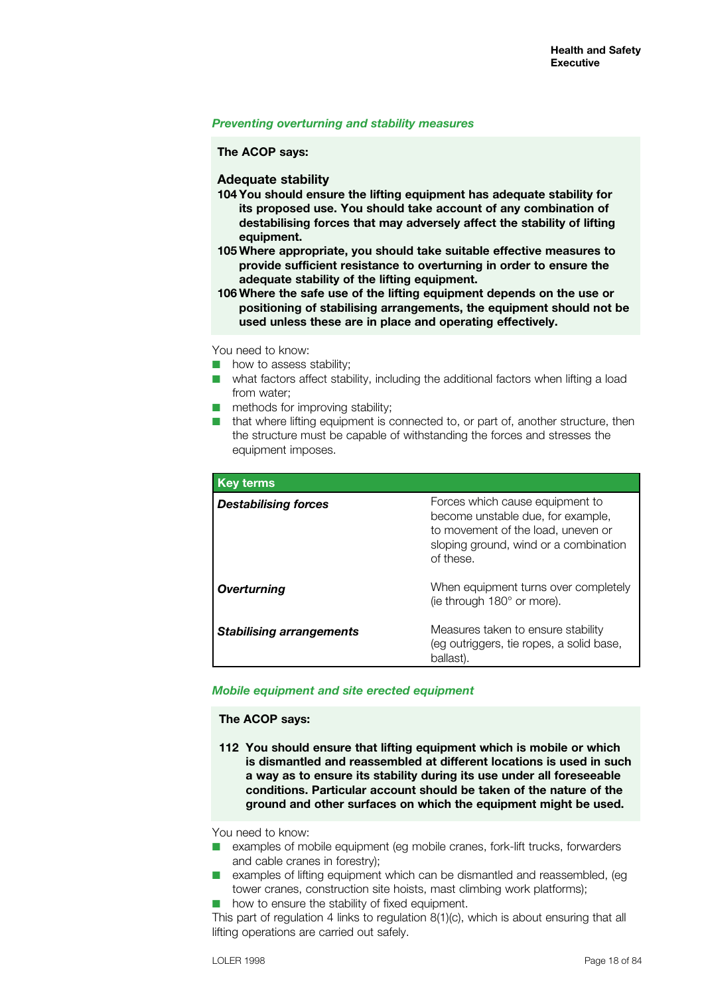#### *Preventing overturning and stability measures*

**The ACOP says:**

**Adequate stability**

- **104 You should ensure the lifting equipment has adequate stability for its proposed use. You should take account of any combination of destabilising forces that may adversely affect the stability of lifting equipment.**
- **105 Where appropriate, you should take suitable effective measures to provide sufficient resistance to overturning in order to ensure the adequate stability of the lifting equipment.**
- **106 Where the safe use of the lifting equipment depends on the use or positioning of stabilising arrangements, the equipment should not be used unless these are in place and operating effectively.**

You need to know:

- $\blacksquare$  how to assess stability;
- $\blacksquare$  what factors affect stability, including the additional factors when lifting a load from water;
- $\blacksquare$  methods for improving stability;
- $\blacksquare$  that where lifting equipment is connected to, or part of, another structure, then the structure must be capable of withstanding the forces and stresses the equipment imposes.

| <b>Key terms</b>                |                                                                                                                                                                  |
|---------------------------------|------------------------------------------------------------------------------------------------------------------------------------------------------------------|
| <b>Destabilising forces</b>     | Forces which cause equipment to<br>become unstable due, for example,<br>to movement of the load, uneven or<br>sloping ground, wind or a combination<br>of these. |
| Overturning                     | When equipment turns over completely<br>(ie through 180° or more).                                                                                               |
| <b>Stabilising arrangements</b> | Measures taken to ensure stability<br>(eg outriggers, tie ropes, a solid base,<br>ballast).                                                                      |

### *Mobile equipment and site erected equipment*

### **The ACOP says:**

**112 You should ensure that lifting equipment which is mobile or which is dismantled and reassembled at different locations is used in such a way as to ensure its stability during its use under all foreseeable conditions. Particular account should be taken of the nature of the ground and other surfaces on which the equipment might be used.**

You need to know:

- $\blacksquare$  examples of mobile equipment (eg mobile cranes, fork-lift trucks, forwarders and cable cranes in forestry);
- $\blacksquare$  examples of lifting equipment which can be dismantled and reassembled, (eq. tower cranes, construction site hoists, mast climbing work platforms);
- $\blacksquare$  how to ensure the stability of fixed equipment.

This part of regulation 4 links to regulation 8(1)(c), which is about ensuring that all lifting operations are carried out safely.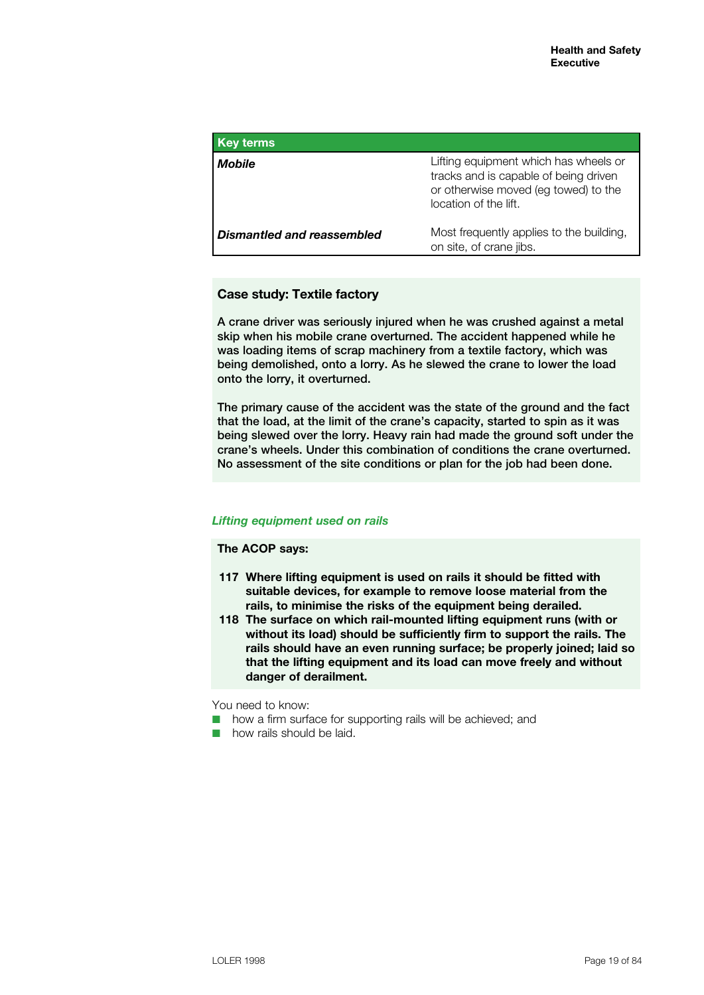| <b>Key terms</b>           |                                                                                                                                                 |
|----------------------------|-------------------------------------------------------------------------------------------------------------------------------------------------|
| Mobile                     | Lifting equipment which has wheels or<br>tracks and is capable of being driven<br>or otherwise moved (eg towed) to the<br>location of the lift. |
| Dismantled and reassembled | Most frequently applies to the building,<br>on site, of crane jibs.                                                                             |

# **Case study: Textile factory**

A crane driver was seriously injured when he was crushed against a metal skip when his mobile crane overturned. The accident happened while he was loading items of scrap machinery from a textile factory, which was being demolished, onto a lorry. As he slewed the crane to lower the load onto the lorry, it overturned.

The primary cause of the accident was the state of the ground and the fact that the load, at the limit of the crane's capacity, started to spin as it was being slewed over the lorry. Heavy rain had made the ground soft under the crane's wheels. Under this combination of conditions the crane overturned. No assessment of the site conditions or plan for the job had been done.

### *Lifting equipment used on rails*

### **The ACOP says:**

- **117 Where lifting equipment is used on rails it should be fitted with suitable devices, for example to remove loose material from the rails, to minimise the risks of the equipment being derailed.**
- **118 The surface on which rail-mounted lifting equipment runs (with or without its load) should be sufficiently firm to support the rails. The rails should have an even running surface; be properly joined; laid so that the lifting equipment and its load can move freely and without danger of derailment.**

You need to know:

- $\blacksquare$  how a firm surface for supporting rails will be achieved; and
- $\blacksquare$  how rails should be laid.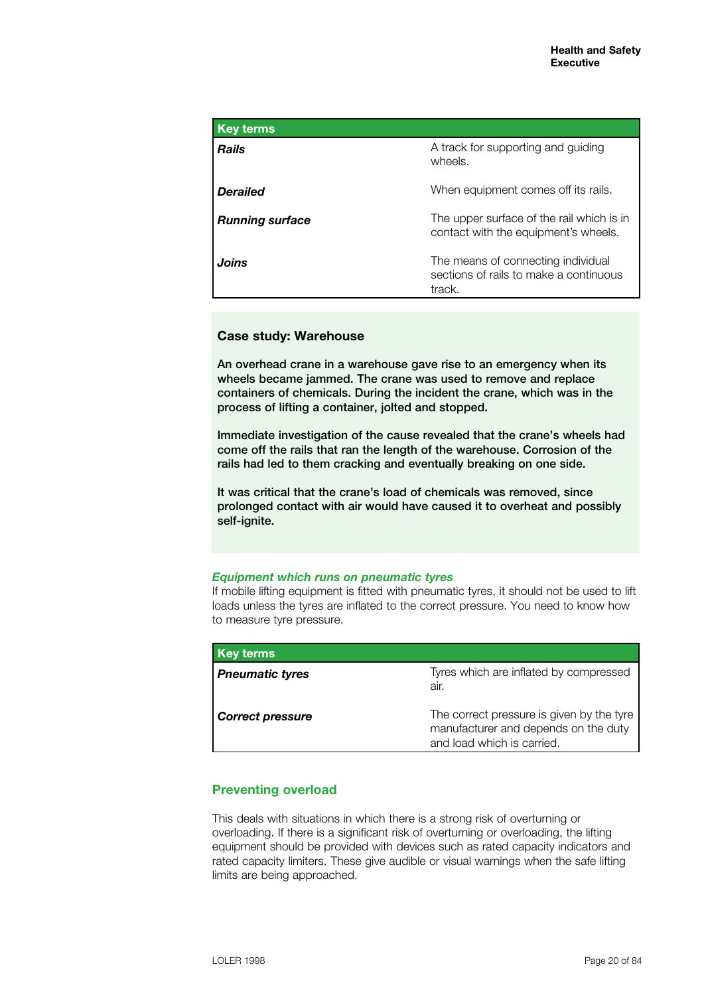| <b>Key terms</b>       |                                                                                        |
|------------------------|----------------------------------------------------------------------------------------|
| <b>Rails</b>           | A track for supporting and guiding<br>wheels.                                          |
| <b>Derailed</b>        | When equipment comes off its rails.                                                    |
| <b>Running surface</b> | The upper surface of the rail which is in<br>contact with the equipment's wheels.      |
| Joins                  | The means of connecting individual<br>sections of rails to make a continuous<br>track. |

# **Case study: Warehouse**

An overhead crane in a warehouse gave rise to an emergency when its wheels became jammed. The crane was used to remove and replace containers of chemicals. During the incident the crane, which was in the process of lifting a container, jolted and stopped.

Immediate investigation of the cause revealed that the crane's wheels had come off the rails that ran the length of the warehouse. Corrosion of the rails had led to them cracking and eventually breaking on one side.

It was critical that the crane's load of chemicals was removed, since prolonged contact with air would have caused it to overheat and possibly self-ignite.

### *Equipment which runs on pneumatic tyres*

If mobile lifting equipment is fitted with pneumatic tyres, it should not be used to lift loads unless the tyres are inflated to the correct pressure. You need to know how to measure tyre pressure.

| <b>Key terms</b>        |                                                                                                                 |
|-------------------------|-----------------------------------------------------------------------------------------------------------------|
| <b>Pneumatic tyres</b>  | Tyres which are inflated by compressed<br>air.                                                                  |
| <b>Correct pressure</b> | The correct pressure is given by the tyre<br>manufacturer and depends on the duty<br>and load which is carried. |

# **Preventing overload**

This deals with situations in which there is a strong risk of overturning or overloading. If there is a significant risk of overturning or overloading, the lifting equipment should be provided with devices such as rated capacity indicators and rated capacity limiters. These give audible or visual warnings when the safe lifting limits are being approached.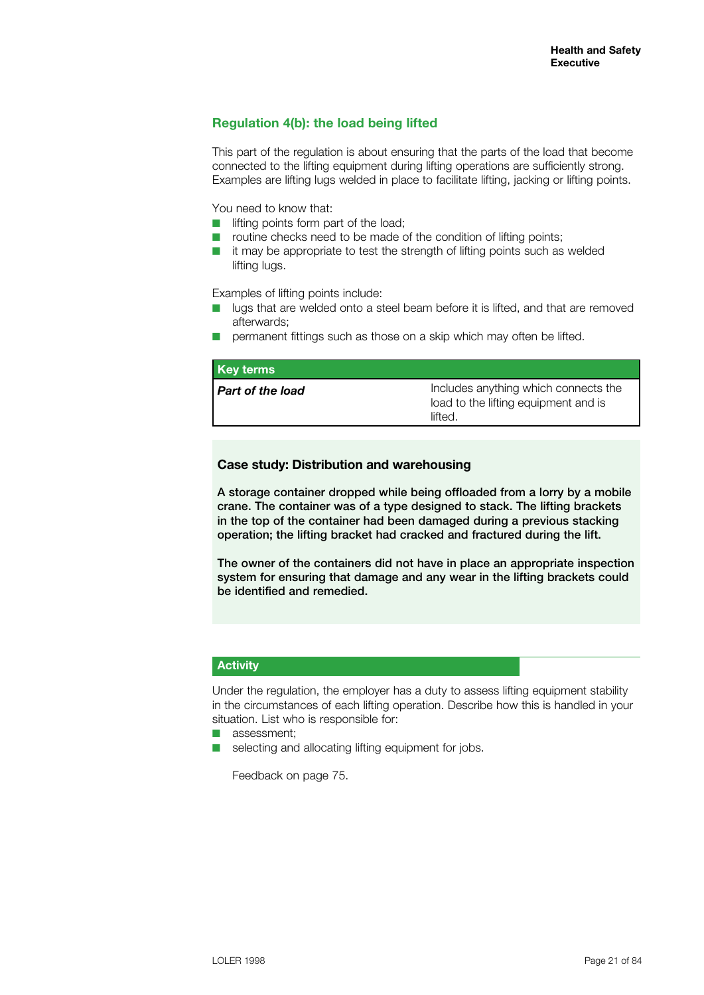# **Regulation 4(b): the load being lifted**

This part of the regulation is about ensuring that the parts of the load that become connected to the lifting equipment during lifting operations are sufficiently strong. Examples are lifting lugs welded in place to facilitate lifting, jacking or lifting points.

You need to know that:

- $\blacksquare$  lifting points form part of the load;
- $\blacksquare$  routine checks need to be made of the condition of lifting points;
- $\blacksquare$  it may be appropriate to test the strength of lifting points such as welded lifting lugs.

Examples of lifting points include:

- $\Box$  lugs that are welded onto a steel beam before it is lifted, and that are removed afterwards;
- $\blacksquare$  permanent fittings such as those on a skip which may often be lifted.

| <b>Key terms</b>        |                                                                                         |
|-------------------------|-----------------------------------------------------------------------------------------|
| <b>Part of the load</b> | Includes anything which connects the<br>load to the lifting equipment and is<br>lifted. |

# **Case study: Distribution and warehousing**

A storage container dropped while being offloaded from a lorry by a mobile crane. The container was of a type designed to stack. The lifting brackets in the top of the container had been damaged during a previous stacking operation; the lifting bracket had cracked and fractured during the lift.

The owner of the containers did not have in place an appropriate inspection system for ensuring that damage and any wear in the lifting brackets could be identified and remedied.

# **Activity**

Under the regulation, the employer has a duty to assess lifting equipment stability in the circumstances of each lifting operation. Describe how this is handled in your situation. List who is responsible for:

- $\blacksquare$  assessment:
- $\blacksquare$  selecting and allocating lifting equipment for jobs.

Feedback on page 75.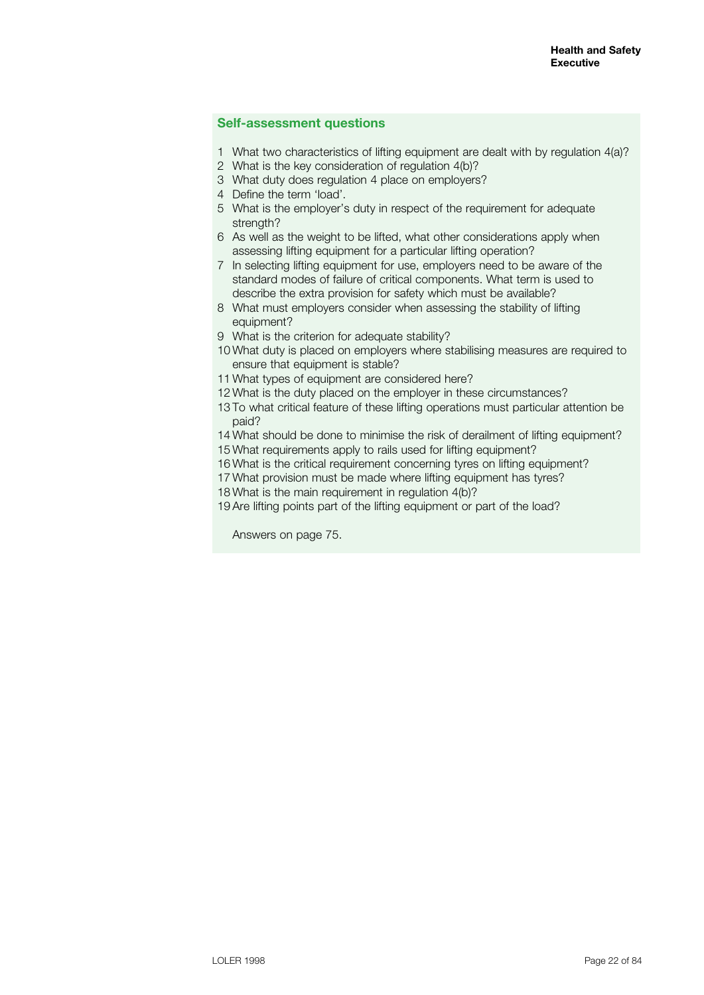### **Self-assessment questions**

- What two characteristics of lifting equipment are dealt with by regulation 4(a)?
- What is the key consideration of regulation 4(b)?
- What duty does regulation 4 place on employers?
- Define the term 'load'.
- What is the employer's duty in respect of the requirement for adequate strength?
- As well as the weight to be lifted, what other considerations apply when assessing lifting equipment for a particular lifting operation?
- In selecting lifting equipment for use, employers need to be aware of the standard modes of failure of critical components. What term is used to describe the extra provision for safety which must be available?
- What must employers consider when assessing the stability of lifting equipment?
- What is the criterion for adequate stability?
- What duty is placed on employers where stabilising measures are required to ensure that equipment is stable?
- What types of equipment are considered here?
- What is the duty placed on the employer in these circumstances?
- To what critical feature of these lifting operations must particular attention be paid?
- What should be done to minimise the risk of derailment of lifting equipment?
- What requirements apply to rails used for lifting equipment?
- What is the critical requirement concerning tyres on lifting equipment?
- What provision must be made where lifting equipment has tyres?
- What is the main requirement in regulation 4(b)?
- Are lifting points part of the lifting equipment or part of the load?

Answers on page 75.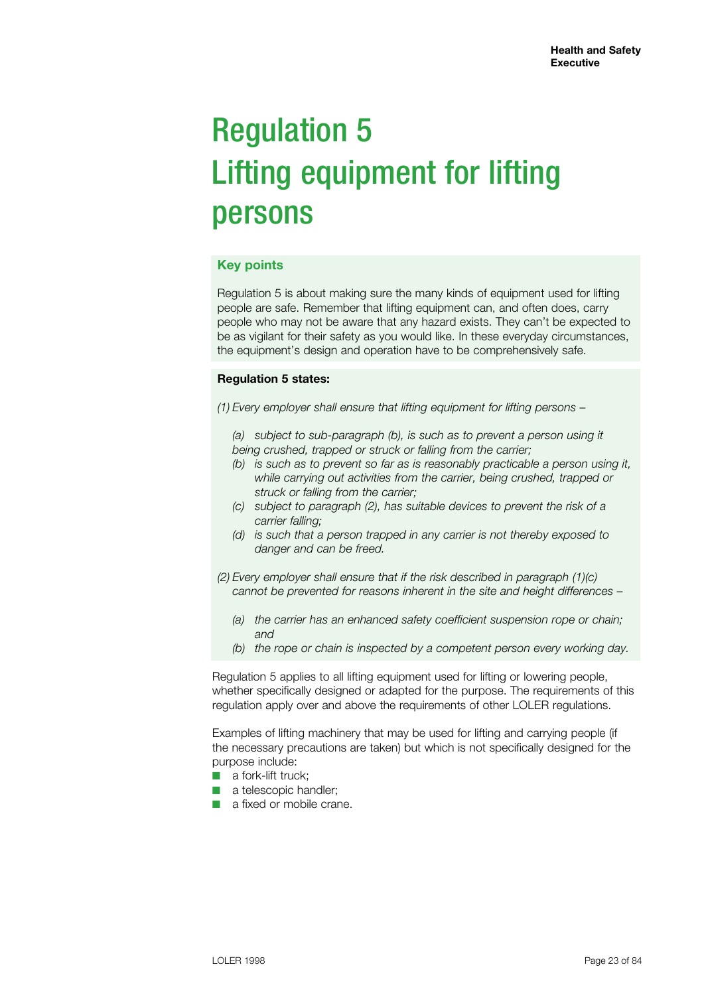# Regulation 5 Lifting equipment for lifting persons

# **Key points**

Regulation 5 is about making sure the many kinds of equipment used for lifting people are safe. Remember that lifting equipment can, and often does, carry people who may not be aware that any hazard exists. They can't be expected to be as vigilant for their safety as you would like. In these everyday circumstances, the equipment's design and operation have to be comprehensively safe.

# **Regulation 5 states:**

*(1) Every employer shall ensure that lifting equipment for lifting persons –*

*(a) subject to sub-paragraph (b), is such as to prevent a person using it being crushed, trapped or struck or falling from the carrier;*

- *(b) is such as to prevent so far as is reasonably practicable a person using it, while carrying out activities from the carrier, being crushed, trapped or struck or falling from the carrier;*
- *(c) subject to paragraph (2), has suitable devices to prevent the risk of a carrier falling;*
- *(d) is such that a person trapped in any carrier is not thereby exposed to danger and can be freed.*
- *(2) Every employer shall ensure that if the risk described in paragraph (1)(c) cannot be prevented for reasons inherent in the site and height differences –*
	- *(a) the carrier has an enhanced safety coefficient suspension rope or chain; and*
	- *(b) the rope or chain is inspected by a competent person every working day.*

Regulation 5 applies to all lifting equipment used for lifting or lowering people, whether specifically designed or adapted for the purpose. The requirements of this regulation apply over and above the requirements of other LOLER regulations.

Examples of lifting machinery that may be used for lifting and carrying people (if the necessary precautions are taken) but which is not specifically designed for the purpose include:

- $\blacksquare$  a fork-lift truck:
- $\blacksquare$  a telescopic handler;
- **n** a fixed or mobile crane.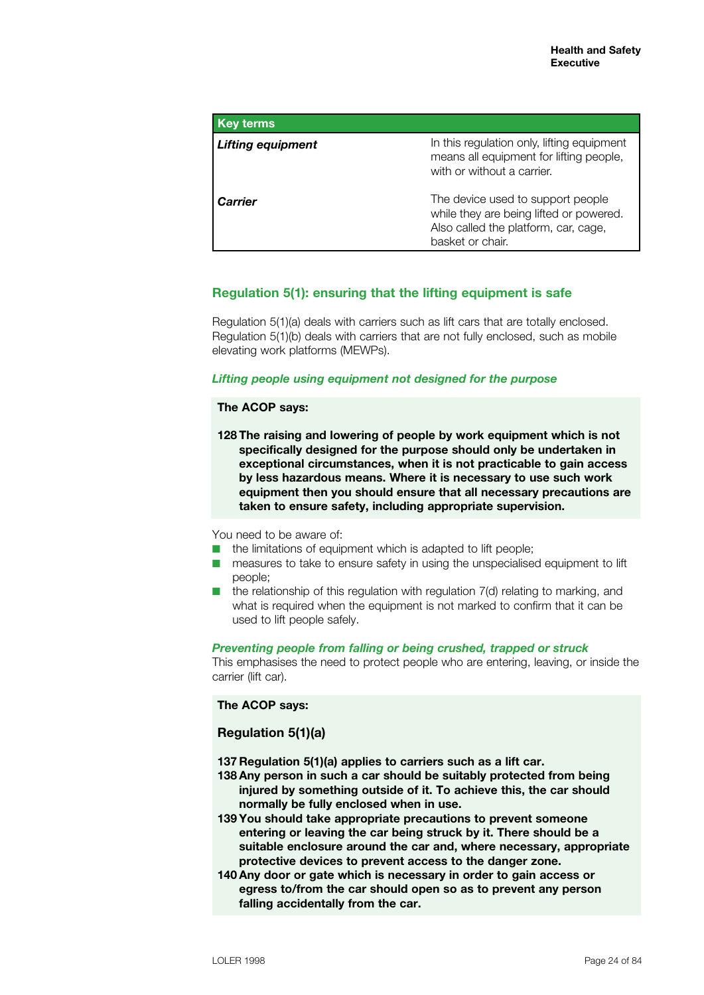| <b>Key terms</b>         |                                                                                                                                          |
|--------------------------|------------------------------------------------------------------------------------------------------------------------------------------|
| <b>Lifting equipment</b> | In this regulation only, lifting equipment<br>means all equipment for lifting people,<br>with or without a carrier.                      |
| <b>Carrier</b>           | The device used to support people<br>while they are being lifted or powered.<br>Also called the platform, car, cage,<br>basket or chair. |

# **Regulation 5(1): ensuring that the lifting equipment is safe**

Regulation 5(1)(a) deals with carriers such as lift cars that are totally enclosed. Regulation 5(1)(b) deals with carriers that are not fully enclosed, such as mobile elevating work platforms (MEWPs).

# *Lifting people using equipment not designed for the purpose*

### **The ACOP says:**

**128 The raising and lowering of people by work equipment which is not specifically designed for the purpose should only be undertaken in exceptional circumstances, when it is not practicable to gain access by less hazardous means. Where it is necessary to use such work equipment then you should ensure that all necessary precautions are taken to ensure safety, including appropriate supervision.**

You need to be aware of:

- $\blacksquare$  the limitations of equipment which is adapted to lift people;
- $\blacksquare$  measures to take to ensure safety in using the unspecialised equipment to lift people;
- $\blacksquare$  the relationship of this regulation with regulation 7(d) relating to marking, and what is required when the equipment is not marked to confirm that it can be used to lift people safely.

### *Preventing people from falling or being crushed, trapped or struck*

This emphasises the need to protect people who are entering, leaving, or inside the carrier (lift car).

# **The ACOP says:**

# **Regulation 5(1)(a)**

**137 Regulation 5(1)(a) applies to carriers such as a lift car.**

- **138 Any person in such a car should be suitably protected from being injured by something outside of it. To achieve this, the car should normally be fully enclosed when in use.**
- **139 You should take appropriate precautions to prevent someone entering or leaving the car being struck by it. There should be a suitable enclosure around the car and, where necessary, appropriate protective devices to prevent access to the danger zone.**
- **140 Any door or gate which is necessary in order to gain access or egress to/from the car should open so as to prevent any person falling accidentally from the car.**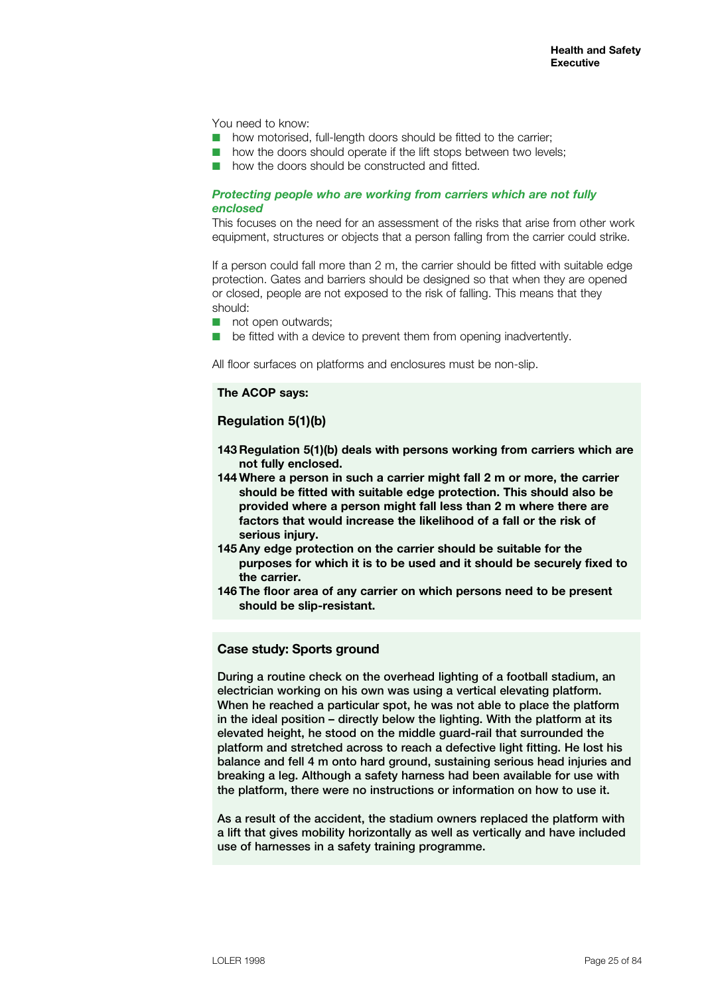You need to know:

- $\blacksquare$  how motorised, full-length doors should be fitted to the carrier;
- how the doors should operate if the lift stops between two levels;
- how the doors should be constructed and fitted.

### *Protecting people who are working from carriers which are not fully enclosed*

This focuses on the need for an assessment of the risks that arise from other work equipment, structures or objects that a person falling from the carrier could strike.

If a person could fall more than 2 m, the carrier should be fitted with suitable edge protection. Gates and barriers should be designed so that when they are opened or closed, people are not exposed to the risk of falling. This means that they should:

- $\blacksquare$  not open outwards:
- $\blacksquare$  be fitted with a device to prevent them from opening inadvertently.

All floor surfaces on platforms and enclosures must be non-slip.

# **The ACOP says:**

# **Regulation 5(1)(b)**

- **143 Regulation 5(1)(b) deals with persons working from carriers which are not fully enclosed.**
- **144 Where a person in such a carrier might fall 2 m or more, the carrier should be fitted with suitable edge protection. This should also be provided where a person might fall less than 2 m where there are factors that would increase the likelihood of a fall or the risk of serious injury.**
- **145 Any edge protection on the carrier should be suitable for the purposes for which it is to be used and it should be securely fixed to the carrier.**
- **146 The floor area of any carrier on which persons need to be present should be slip-resistant.**

#### **Case study: Sports ground**

During a routine check on the overhead lighting of a football stadium, an electrician working on his own was using a vertical elevating platform. When he reached a particular spot, he was not able to place the platform in the ideal position – directly below the lighting. With the platform at its elevated height, he stood on the middle guard-rail that surrounded the platform and stretched across to reach a defective light fitting. He lost his balance and fell 4 m onto hard ground, sustaining serious head injuries and breaking a leg. Although a safety harness had been available for use with the platform, there were no instructions or information on how to use it.

As a result of the accident, the stadium owners replaced the platform with a lift that gives mobility horizontally as well as vertically and have included use of harnesses in a safety training programme.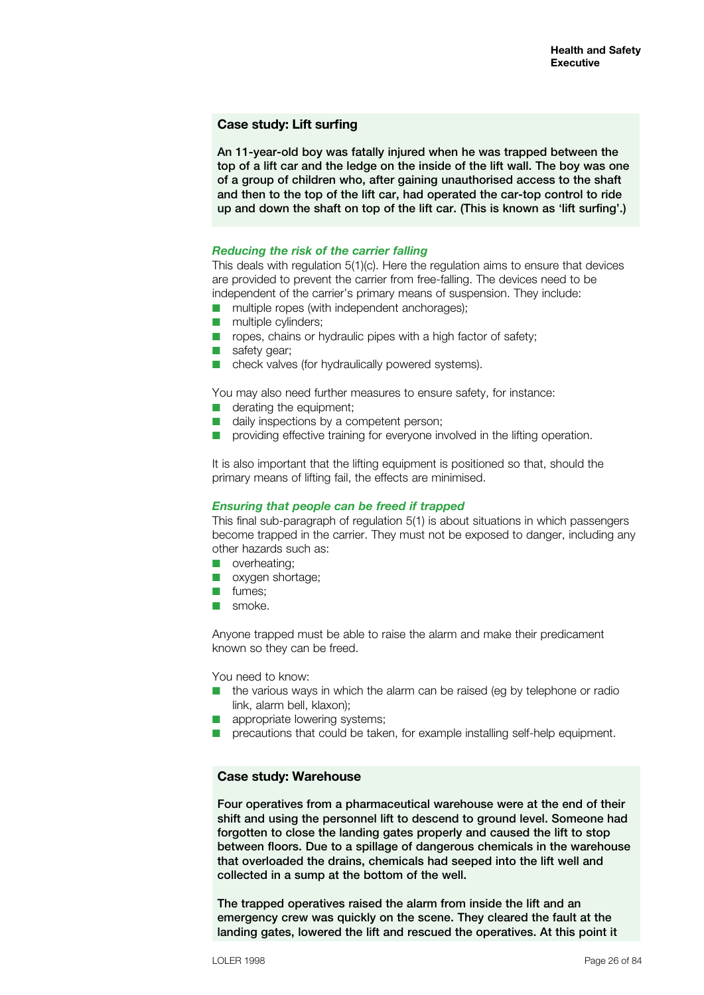### **Case study: Lift surfing**

An 11-year-old boy was fatally injured when he was trapped between the top of a lift car and the ledge on the inside of the lift wall. The boy was one of a group of children who, after gaining unauthorised access to the shaft and then to the top of the lift car, had operated the car-top control to ride up and down the shaft on top of the lift car. (This is known as 'lift surfing'.)

#### *Reducing the risk of the carrier falling*

This deals with regulation 5(1)(c). Here the regulation aims to ensure that devices are provided to prevent the carrier from free-falling. The devices need to be independent of the carrier's primary means of suspension. They include:

- $\blacksquare$  multiple ropes (with independent anchorages);
- $\blacksquare$  multiple cylinders;
- $\blacksquare$  ropes, chains or hydraulic pipes with a high factor of safety;
- $\blacksquare$  safety gear;
- $\blacksquare$  check valves (for hydraulically powered systems).

You may also need further measures to ensure safety, for instance:

- $\blacksquare$  derating the equipment;
- daily inspections by a competent person;
- providing effective training for everyone involved in the lifting operation.

It is also important that the lifting equipment is positioned so that, should the primary means of lifting fail, the effects are minimised.

#### *Ensuring that people can be freed if trapped*

This final sub-paragraph of regulation 5(1) is about situations in which passengers become trapped in the carrier. They must not be exposed to danger, including any other hazards such as:

- $\blacksquare$  overheating:
- n oxygen shortage:
- $\blacksquare$  fumes:
- $\Box$  smoke.

Anyone trapped must be able to raise the alarm and make their predicament known so they can be freed.

You need to know:

- $\blacksquare$  the various ways in which the alarm can be raised (eg by telephone or radio link, alarm bell, klaxon);
- $\blacksquare$  appropriate lowering systems:
- $\blacksquare$  precautions that could be taken, for example installing self-help equipment.

#### **Case study: Warehouse**

Four operatives from a pharmaceutical warehouse were at the end of their shift and using the personnel lift to descend to ground level. Someone had forgotten to close the landing gates properly and caused the lift to stop between floors. Due to a spillage of dangerous chemicals in the warehouse that overloaded the drains, chemicals had seeped into the lift well and collected in a sump at the bottom of the well.

The trapped operatives raised the alarm from inside the lift and an emergency crew was quickly on the scene. They cleared the fault at the landing gates, lowered the lift and rescued the operatives. At this point it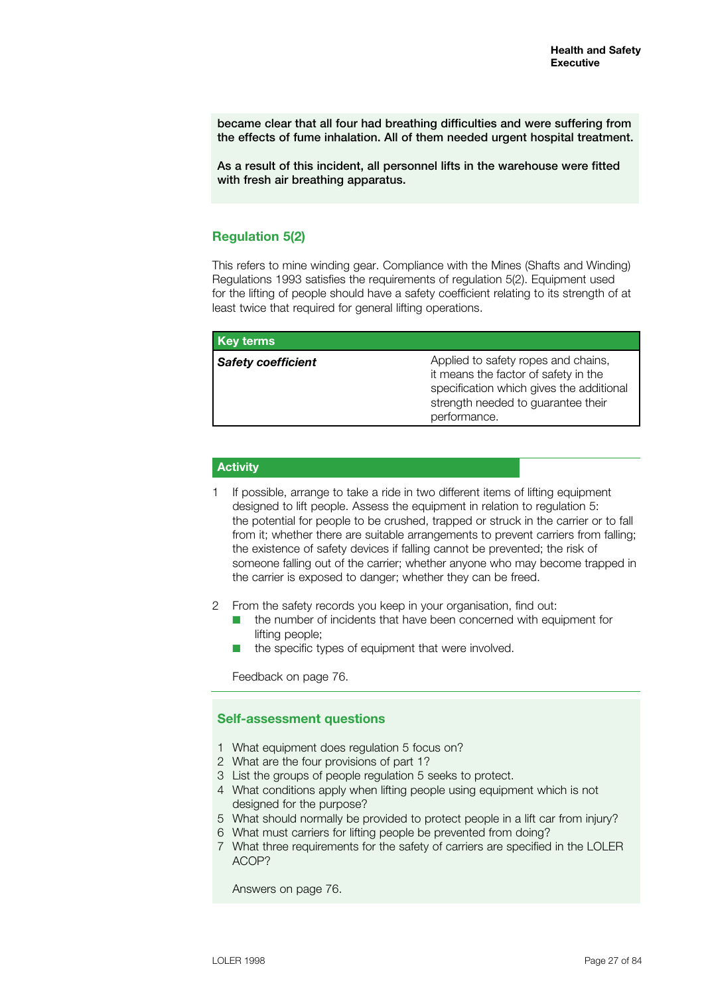became clear that all four had breathing difficulties and were suffering from the effects of fume inhalation. All of them needed urgent hospital treatment.

As a result of this incident, all personnel lifts in the warehouse were fitted with fresh air breathing apparatus.

# **Regulation 5(2)**

This refers to mine winding gear. Compliance with the Mines (Shafts and Winding) Regulations 1993 satisfies the requirements of regulation 5(2). Equipment used for the lifting of people should have a safety coefficient relating to its strength of at least twice that required for general lifting operations.

| Key terms                 |                                                                                                                                                                               |
|---------------------------|-------------------------------------------------------------------------------------------------------------------------------------------------------------------------------|
| <b>Safety coefficient</b> | Applied to safety ropes and chains,<br>it means the factor of safety in the<br>specification which gives the additional<br>strength needed to guarantee their<br>performance. |

### **Activity**

- 1 If possible, arrange to take a ride in two different items of lifting equipment designed to lift people. Assess the equipment in relation to regulation 5: the potential for people to be crushed, trapped or struck in the carrier or to fall from it; whether there are suitable arrangements to prevent carriers from falling; the existence of safety devices if falling cannot be prevented; the risk of someone falling out of the carrier; whether anyone who may become trapped in the carrier is exposed to danger; whether they can be freed.
- 2 From the safety records you keep in your organisation, find out:
	- the number of incidents that have been concerned with equipment for lifting people;
	- the specific types of equipment that were involved.

Feedback on page 76.

### **Self-assessment questions**

- 1 What equipment does regulation 5 focus on?
- 2 What are the four provisions of part 1?
- 3 List the groups of people regulation 5 seeks to protect.
- 4 What conditions apply when lifting people using equipment which is not designed for the purpose?
- 5 What should normally be provided to protect people in a lift car from injury?
- 6 What must carriers for lifting people be prevented from doing?
- 7 What three requirements for the safety of carriers are specified in the LOLER ACOP?

Answers on page 76.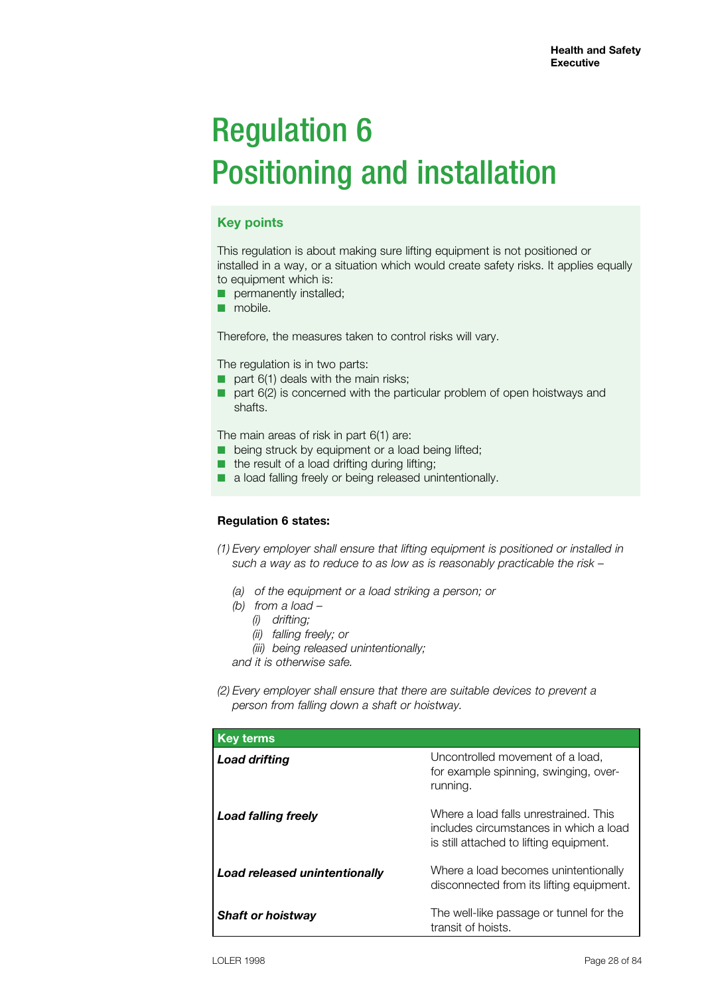# Regulation 6 Positioning and installation

# **Key points**

This regulation is about making sure lifting equipment is not positioned or installed in a way, or a situation which would create safety risks. It applies equally to equipment which is:

- **D** permanently installed;
- mobile.

Therefore, the measures taken to control risks will vary.

The regulation is in two parts:

- $\Box$  part 6(1) deals with the main risks;
- part 6(2) is concerned with the particular problem of open hoistways and shafts.

The main areas of risk in part 6(1) are:

- being struck by equipment or a load being lifted;
- the result of a load drifting during lifting;
- a load falling freely or being released unintentionally.

### **Regulation 6 states:**

- *(1) Every employer shall ensure that lifting equipment is positioned or installed in such a way as to reduce to as low as is reasonably practicable the risk –*
	- *(a) of the equipment or a load striking a person; or*
	- *(b) from a load –*
		- *(i) drifting;*
		- *(ii) falling freely; or*
		- *(iii) being released unintentionally;*

*and it is otherwise safe.*

*(2) Every employer shall ensure that there are suitable devices to prevent a person from falling down a shaft or hoistway.*

| <b>Key terms</b>              |                                                                                                                            |
|-------------------------------|----------------------------------------------------------------------------------------------------------------------------|
| <b>Load drifting</b>          | Uncontrolled movement of a load,<br>for example spinning, swinging, over-<br>running.                                      |
| Load falling freely           | Where a load falls unrestrained. This<br>includes circumstances in which a load<br>is still attached to lifting equipment. |
| Load released unintentionally | Where a load becomes unintentionally<br>disconnected from its lifting equipment.                                           |
| <b>Shaft or hoistway</b>      | The well-like passage or tunnel for the<br>transit of hoists.                                                              |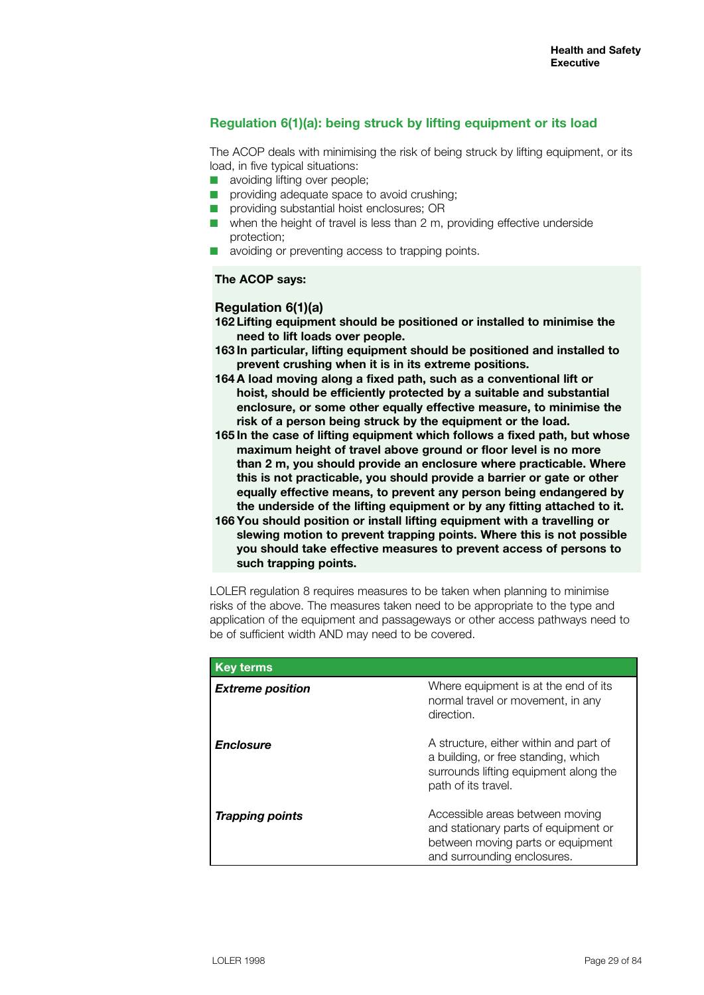# **Regulation 6(1)(a): being struck by lifting equipment or its load**

The ACOP deals with minimising the risk of being struck by lifting equipment, or its load, in five typical situations:

- $\blacksquare$  avoiding lifting over people;
- n providing adequate space to avoid crushing;
- $\blacksquare$  providing substantial hoist enclosures; OR
- $\blacksquare$  when the height of travel is less than 2 m, providing effective underside protection;
- avoiding or preventing access to trapping points.

#### **The ACOP says:**

### **Regulation 6(1)(a)**

- **162 Lifting equipment should be positioned or installed to minimise the need to lift loads over people.**
- **163 In particular, lifting equipment should be positioned and installed to prevent crushing when it is in its extreme positions.**
- **164 A load moving along a fixed path, such as a conventional lift or hoist, should be efficiently protected by a suitable and substantial enclosure, or some other equally effective measure, to minimise the risk of a person being struck by the equipment or the load.**
- **165 In the case of lifting equipment which follows a fixed path, but whose maximum height of travel above ground or floor level is no more than 2 m, you should provide an enclosure where practicable. Where this is not practicable, you should provide a barrier or gate or other equally effective means, to prevent any person being endangered by the underside of the lifting equipment or by any fitting attached to it.**
- **166 You should position or install lifting equipment with a travelling or slewing motion to prevent trapping points. Where this is not possible you should take effective measures to prevent access of persons to such trapping points.**

LOLER regulation 8 requires measures to be taken when planning to minimise risks of the above. The measures taken need to be appropriate to the type and application of the equipment and passageways or other access pathways need to be of sufficient width AND may need to be covered.

| <b>Key terms</b>        |                                                                                                                                               |
|-------------------------|-----------------------------------------------------------------------------------------------------------------------------------------------|
| <b>Extreme position</b> | Where equipment is at the end of its<br>normal travel or movement, in any<br>direction.                                                       |
| <b>Enclosure</b>        | A structure, either within and part of<br>a building, or free standing, which<br>surrounds lifting equipment along the<br>path of its travel. |
| <b>Trapping points</b>  | Accessible areas between moving<br>and stationary parts of equipment or<br>between moving parts or equipment<br>and surrounding enclosures.   |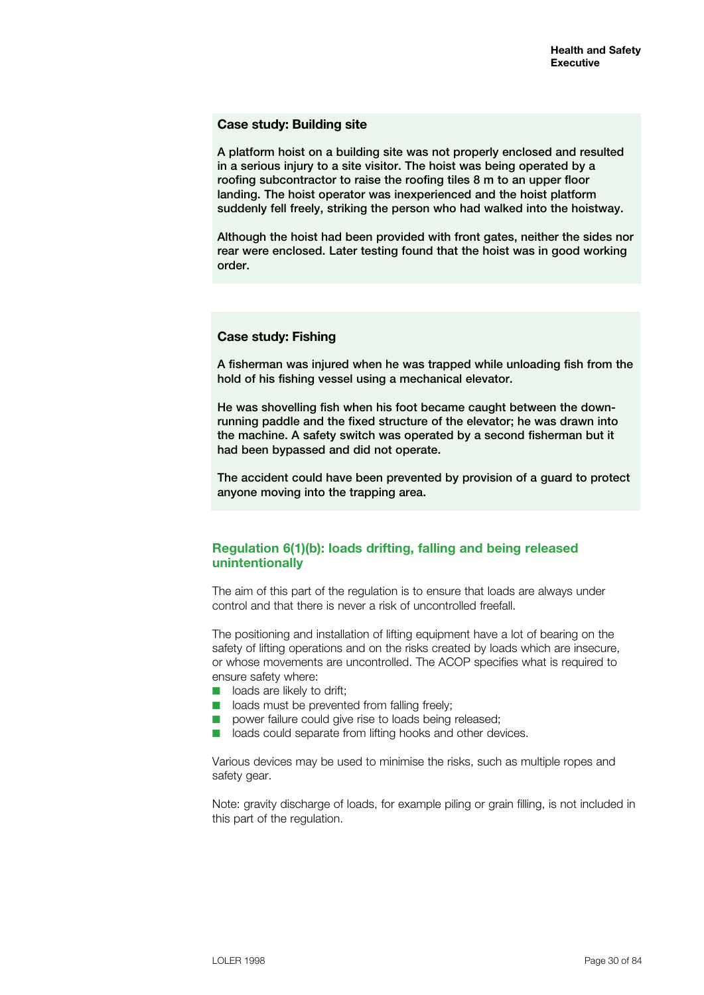### **Case study: Building site**

A platform hoist on a building site was not properly enclosed and resulted in a serious injury to a site visitor. The hoist was being operated by a roofing subcontractor to raise the roofing tiles 8 m to an upper floor landing. The hoist operator was inexperienced and the hoist platform suddenly fell freely, striking the person who had walked into the hoistway.

Although the hoist had been provided with front gates, neither the sides nor rear were enclosed. Later testing found that the hoist was in good working order.

# **Case study: Fishing**

A fisherman was injured when he was trapped while unloading fish from the hold of his fishing vessel using a mechanical elevator.

He was shovelling fish when his foot became caught between the downrunning paddle and the fixed structure of the elevator; he was drawn into the machine. A safety switch was operated by a second fisherman but it had been bypassed and did not operate.

The accident could have been prevented by provision of a guard to protect anyone moving into the trapping area.

# **Regulation 6(1)(b): loads drifting, falling and being released unintentionally**

The aim of this part of the regulation is to ensure that loads are always under control and that there is never a risk of uncontrolled freefall.

The positioning and installation of lifting equipment have a lot of bearing on the safety of lifting operations and on the risks created by loads which are insecure, or whose movements are uncontrolled. The ACOP specifies what is required to ensure safety where:

- $\blacksquare$  loads are likely to drift:
- $\blacksquare$  loads must be prevented from falling freely;
- $\blacksquare$  power failure could give rise to loads being released;
- n loads could separate from lifting hooks and other devices.

Various devices may be used to minimise the risks, such as multiple ropes and safety gear.

Note: gravity discharge of loads, for example piling or grain filling, is not included in this part of the regulation.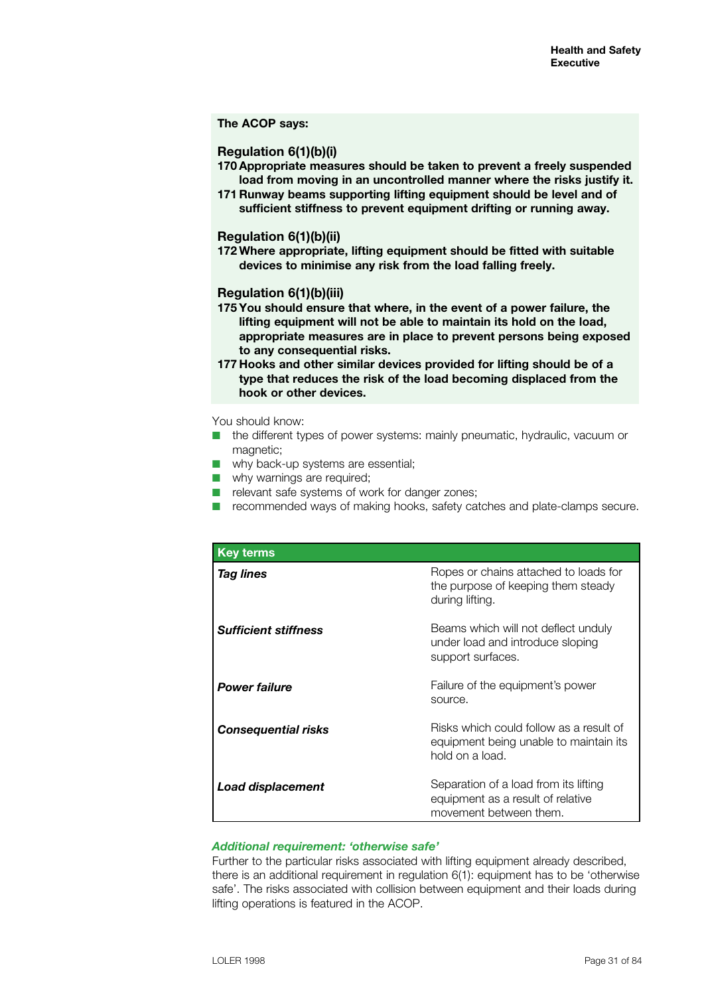#### **The ACOP says:**

#### **Regulation 6(1)(b)(i)**

- **170 Appropriate measures should be taken to prevent a freely suspended load from moving in an uncontrolled manner where the risks justify it.**
- **171 Runway beams supporting lifting equipment should be level and of sufficient stiffness to prevent equipment drifting or running away.**

#### **Regulation 6(1)(b)(ii)**

**172 Where appropriate, lifting equipment should be fitted with suitable devices to minimise any risk from the load falling freely.**

#### **Regulation 6(1)(b)(iii)**

- **175 You should ensure that where, in the event of a power failure, the lifting equipment will not be able to maintain its hold on the load, appropriate measures are in place to prevent persons being exposed to any consequential risks.**
- **177 Hooks and other similar devices provided for lifting should be of a type that reduces the risk of the load becoming displaced from the hook or other devices.**

#### You should know:

- $\blacksquare$  the different types of power systems: mainly pneumatic, hydraulic, vacuum or magnetic;
- $\blacksquare$  why back-up systems are essential;
- $\blacksquare$  why warnings are required;
- $\blacksquare$  relevant safe systems of work for danger zones;
- $\blacksquare$  recommended ways of making hooks, safety catches and plate-clamps secure.

| <b>Key terms</b>            |                                                                                                      |
|-----------------------------|------------------------------------------------------------------------------------------------------|
| <b>Tag lines</b>            | Ropes or chains attached to loads for<br>the purpose of keeping them steady<br>during lifting.       |
| <b>Sufficient stiffness</b> | Beams which will not deflect unduly<br>under load and introduce sloping<br>support surfaces.         |
| <b>Power failure</b>        | Failure of the equipment's power<br>source.                                                          |
| <b>Consequential risks</b>  | Risks which could follow as a result of<br>equipment being unable to maintain its<br>hold on a load. |
| <b>Load displacement</b>    | Separation of a load from its lifting<br>equipment as a result of relative<br>movement between them. |

# *Additional requirement: 'otherwise safe'*

Further to the particular risks associated with lifting equipment already described, there is an additional requirement in regulation 6(1): equipment has to be 'otherwise safe'. The risks associated with collision between equipment and their loads during lifting operations is featured in the ACOP.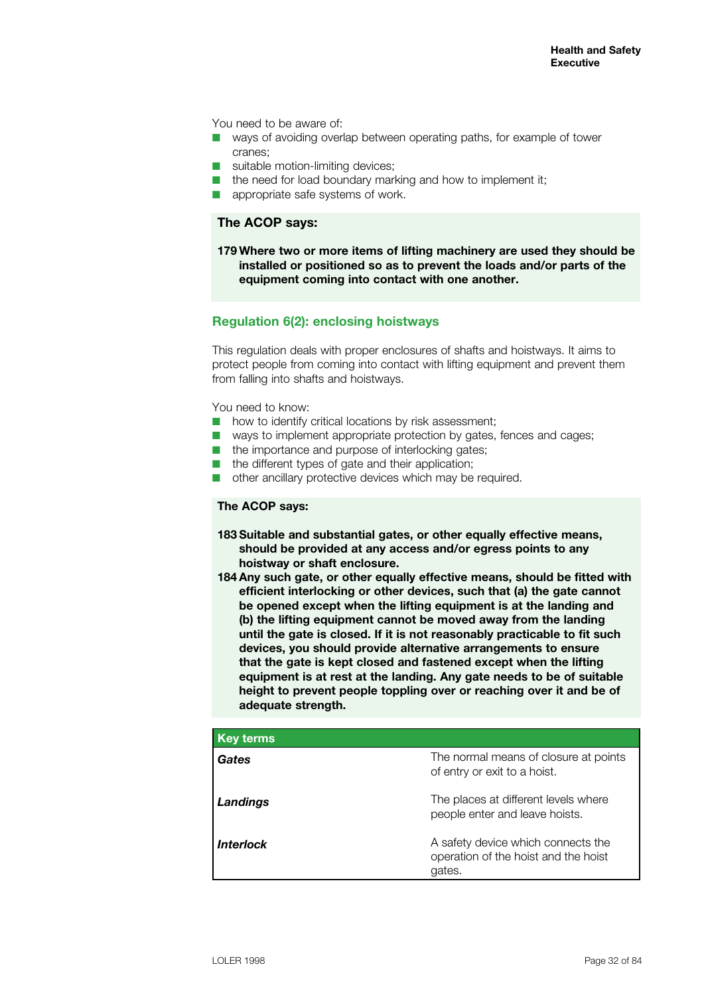You need to be aware of:

- $\blacksquare$  ways of avoiding overlap between operating paths, for example of tower cranes;
- $\blacksquare$  suitable motion-limiting devices:
- $\blacksquare$  the need for load boundary marking and how to implement it;
- appropriate safe systems of work.

# **The ACOP says:**

**179 Where two or more items of lifting machinery are used they should be installed or positioned so as to prevent the loads and/or parts of the equipment coming into contact with one another.**

# **Regulation 6(2): enclosing hoistways**

This regulation deals with proper enclosures of shafts and hoistways. It aims to protect people from coming into contact with lifting equipment and prevent them from falling into shafts and hoistways.

You need to know:

- $\blacksquare$  how to identify critical locations by risk assessment;
- $\blacksquare$  ways to implement appropriate protection by gates, fences and cages;
- $\blacksquare$  the importance and purpose of interlocking gates;
- $\blacksquare$  the different types of gate and their application;
- $\blacksquare$  other ancillary protective devices which may be required.

### **The ACOP says:**

- **183 Suitable and substantial gates, or other equally effective means, should be provided at any access and/or egress points to any hoistway or shaft enclosure.**
- **184 Any such gate, or other equally effective means, should be fitted with efficient interlocking or other devices, such that (a) the gate cannot be opened except when the lifting equipment is at the landing and (b) the lifting equipment cannot be moved away from the landing until the gate is closed. If it is not reasonably practicable to fit such devices, you should provide alternative arrangements to ensure that the gate is kept closed and fastened except when the lifting equipment is at rest at the landing. Any gate needs to be of suitable height to prevent people toppling over or reaching over it and be of adequate strength.**

| <b>Key terms</b> |                                                                                      |
|------------------|--------------------------------------------------------------------------------------|
| Gates            | The normal means of closure at points<br>of entry or exit to a hoist.                |
| Landings         | The places at different levels where<br>people enter and leave hoists.               |
| <b>Interlock</b> | A safety device which connects the<br>operation of the hoist and the hoist<br>gates. |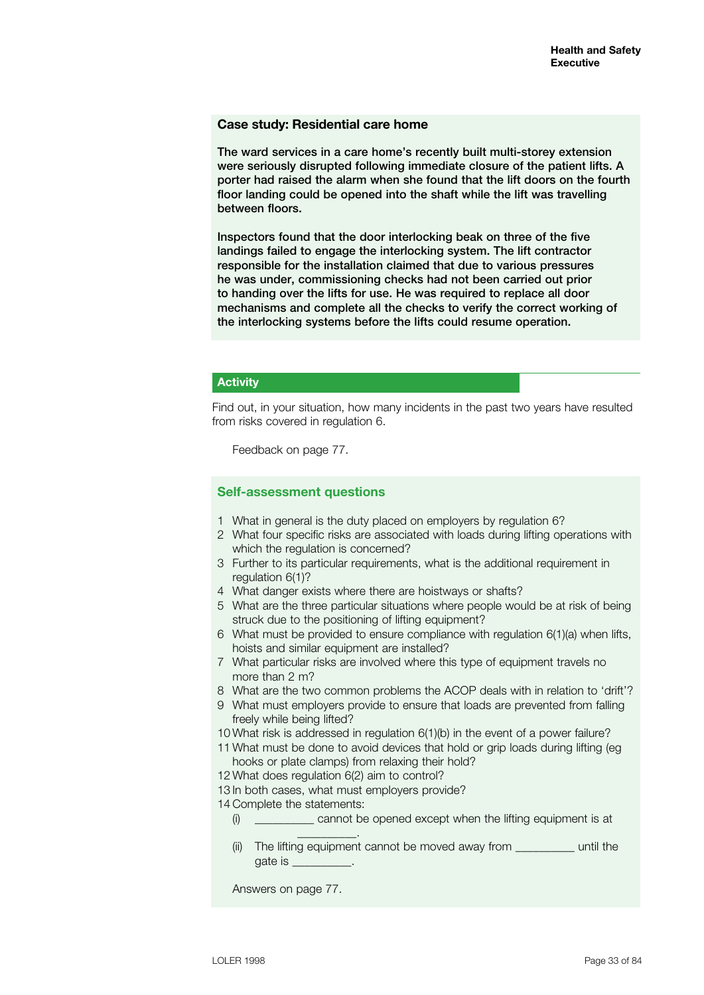#### **Case study: Residential care home**

The ward services in a care home's recently built multi-storey extension were seriously disrupted following immediate closure of the patient lifts. A porter had raised the alarm when she found that the lift doors on the fourth floor landing could be opened into the shaft while the lift was travelling between floors.

Inspectors found that the door interlocking beak on three of the five landings failed to engage the interlocking system. The lift contractor responsible for the installation claimed that due to various pressures he was under, commissioning checks had not been carried out prior to handing over the lifts for use. He was required to replace all door mechanisms and complete all the checks to verify the correct working of the interlocking systems before the lifts could resume operation.

# **Activity**

Find out, in your situation, how many incidents in the past two years have resulted from risks covered in regulation 6.

Feedback on page 77.

### **Self-assessment questions**

- 1 What in general is the duty placed on employers by regulation 6?
- 2 What four specific risks are associated with loads during lifting operations with which the regulation is concerned?
- 3 Further to its particular requirements, what is the additional requirement in regulation 6(1)?
- 4 What danger exists where there are hoistways or shafts?
- 5 What are the three particular situations where people would be at risk of being struck due to the positioning of lifting equipment?
- 6 What must be provided to ensure compliance with regulation 6(1)(a) when lifts, hoists and similar equipment are installed?
- 7 What particular risks are involved where this type of equipment travels no more than 2 m?
- 8 What are the two common problems the ACOP deals with in relation to 'drift'?
- 9 What must employers provide to ensure that loads are prevented from falling freely while being lifted?
- 10 What risk is addressed in regulation 6(1)(b) in the event of a power failure?
- 11 What must be done to avoid devices that hold or grip loads during lifting (eg hooks or plate clamps) from relaxing their hold?
- 12 What does regulation 6(2) aim to control?
- 13 In both cases, what must employers provide?

14 Complete the statements:

 $\frac{1}{2}$  , and the set of  $\frac{1}{2}$  , and the set of  $\frac{1}{2}$ 

- (i) \_\_\_\_\_\_\_\_\_\_ cannot be opened except when the lifting equipment is at
- (ii) The lifting equipment cannot be moved away from equipment the gate is \_\_\_\_\_\_\_\_\_\_.

Answers on page 77.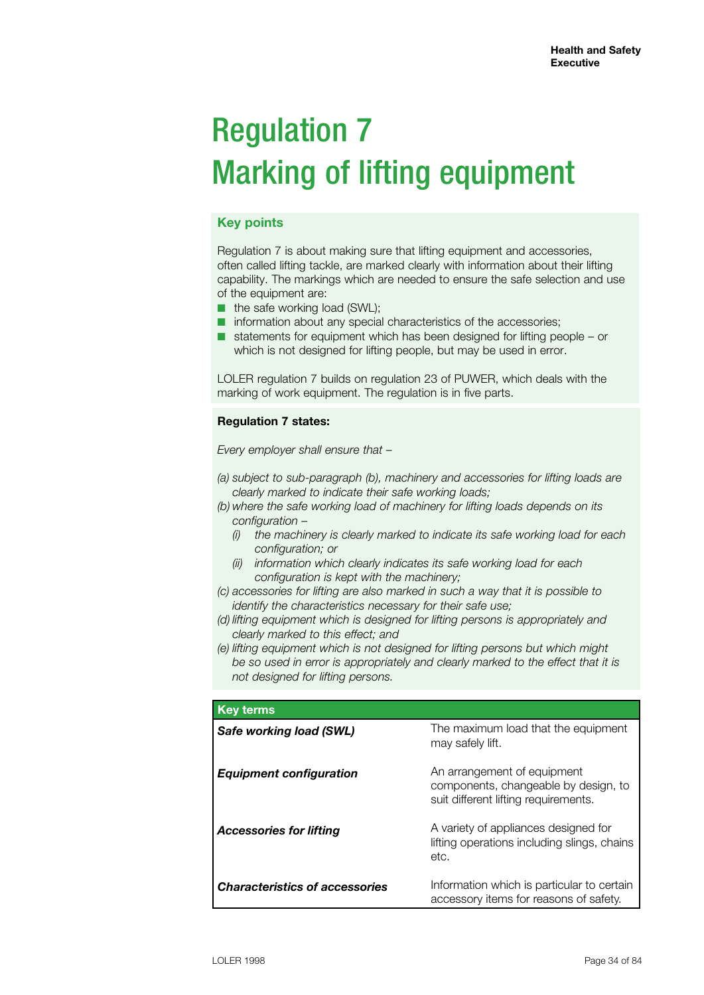# Regulation 7 Marking of lifting equipment

# **Key points**

Regulation 7 is about making sure that lifting equipment and accessories, often called lifting tackle, are marked clearly with information about their lifting capability. The markings which are needed to ensure the safe selection and use of the equipment are:

- the safe working load (SWL);
- information about any special characteristics of the accessories;
- statements for equipment which has been designed for lifting people or which is not designed for lifting people, but may be used in error.

LOLER regulation 7 builds on regulation 23 of PUWER, which deals with the marking of work equipment. The regulation is in five parts.

### **Regulation 7 states:**

*Every employer shall ensure that –*

- *(a) subject to sub-paragraph (b), machinery and accessories for lifting loads are clearly marked to indicate their safe working loads;*
- *(b) where the safe working load of machinery for lifting loads depends on its configuration –*
	- *(i) the machinery is clearly marked to indicate its safe working load for each configuration; or*
	- *(ii) information which clearly indicates its safe working load for each configuration is kept with the machinery;*
- *(c) accessories for lifting are also marked in such a way that it is possible to identify the characteristics necessary for their safe use;*
- *(d) lifting equipment which is designed for lifting persons is appropriately and clearly marked to this effect; and*
- *(e) lifting equipment which is not designed for lifting persons but which might be so used in error is appropriately and clearly marked to the effect that it is not designed for lifting persons.*

| <b>Key terms</b>                      |                                                                                                             |
|---------------------------------------|-------------------------------------------------------------------------------------------------------------|
| Safe working load (SWL)               | The maximum load that the equipment<br>may safely lift.                                                     |
| <b>Equipment configuration</b>        | An arrangement of equipment<br>components, changeable by design, to<br>suit different lifting requirements. |
| <b>Accessories for lifting</b>        | A variety of appliances designed for<br>lifting operations including slings, chains<br>etc.                 |
| <b>Characteristics of accessories</b> | Information which is particular to certain<br>accessory items for reasons of safety.                        |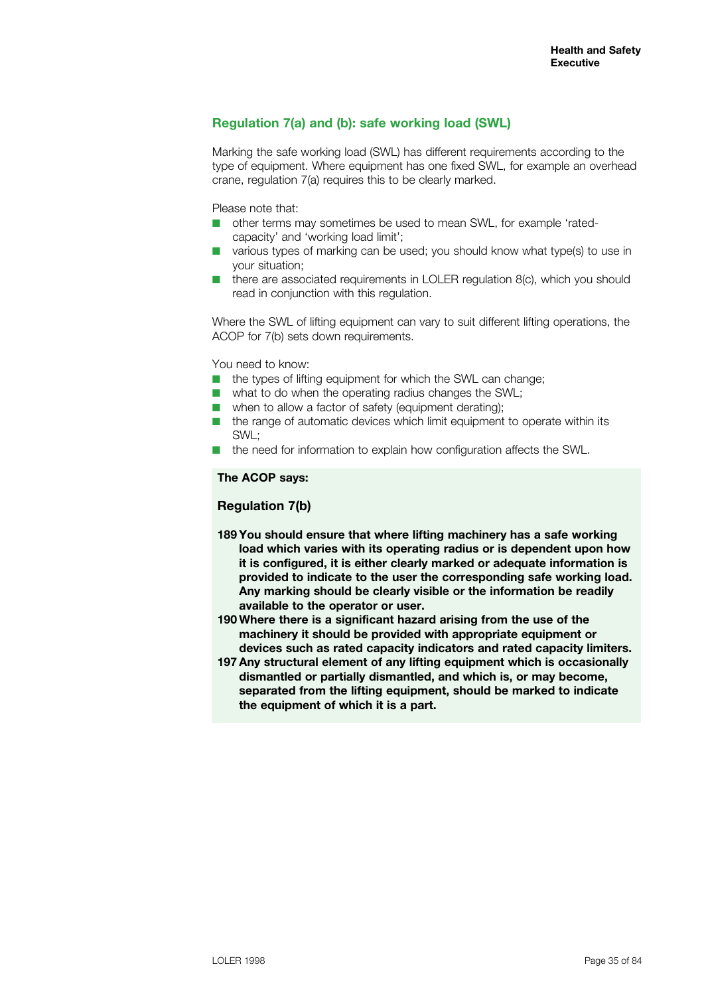# **Regulation 7(a) and (b): safe working load (SWL)**

Marking the safe working load (SWL) has different requirements according to the type of equipment. Where equipment has one fixed SWL, for example an overhead crane, regulation 7(a) requires this to be clearly marked.

Please note that:

- n other terms may sometimes be used to mean SWL, for example 'ratedcapacity' and 'working load limit';
- various types of marking can be used; you should know what type(s) to use in your situation;
- $\blacksquare$  there are associated requirements in LOLER regulation 8(c), which you should read in conjunction with this regulation.

Where the SWL of lifting equipment can vary to suit different lifting operations, the ACOP for 7(b) sets down requirements.

You need to know:

- $\blacksquare$  the types of lifting equipment for which the SWL can change;
- $\blacksquare$  what to do when the operating radius changes the SWL;
- $\blacksquare$  when to allow a factor of safety (equipment derating);
- $\blacksquare$  the range of automatic devices which limit equipment to operate within its SWL;
- $\blacksquare$  the need for information to explain how configuration affects the SWL.

#### **The ACOP says:**

### **Regulation 7(b)**

- **189 You should ensure that where lifting machinery has a safe working load which varies with its operating radius or is dependent upon how it is configured, it is either clearly marked or adequate information is provided to indicate to the user the corresponding safe working load. Any marking should be clearly visible or the information be readily available to the operator or user.**
- **190 Where there is a significant hazard arising from the use of the machinery it should be provided with appropriate equipment or devices such as rated capacity indicators and rated capacity limiters.**
- **197 Any structural element of any lifting equipment which is occasionally dismantled or partially dismantled, and which is, or may become, separated from the lifting equipment, should be marked to indicate the equipment of which it is a part.**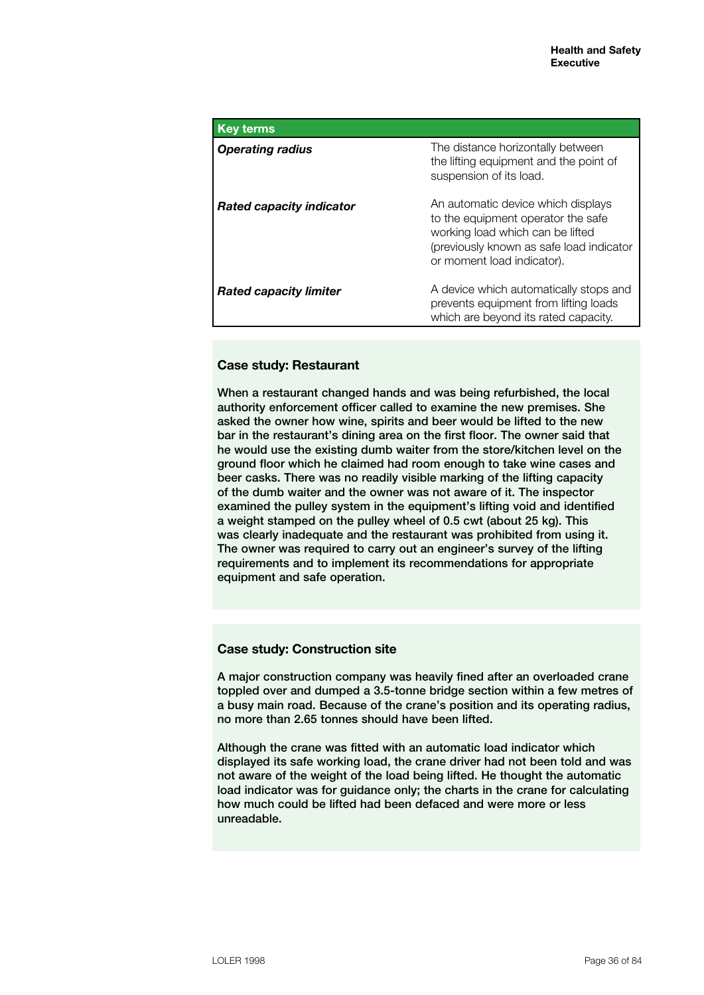| <b>Key terms</b>                |                                                                                                                                                                                        |
|---------------------------------|----------------------------------------------------------------------------------------------------------------------------------------------------------------------------------------|
| <b>Operating radius</b>         | The distance horizontally between<br>the lifting equipment and the point of<br>suspension of its load.                                                                                 |
| <b>Rated capacity indicator</b> | An automatic device which displays<br>to the equipment operator the safe<br>working load which can be lifted<br>(previously known as safe load indicator<br>or moment load indicator). |
| <b>Rated capacity limiter</b>   | A device which automatically stops and<br>prevents equipment from lifting loads<br>which are beyond its rated capacity.                                                                |

# **Case study: Restaurant**

When a restaurant changed hands and was being refurbished, the local authority enforcement officer called to examine the new premises. She asked the owner how wine, spirits and beer would be lifted to the new bar in the restaurant's dining area on the first floor. The owner said that he would use the existing dumb waiter from the store/kitchen level on the ground floor which he claimed had room enough to take wine cases and beer casks. There was no readily visible marking of the lifting capacity of the dumb waiter and the owner was not aware of it. The inspector examined the pulley system in the equipment's lifting void and identified a weight stamped on the pulley wheel of 0.5 cwt (about 25 kg). This was clearly inadequate and the restaurant was prohibited from using it. The owner was required to carry out an engineer's survey of the lifting requirements and to implement its recommendations for appropriate equipment and safe operation.

### **Case study: Construction site**

A major construction company was heavily fined after an overloaded crane toppled over and dumped a 3.5-tonne bridge section within a few metres of a busy main road. Because of the crane's position and its operating radius, no more than 2.65 tonnes should have been lifted.

Although the crane was fitted with an automatic load indicator which displayed its safe working load, the crane driver had not been told and was not aware of the weight of the load being lifted. He thought the automatic load indicator was for guidance only; the charts in the crane for calculating how much could be lifted had been defaced and were more or less unreadable.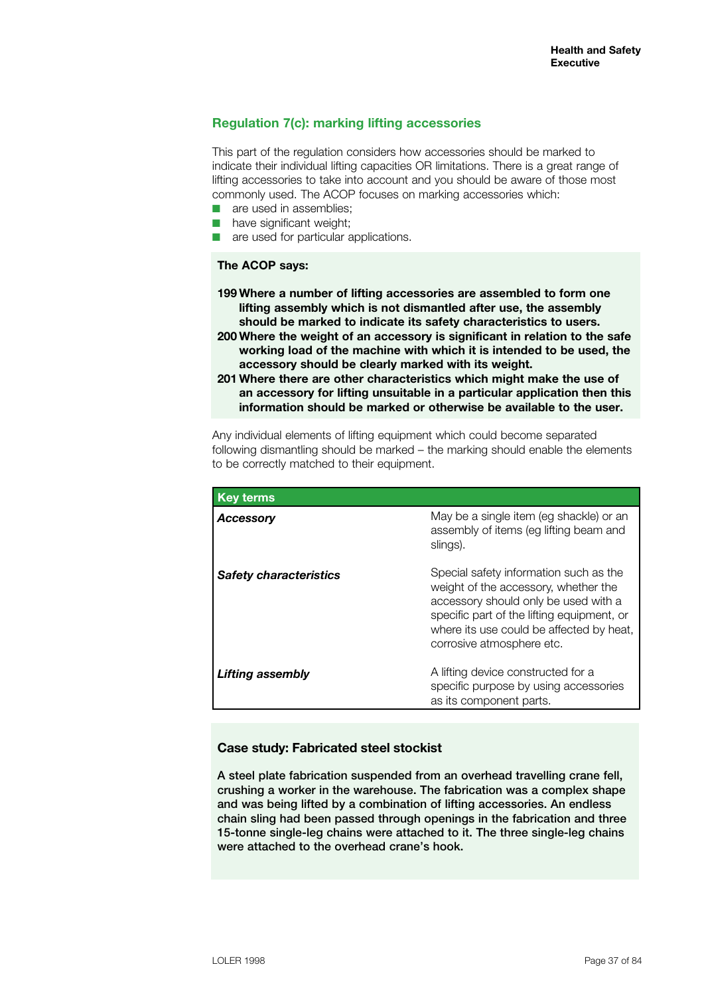## **Regulation 7(c): marking lifting accessories**

This part of the regulation considers how accessories should be marked to indicate their individual lifting capacities OR limitations. There is a great range of lifting accessories to take into account and you should be aware of those most commonly used. The ACOP focuses on marking accessories which:

- are used in assemblies;
- $\blacksquare$  have significant weight;
- are used for particular applications.

### **The ACOP says:**

- **199 Where a number of lifting accessories are assembled to form one lifting assembly which is not dismantled after use, the assembly should be marked to indicate its safety characteristics to users.**
- **200 Where the weight of an accessory is significant in relation to the safe working load of the machine with which it is intended to be used, the accessory should be clearly marked with its weight.**
- **201 Where there are other characteristics which might make the use of an accessory for lifting unsuitable in a particular application then this information should be marked or otherwise be available to the user.**

Any individual elements of lifting equipment which could become separated following dismantling should be marked – the marking should enable the elements to be correctly matched to their equipment.

| <b>Key terms</b>              |                                                                                                                                                                                                                                               |
|-------------------------------|-----------------------------------------------------------------------------------------------------------------------------------------------------------------------------------------------------------------------------------------------|
| <b>Accessory</b>              | May be a single item (eg shackle) or an<br>assembly of items (eg lifting beam and<br>slings).                                                                                                                                                 |
| <b>Safety characteristics</b> | Special safety information such as the<br>weight of the accessory, whether the<br>accessory should only be used with a<br>specific part of the lifting equipment, or<br>where its use could be affected by heat,<br>corrosive atmosphere etc. |
| Lifting assembly              | A lifting device constructed for a<br>specific purpose by using accessories<br>as its component parts.                                                                                                                                        |

### **Case study: Fabricated steel stockist**

A steel plate fabrication suspended from an overhead travelling crane fell, crushing a worker in the warehouse. The fabrication was a complex shape and was being lifted by a combination of lifting accessories. An endless chain sling had been passed through openings in the fabrication and three 15-tonne single-leg chains were attached to it. The three single-leg chains were attached to the overhead crane's hook.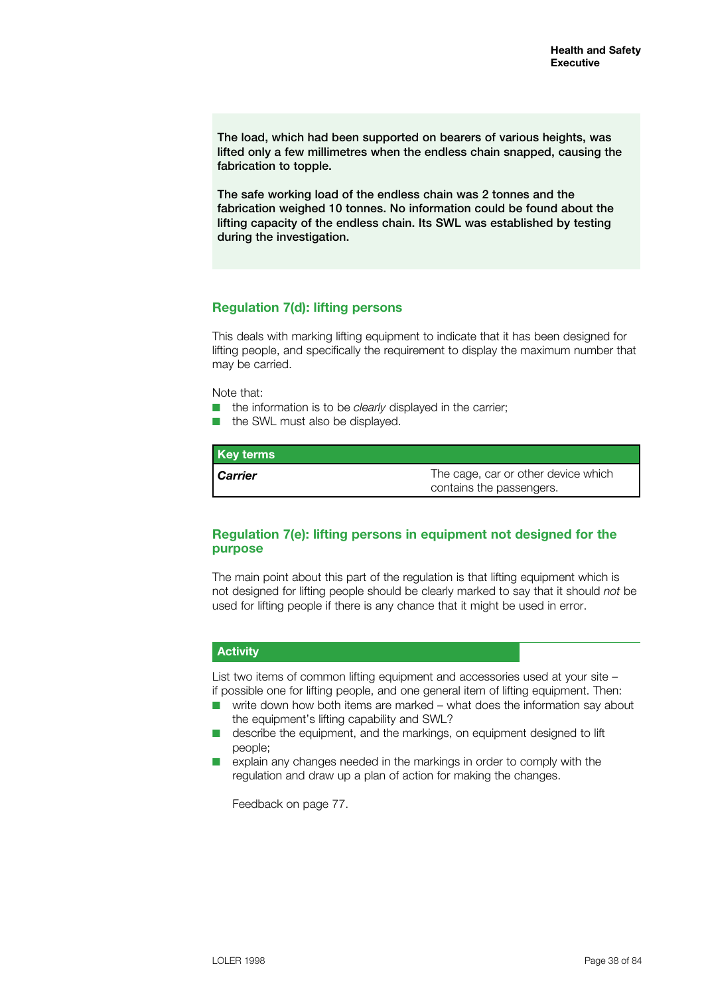The load, which had been supported on bearers of various heights, was lifted only a few millimetres when the endless chain snapped, causing the fabrication to topple.

The safe working load of the endless chain was 2 tonnes and the fabrication weighed 10 tonnes. No information could be found about the lifting capacity of the endless chain. Its SWL was established by testing during the investigation.

## **Regulation 7(d): lifting persons**

This deals with marking lifting equipment to indicate that it has been designed for lifting people, and specifically the requirement to display the maximum number that may be carried.

Note that:

- **n** the information is to be *clearly* displayed in the carrier;
- the SWL must also be displayed.

| <b>Key terms</b> |                                                                 |
|------------------|-----------------------------------------------------------------|
| <b>Carrier</b>   | The cage, car or other device which<br>contains the passengers. |

## **Regulation 7(e): lifting persons in equipment not designed for the purpose**

The main point about this part of the regulation is that lifting equipment which is not designed for lifting people should be clearly marked to say that it should *not* be used for lifting people if there is any chance that it might be used in error.

## **Activity**

List two items of common lifting equipment and accessories used at your site – if possible one for lifting people, and one general item of lifting equipment. Then:

- $\blacksquare$  write down how both items are marked what does the information say about the equipment's lifting capability and SWL?
- describe the equipment, and the markings, on equipment designed to lift people;
- $\blacksquare$  explain any changes needed in the markings in order to comply with the regulation and draw up a plan of action for making the changes.

Feedback on page 77.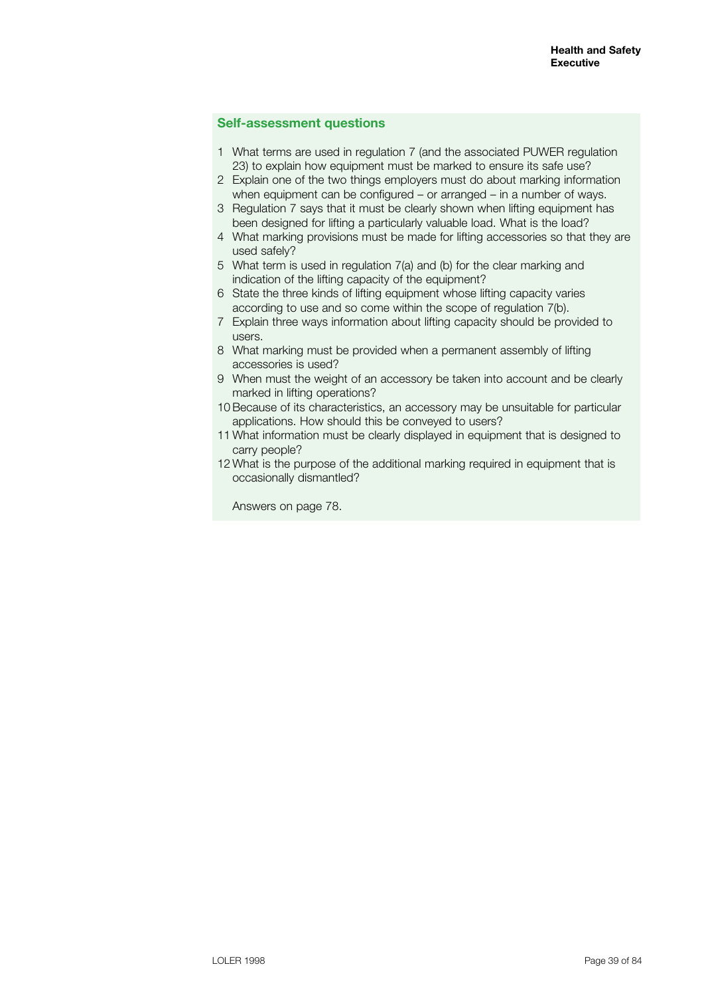## **Self-assessment questions**

- 1 What terms are used in regulation 7 (and the associated PUWER regulation 23) to explain how equipment must be marked to ensure its safe use?
- 2 Explain one of the two things employers must do about marking information when equipment can be configured – or arranged – in a number of ways.
- 3 Regulation 7 says that it must be clearly shown when lifting equipment has been designed for lifting a particularly valuable load. What is the load?
- 4 What marking provisions must be made for lifting accessories so that they are used safely?
- 5 What term is used in regulation 7(a) and (b) for the clear marking and indication of the lifting capacity of the equipment?
- 6 State the three kinds of lifting equipment whose lifting capacity varies according to use and so come within the scope of regulation 7(b).
- 7 Explain three ways information about lifting capacity should be provided to users.
- 8 What marking must be provided when a permanent assembly of lifting accessories is used?
- 9 When must the weight of an accessory be taken into account and be clearly marked in lifting operations?
- 10Because of its characteristics, an accessory may be unsuitable for particular applications. How should this be conveyed to users?
- 11 What information must be clearly displayed in equipment that is designed to carry people?
- 12 What is the purpose of the additional marking required in equipment that is occasionally dismantled?

Answers on page 78.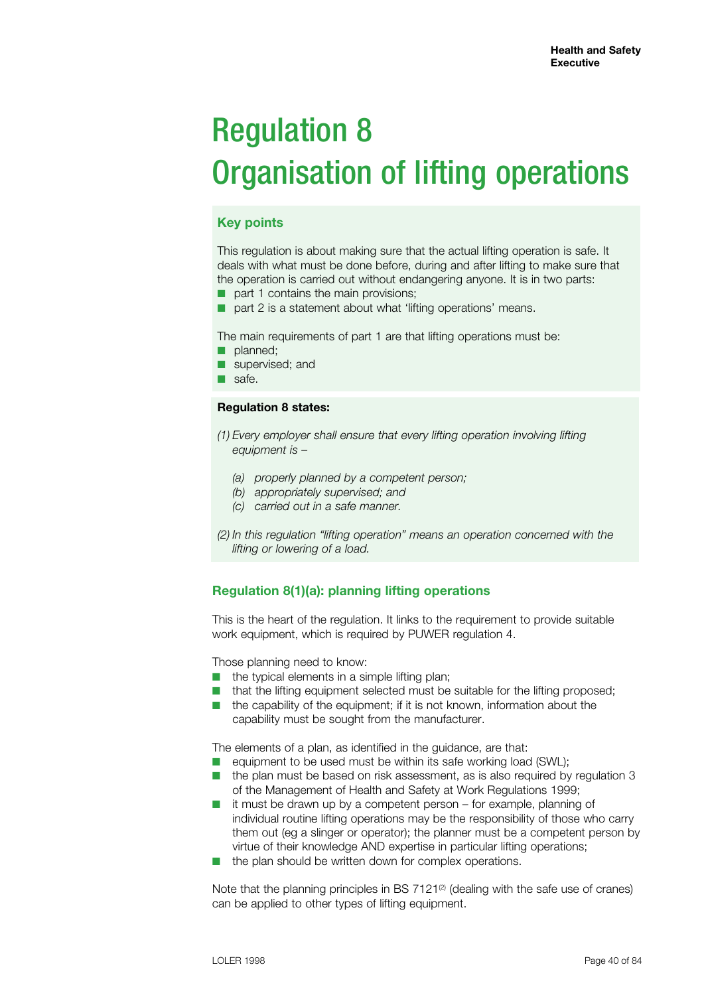# Regulation 8 Organisation of lifting operations

## **Key points**

This regulation is about making sure that the actual lifting operation is safe. It deals with what must be done before, during and after lifting to make sure that the operation is carried out without endangering anyone. It is in two parts:

- part 1 contains the main provisions;
- part 2 is a statement about what 'lifting operations' means.

The main requirements of part 1 are that lifting operations must be:

- planned;
- supervised; and
- safe.

#### **Regulation 8 states:**

- *(1) Every employer shall ensure that every lifting operation involving lifting equipment is –*
	- *(a) properly planned by a competent person;*
	- *(b) appropriately supervised; and*
	- *(c) carried out in a safe manner.*
- *(2) In this regulation "lifting operation" means an operation concerned with the lifting or lowering of a load.*

## **Regulation 8(1)(a): planning lifting operations**

This is the heart of the regulation. It links to the requirement to provide suitable work equipment, which is required by PUWER regulation 4.

Those planning need to know:

- $\blacksquare$  the typical elements in a simple lifting plan;
- $\blacksquare$  that the lifting equipment selected must be suitable for the lifting proposed;
- $\blacksquare$  the capability of the equipment; if it is not known, information about the capability must be sought from the manufacturer.

The elements of a plan, as identified in the guidance, are that:

- $\blacksquare$  equipment to be used must be within its safe working load (SWL):
- $\blacksquare$  the plan must be based on risk assessment, as is also required by requiation 3 of the Management of Health and Safety at Work Regulations 1999;
- $\blacksquare$  it must be drawn up by a competent person for example, planning of individual routine lifting operations may be the responsibility of those who carry them out (eg a slinger or operator); the planner must be a competent person by virtue of their knowledge AND expertise in particular lifting operations;
- $\blacksquare$  the plan should be written down for complex operations.

Note that the planning principles in BS  $7121<sup>(2)</sup>$  (dealing with the safe use of cranes) can be applied to other types of lifting equipment.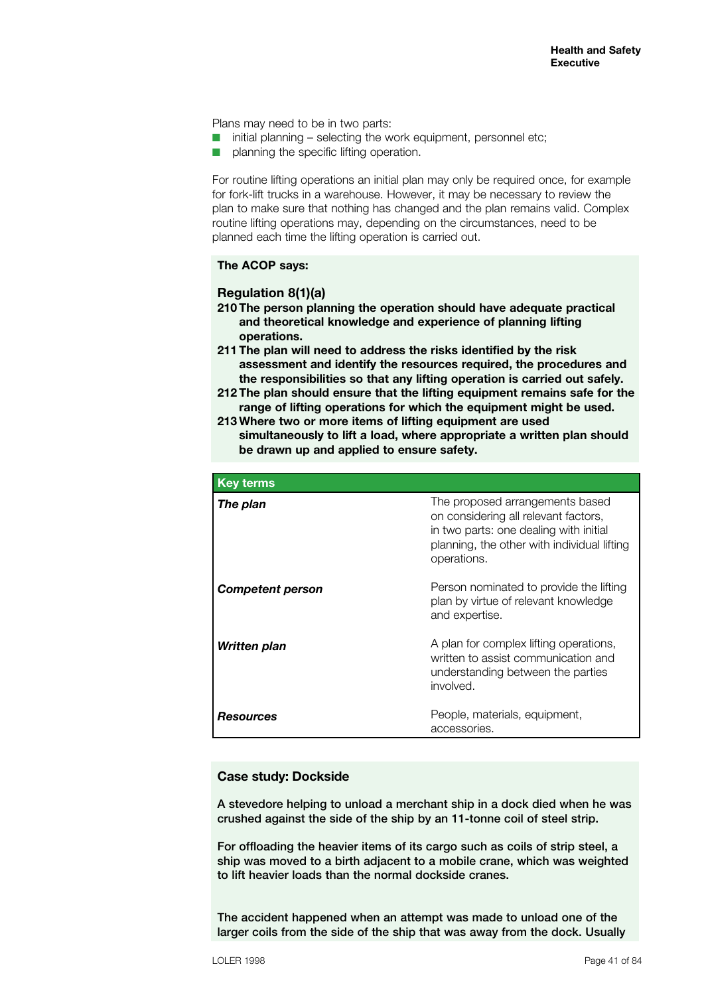Plans may need to be in two parts:

- $\blacksquare$  initial planning selecting the work equipment, personnel etc;
- $\blacksquare$  planning the specific lifting operation.

For routine lifting operations an initial plan may only be required once, for example for fork-lift trucks in a warehouse. However, it may be necessary to review the plan to make sure that nothing has changed and the plan remains valid. Complex routine lifting operations may, depending on the circumstances, need to be planned each time the lifting operation is carried out.

### **The ACOP says:**

### **Regulation 8(1)(a)**

- **210 The person planning the operation should have adequate practical and theoretical knowledge and experience of planning lifting operations.**
- **211 The plan will need to address the risks identified by the risk assessment and identify the resources required, the procedures and the responsibilities so that any lifting operation is carried out safely.**
- **212 The plan should ensure that the lifting equipment remains safe for the range of lifting operations for which the equipment might be used.**
- **213 Where two or more items of lifting equipment are used simultaneously to lift a load, where appropriate a written plan should be drawn up and applied to ensure safety.**

| <b>Key terms</b>        |                                                                                                                                                                                 |
|-------------------------|---------------------------------------------------------------------------------------------------------------------------------------------------------------------------------|
| The plan                | The proposed arrangements based<br>on considering all relevant factors,<br>in two parts: one dealing with initial<br>planning, the other with individual lifting<br>operations. |
| <b>Competent person</b> | Person nominated to provide the lifting<br>plan by virtue of relevant knowledge<br>and expertise.                                                                               |
| Written plan            | A plan for complex lifting operations,<br>written to assist communication and<br>understanding between the parties<br>involved.                                                 |
| <b>Resources</b>        | People, materials, equipment,<br>accessories.                                                                                                                                   |

### **Case study: Dockside**

A stevedore helping to unload a merchant ship in a dock died when he was crushed against the side of the ship by an 11-tonne coil of steel strip.

For offloading the heavier items of its cargo such as coils of strip steel, a ship was moved to a birth adjacent to a mobile crane, which was weighted to lift heavier loads than the normal dockside cranes.

The accident happened when an attempt was made to unload one of the larger coils from the side of the ship that was away from the dock. Usually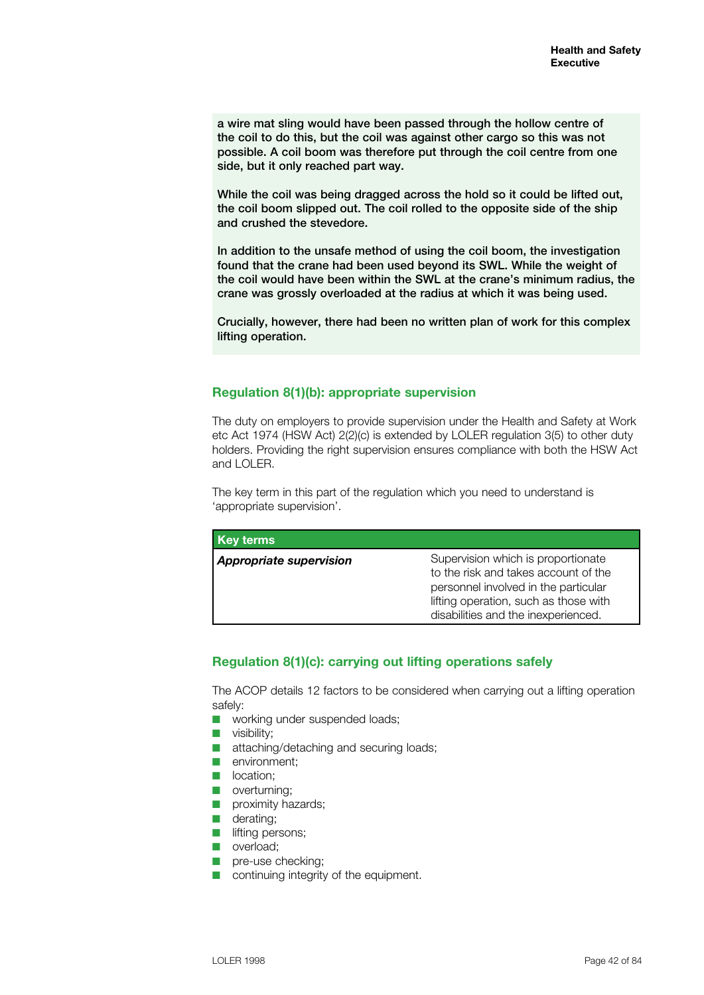a wire mat sling would have been passed through the hollow centre of the coil to do this, but the coil was against other cargo so this was not possible. A coil boom was therefore put through the coil centre from one side, but it only reached part way.

While the coil was being dragged across the hold so it could be lifted out, the coil boom slipped out. The coil rolled to the opposite side of the ship and crushed the stevedore.

In addition to the unsafe method of using the coil boom, the investigation found that the crane had been used beyond its SWL. While the weight of the coil would have been within the SWL at the crane's minimum radius, the crane was grossly overloaded at the radius at which it was being used.

Crucially, however, there had been no written plan of work for this complex lifting operation.

## **Regulation 8(1)(b): appropriate supervision**

The duty on employers to provide supervision under the Health and Safety at Work etc Act 1974 (HSW Act) 2(2)(c) is extended by LOLER regulation 3(5) to other duty holders. Providing the right supervision ensures compliance with both the HSW Act and LOLER.

The key term in this part of the regulation which you need to understand is 'appropriate supervision'.

| <b>Key terms</b>               |                                                                                                                                                                                                    |
|--------------------------------|----------------------------------------------------------------------------------------------------------------------------------------------------------------------------------------------------|
| <b>Appropriate supervision</b> | Supervision which is proportionate<br>to the risk and takes account of the<br>personnel involved in the particular<br>lifting operation, such as those with<br>disabilities and the inexperienced. |

## **Regulation 8(1)(c): carrying out lifting operations safely**

The ACOP details 12 factors to be considered when carrying out a lifting operation safely:

- **n** working under suspended loads:
- $\blacksquare$  visibility;
- $\blacksquare$  attaching/detaching and securing loads;
- $\blacksquare$  environment:
- n location:
- $\Box$  overturning;
- $\blacksquare$  proximity hazards;
- $\Box$  derating;
- $\blacksquare$  lifting persons;
- **n** overload;
- n pre-use checking:
- $\blacksquare$  continuing integrity of the equipment.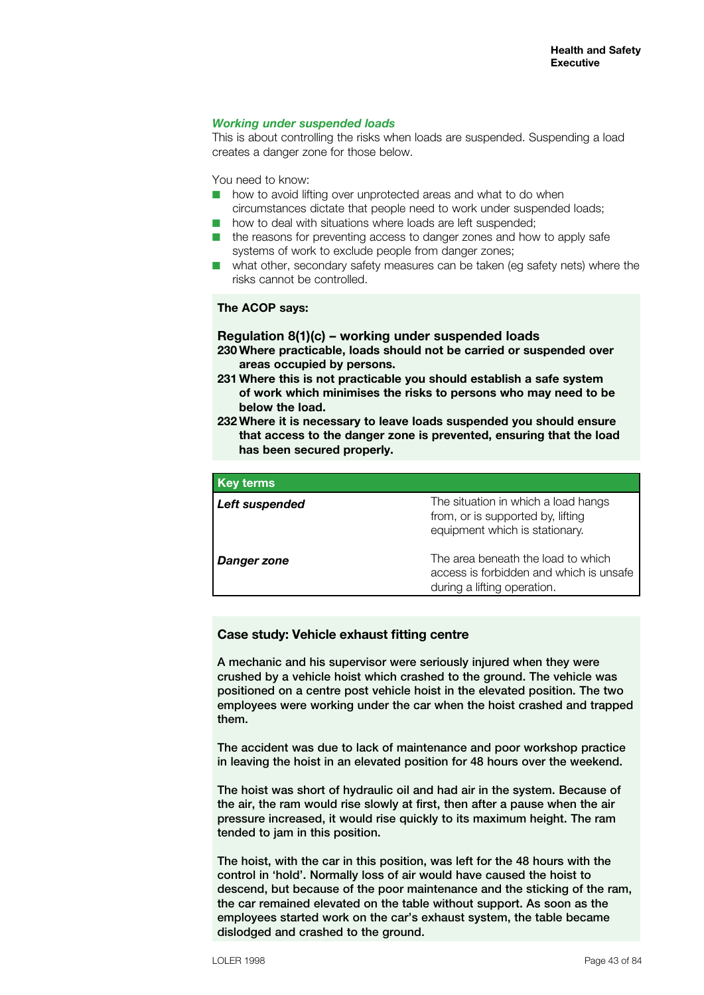## *Working under suspended loads*

This is about controlling the risks when loads are suspended. Suspending a load creates a danger zone for those below.

You need to know:

- $\blacksquare$  how to avoid lifting over unprotected areas and what to do when circumstances dictate that people need to work under suspended loads;
- $\blacksquare$  how to deal with situations where loads are left suspended;
- $\blacksquare$  the reasons for preventing access to danger zones and how to apply safe systems of work to exclude people from danger zones;
- what other, secondary safety measures can be taken (eq safety nets) where the risks cannot be controlled.

### **The ACOP says:**

## **Regulation 8(1)(c) – working under suspended loads**

- **230 Where practicable, loads should not be carried or suspended over areas occupied by persons.**
- **231 Where this is not practicable you should establish a safe system of work which minimises the risks to persons who may need to be below the load.**
- **232 Where it is necessary to leave loads suspended you should ensure that access to the danger zone is prevented, ensuring that the load has been secured properly.**

| <b>Key terms</b> |                                                                                                              |
|------------------|--------------------------------------------------------------------------------------------------------------|
| Left suspended   | The situation in which a load hangs<br>from, or is supported by, lifting<br>equipment which is stationary.   |
| Danger zone      | The area beneath the load to which<br>access is forbidden and which is unsafe<br>during a lifting operation. |

### **Case study: Vehicle exhaust fitting centre**

A mechanic and his supervisor were seriously injured when they were crushed by a vehicle hoist which crashed to the ground. The vehicle was positioned on a centre post vehicle hoist in the elevated position. The two employees were working under the car when the hoist crashed and trapped them.

The accident was due to lack of maintenance and poor workshop practice in leaving the hoist in an elevated position for 48 hours over the weekend.

The hoist was short of hydraulic oil and had air in the system. Because of the air, the ram would rise slowly at first, then after a pause when the air pressure increased, it would rise quickly to its maximum height. The ram tended to jam in this position.

The hoist, with the car in this position, was left for the 48 hours with the control in 'hold'. Normally loss of air would have caused the hoist to descend, but because of the poor maintenance and the sticking of the ram, the car remained elevated on the table without support. As soon as the employees started work on the car's exhaust system, the table became dislodged and crashed to the ground.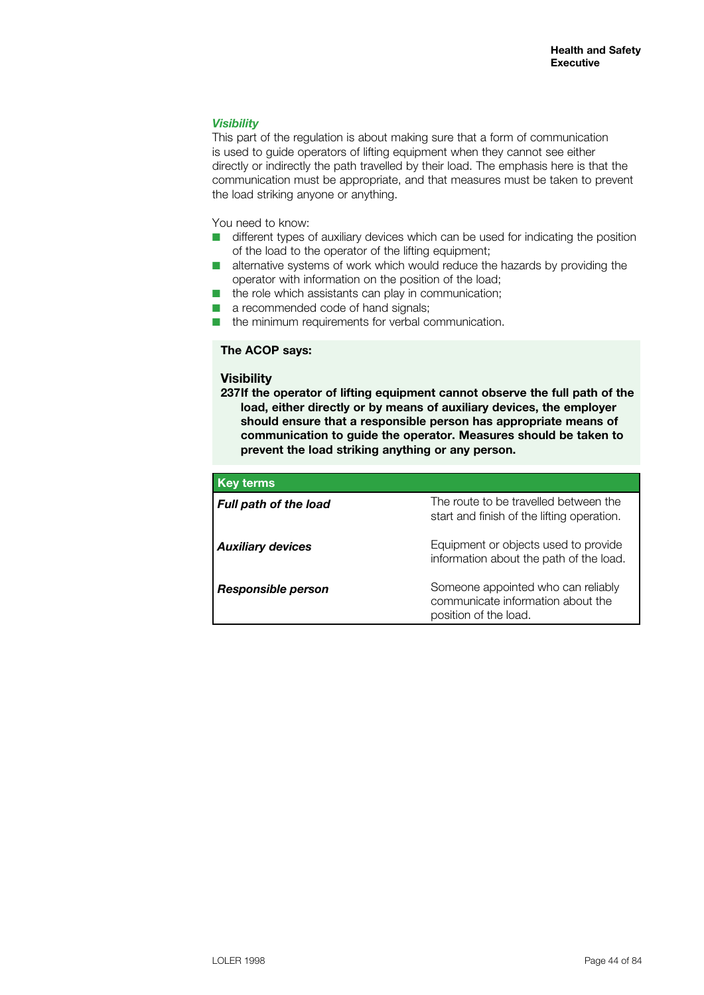## *Visibility*

This part of the regulation is about making sure that a form of communication is used to guide operators of lifting equipment when they cannot see either directly or indirectly the path travelled by their load. The emphasis here is that the communication must be appropriate, and that measures must be taken to prevent the load striking anyone or anything.

You need to know:

- $\blacksquare$  different types of auxiliary devices which can be used for indicating the position of the load to the operator of the lifting equipment;
- alternative systems of work which would reduce the hazards by providing the operator with information on the position of the load;
- $\blacksquare$  the role which assistants can play in communication;
- $\blacksquare$  a recommended code of hand signals;
- $\blacksquare$  the minimum requirements for verbal communication.

## **The ACOP says:**

#### **Visibility**

**237If the operator of lifting equipment cannot observe the full path of the load, either directly or by means of auxiliary devices, the employer should ensure that a responsible person has appropriate means of communication to guide the operator. Measures should be taken to prevent the load striking anything or any person.** 

| <b>Key terms</b>             |                                                                                                  |
|------------------------------|--------------------------------------------------------------------------------------------------|
| <b>Full path of the load</b> | The route to be travelled between the<br>start and finish of the lifting operation.              |
| <b>Auxiliary devices</b>     | Equipment or objects used to provide<br>information about the path of the load.                  |
| Responsible person           | Someone appointed who can reliably<br>communicate information about the<br>position of the load. |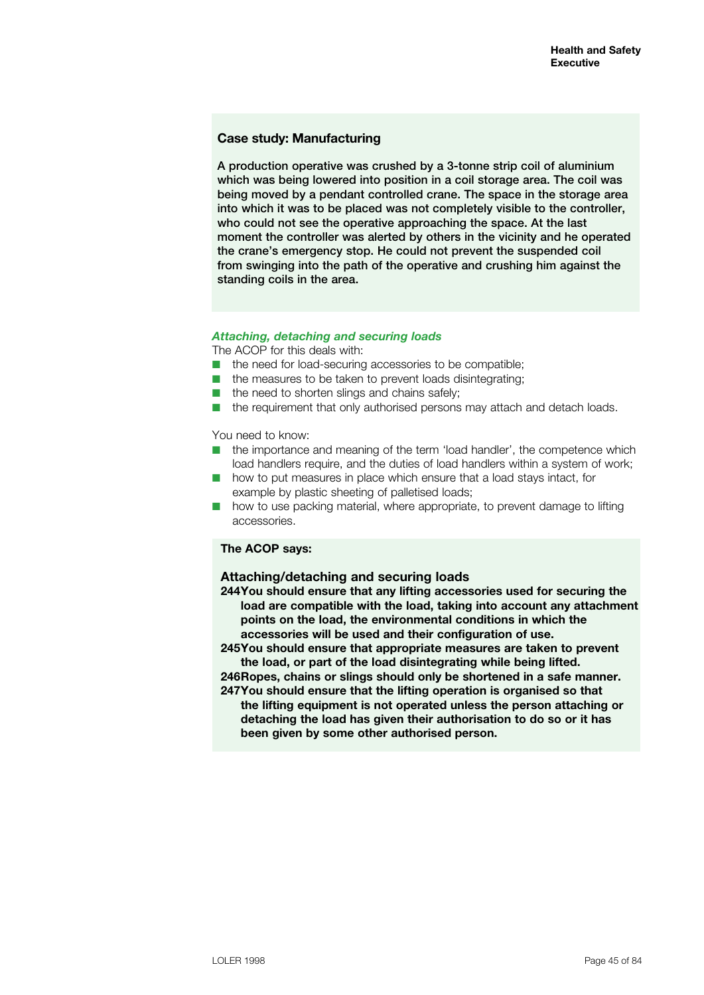## **Case study: Manufacturing**

A production operative was crushed by a 3-tonne strip coil of aluminium which was being lowered into position in a coil storage area. The coil was being moved by a pendant controlled crane. The space in the storage area into which it was to be placed was not completely visible to the controller, who could not see the operative approaching the space. At the last moment the controller was alerted by others in the vicinity and he operated the crane's emergency stop. He could not prevent the suspended coil from swinging into the path of the operative and crushing him against the standing coils in the area.

#### *Attaching, detaching and securing loads*

The ACOP for this deals with:

- $\blacksquare$  the need for load-securing accessories to be compatible;
- $\blacksquare$  the measures to be taken to prevent loads disintegrating;
- $\blacksquare$  the need to shorten slings and chains safely;
- $\blacksquare$  the requirement that only authorised persons may attach and detach loads.

You need to know:

- the importance and meaning of the term 'load handler', the competence which load handlers require, and the duties of load handlers within a system of work;
- $\blacksquare$  how to put measures in place which ensure that a load stays intact, for example by plastic sheeting of palletised loads;
- $\blacksquare$  how to use packing material, where appropriate, to prevent damage to lifting accessories.

## **The ACOP says:**

#### **Attaching/detaching and securing loads**

**244You should ensure that any lifting accessories used for securing the load are compatible with the load, taking into account any attachment points on the load, the environmental conditions in which the accessories will be used and their configuration of use.** 

**245You should ensure that appropriate measures are taken to prevent the load, or part of the load disintegrating while being lifted.**

**246Ropes, chains or slings should only be shortened in a safe manner. 247You should ensure that the lifting operation is organised so that the lifting equipment is not operated unless the person attaching or detaching the load has given their authorisation to do so or it has been given by some other authorised person.**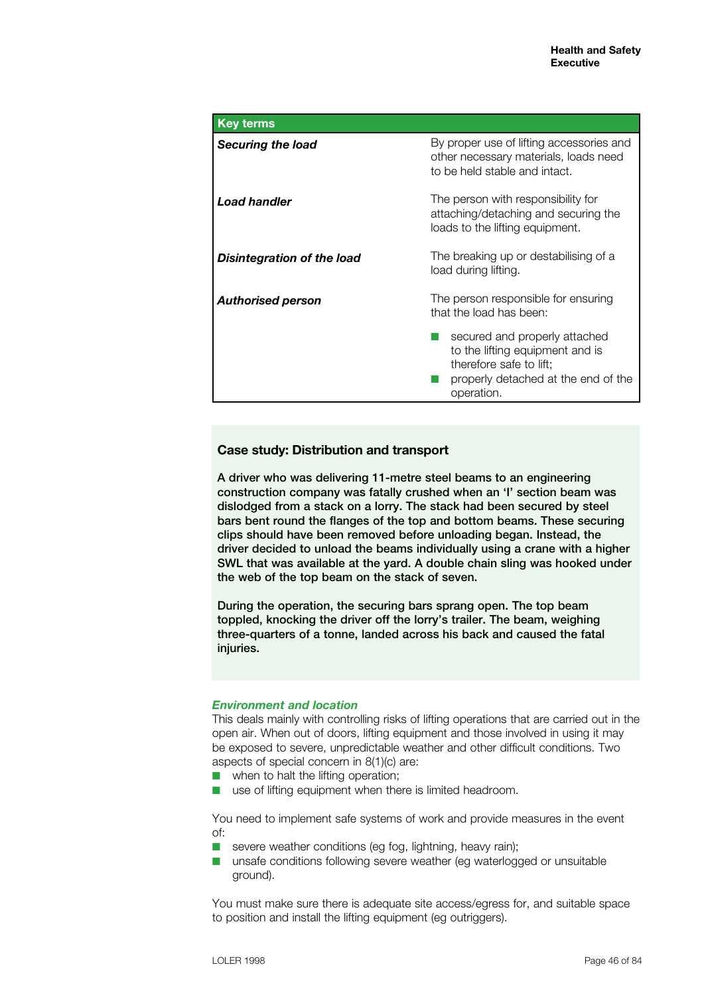| <b>Key terms</b>           |                                                                                                                                                  |
|----------------------------|--------------------------------------------------------------------------------------------------------------------------------------------------|
| Securing the load          | By proper use of lifting accessories and<br>other necessary materials, loads need<br>to be held stable and intact.                               |
| <b>Load handler</b>        | The person with responsibility for<br>attaching/detaching and securing the<br>loads to the lifting equipment.                                    |
| Disintegration of the load | The breaking up or destabilising of a<br>load during lifting.                                                                                    |
| <b>Authorised person</b>   | The person responsible for ensuring<br>that the load has been:                                                                                   |
|                            | secured and properly attached<br>to the lifting equipment and is<br>therefore safe to lift;<br>properly detached at the end of the<br>operation. |

## **Case study: Distribution and transport**

A driver who was delivering 11-metre steel beams to an engineering construction company was fatally crushed when an 'I' section beam was dislodged from a stack on a lorry. The stack had been secured by steel bars bent round the flanges of the top and bottom beams. These securing clips should have been removed before unloading began. Instead, the driver decided to unload the beams individually using a crane with a higher SWL that was available at the yard. A double chain sling was hooked under the web of the top beam on the stack of seven.

During the operation, the securing bars sprang open. The top beam toppled, knocking the driver off the lorry's trailer. The beam, weighing three-quarters of a tonne, landed across his back and caused the fatal injuries.

## *Environment and location*

This deals mainly with controlling risks of lifting operations that are carried out in the open air. When out of doors, lifting equipment and those involved in using it may be exposed to severe, unpredictable weather and other difficult conditions. Two aspects of special concern in 8(1)(c) are:

- $\blacksquare$  when to halt the lifting operation:
- $\blacksquare$  use of lifting equipment when there is limited headroom.

You need to implement safe systems of work and provide measures in the event of:

- $\blacksquare$  severe weather conditions (eg fog, lightning, heavy rain);
- $\blacksquare$  unsafe conditions following severe weather (eg waterlogged or unsuitable ground).

You must make sure there is adequate site access/egress for, and suitable space to position and install the lifting equipment (eg outriggers).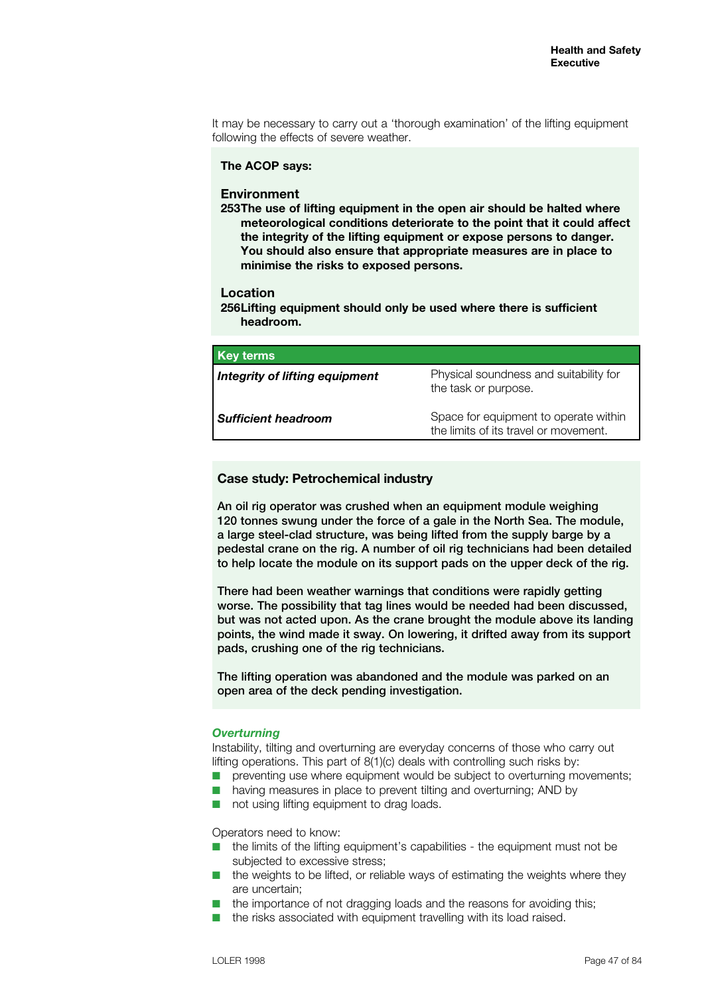It may be necessary to carry out a 'thorough examination' of the lifting equipment following the effects of severe weather.

#### **The ACOP says:**

#### **Environment**

**253The use of lifting equipment in the open air should be halted where meteorological conditions deteriorate to the point that it could affect the integrity of the lifting equipment or expose persons to danger. You should also ensure that appropriate measures are in place to minimise the risks to exposed persons.**

#### **Location**

**256Lifting equipment should only be used where there is sufficient headroom.**

| <b>Key terms</b>                      |                                                                                |
|---------------------------------------|--------------------------------------------------------------------------------|
| <b>Integrity of lifting equipment</b> | Physical soundness and suitability for<br>the task or purpose.                 |
| <b>Sufficient headroom</b>            | Space for equipment to operate within<br>the limits of its travel or movement. |

#### **Case study: Petrochemical industry**

An oil rig operator was crushed when an equipment module weighing 120 tonnes swung under the force of a gale in the North Sea. The module, a large steel-clad structure, was being lifted from the supply barge by a pedestal crane on the rig. A number of oil rig technicians had been detailed to help locate the module on its support pads on the upper deck of the rig.

There had been weather warnings that conditions were rapidly getting worse. The possibility that tag lines would be needed had been discussed, but was not acted upon. As the crane brought the module above its landing points, the wind made it sway. On lowering, it drifted away from its support pads, crushing one of the rig technicians.

The lifting operation was abandoned and the module was parked on an open area of the deck pending investigation.

## *Overturning*

Instability, tilting and overturning are everyday concerns of those who carry out lifting operations. This part of 8(1)(c) deals with controlling such risks by:

- preventing use where equipment would be subject to overturning movements;
- $\blacksquare$  having measures in place to prevent tilting and overturning; AND by
- $\blacksquare$  not using lifting equipment to drag loads.

Operators need to know:

- $\blacksquare$  the limits of the lifting equipment's capabilities the equipment must not be subjected to excessive stress;
- $\blacksquare$  the weights to be lifted, or reliable ways of estimating the weights where they are uncertain;
- $\blacksquare$  the importance of not dragging loads and the reasons for avoiding this;
- $\blacksquare$  the risks associated with equipment travelling with its load raised.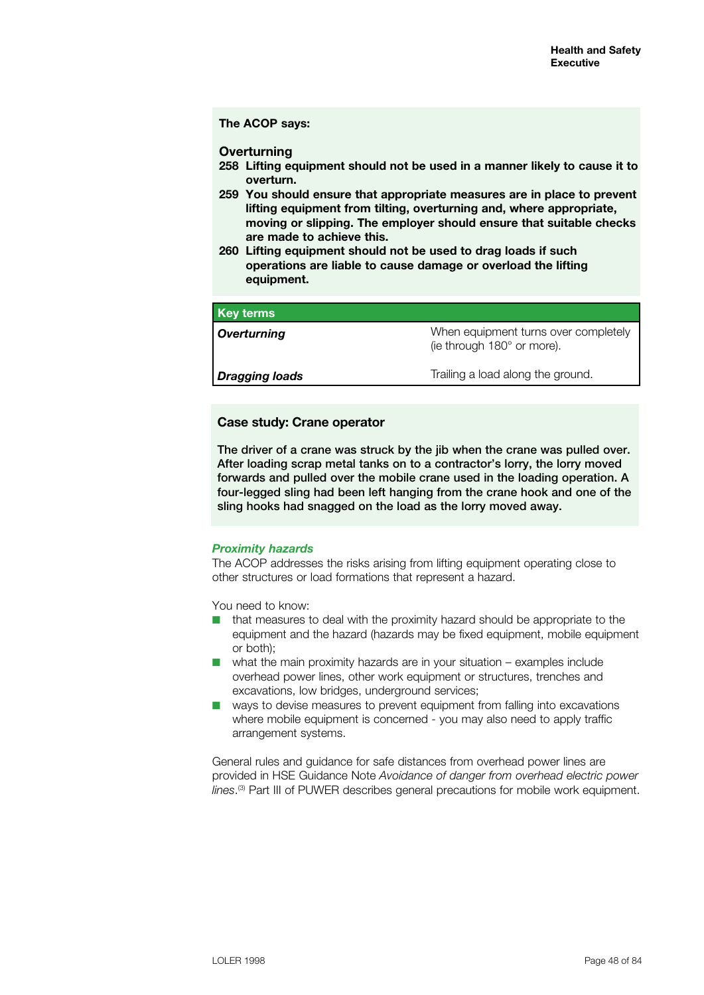## **The ACOP says:**

#### **Overturning**

- **258 Lifting equipment should not be used in a manner likely to cause it to overturn.**
- **259 You should ensure that appropriate measures are in place to prevent lifting equipment from tilting, overturning and, where appropriate, moving or slipping. The employer should ensure that suitable checks are made to achieve this.**
- **260 Lifting equipment should not be used to drag loads if such operations are liable to cause damage or overload the lifting equipment.**

| <b>Key terms</b>      |                                                                    |
|-----------------------|--------------------------------------------------------------------|
| Overturning           | When equipment turns over completely<br>(ie through 180° or more). |
| <b>Dragging loads</b> | Trailing a load along the ground.                                  |

## **Case study: Crane operator**

The driver of a crane was struck by the jib when the crane was pulled over. After loading scrap metal tanks on to a contractor's lorry, the lorry moved forwards and pulled over the mobile crane used in the loading operation. A four-legged sling had been left hanging from the crane hook and one of the sling hooks had snagged on the load as the lorry moved away.

### *Proximity hazards*

The ACOP addresses the risks arising from lifting equipment operating close to other structures or load formations that represent a hazard.

You need to know:

- $\blacksquare$  that measures to deal with the proximity hazard should be appropriate to the equipment and the hazard (hazards may be fixed equipment, mobile equipment or both);
- $\blacksquare$  what the main proximity hazards are in your situation examples include overhead power lines, other work equipment or structures, trenches and excavations, low bridges, underground services;
- $\blacksquare$  ways to devise measures to prevent equipment from falling into excavations where mobile equipment is concerned - you may also need to apply traffic arrangement systems.

General rules and guidance for safe distances from overhead power lines are provided in HSE Guidance Note *Avoidance of danger from overhead electric power lines*. (3) Part III of PUWER describes general precautions for mobile work equipment.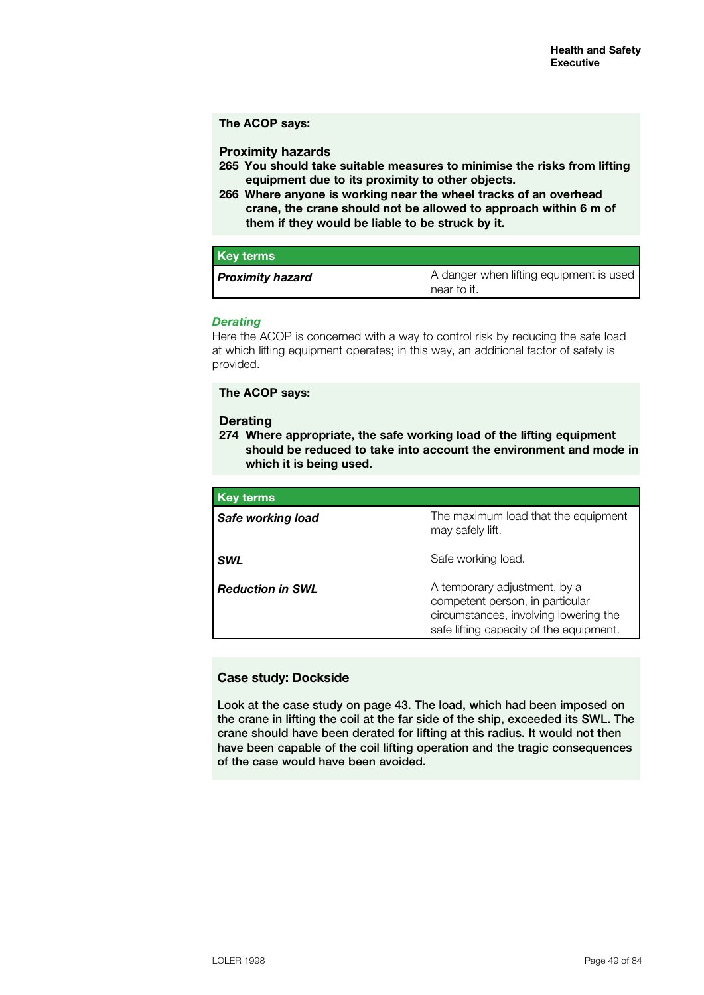#### **The ACOP says:**

## **Proximity hazards**

- **265 You should take suitable measures to minimise the risks from lifting equipment due to its proximity to other objects.**
- **266 Where anyone is working near the wheel tracks of an overhead crane, the crane should not be allowed to approach within 6 m of them if they would be liable to be struck by it.**

| <b>Key terms</b>        |                                                        |
|-------------------------|--------------------------------------------------------|
| <b>Proximity hazard</b> | A danger when lifting equipment is used<br>near to it. |

### *Derating*

Here the ACOP is concerned with a way to control risk by reducing the safe load at which lifting equipment operates; in this way, an additional factor of safety is provided.

**The ACOP says:**

#### **Derating**

**274 Where appropriate, the safe working load of the lifting equipment should be reduced to take into account the environment and mode in which it is being used.**

| <b>Key terms</b>        |                                                                                                                                                     |
|-------------------------|-----------------------------------------------------------------------------------------------------------------------------------------------------|
| Safe working load       | The maximum load that the equipment<br>may safely lift.                                                                                             |
| <b>SWL</b>              | Safe working load.                                                                                                                                  |
| <b>Reduction in SWL</b> | A temporary adjustment, by a<br>competent person, in particular<br>circumstances, involving lowering the<br>safe lifting capacity of the equipment. |

## **Case study: Dockside**

Look at the case study on page 43. The load, which had been imposed on the crane in lifting the coil at the far side of the ship, exceeded its SWL. The crane should have been derated for lifting at this radius. It would not then have been capable of the coil lifting operation and the tragic consequences of the case would have been avoided.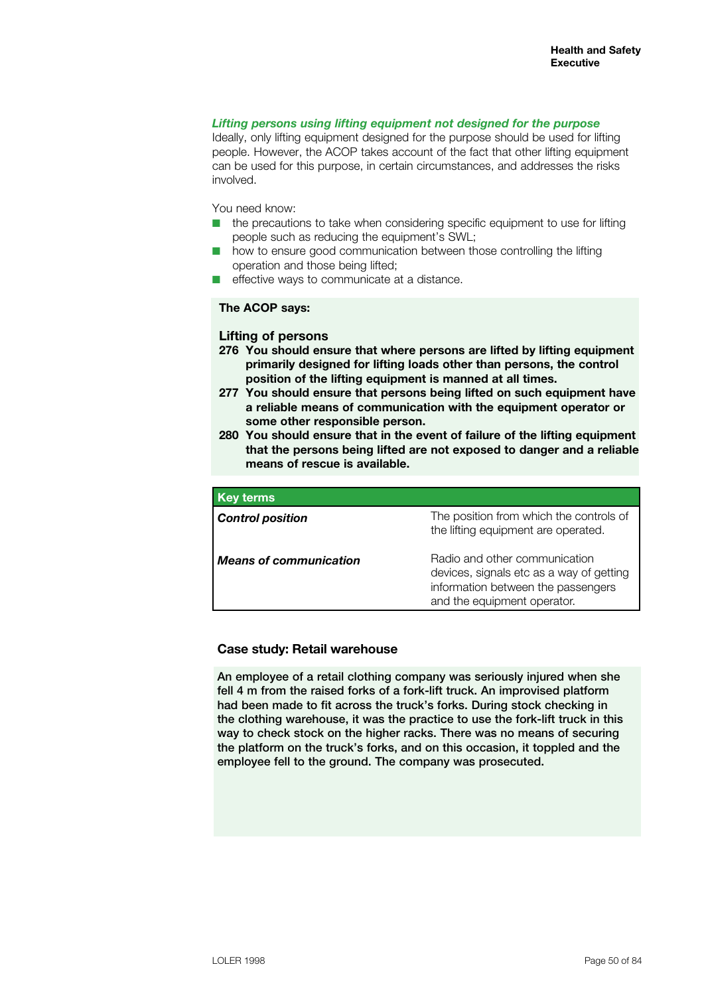### *Lifting persons using lifting equipment not designed for the purpose*

Ideally, only lifting equipment designed for the purpose should be used for lifting people. However, the ACOP takes account of the fact that other lifting equipment can be used for this purpose, in certain circumstances, and addresses the risks involved.

You need know:

- $\blacksquare$  the precautions to take when considering specific equipment to use for lifting people such as reducing the equipment's SWL;
- how to ensure good communication between those controlling the lifting operation and those being lifted;
- effective ways to communicate at a distance.

## **The ACOP says:**

#### **Lifting of persons**

- **276 You should ensure that where persons are lifted by lifting equipment primarily designed for lifting loads other than persons, the control position of the lifting equipment is manned at all times.**
- **277 You should ensure that persons being lifted on such equipment have a reliable means of communication with the equipment operator or some other responsible person.**
- **280 You should ensure that in the event of failure of the lifting equipment that the persons being lifted are not exposed to danger and a reliable means of rescue is available.**

| <b>Key terms</b>              |                                                                                                                                                |
|-------------------------------|------------------------------------------------------------------------------------------------------------------------------------------------|
| <b>Control position</b>       | The position from which the controls of<br>the lifting equipment are operated.                                                                 |
| <b>Means of communication</b> | Radio and other communication<br>devices, signals etc as a way of getting<br>information between the passengers<br>and the equipment operator. |

### **Case study: Retail warehouse**

An employee of a retail clothing company was seriously injured when she fell 4 m from the raised forks of a fork-lift truck. An improvised platform had been made to fit across the truck's forks. During stock checking in the clothing warehouse, it was the practice to use the fork-lift truck in this way to check stock on the higher racks. There was no means of securing the platform on the truck's forks, and on this occasion, it toppled and the employee fell to the ground. The company was prosecuted.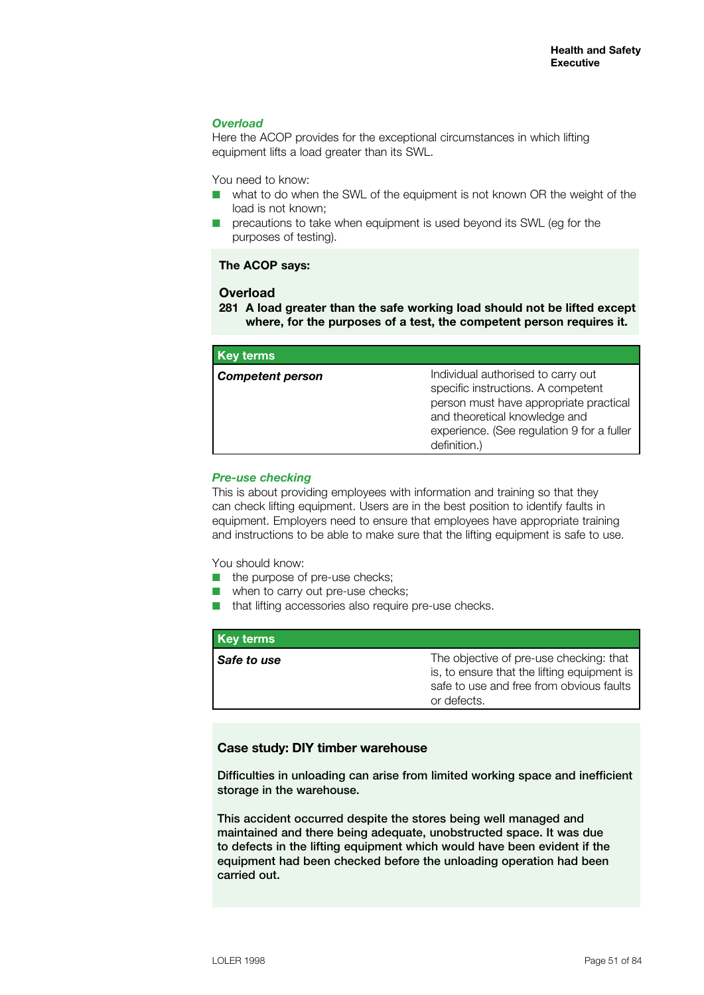## *Overload*

Here the ACOP provides for the exceptional circumstances in which lifting equipment lifts a load greater than its SWL.

You need to know:

- $\blacksquare$  what to do when the SWL of the equipment is not known OR the weight of the load is not known;
- $\blacksquare$  precautions to take when equipment is used beyond its SWL (eg for the purposes of testing).

## **The ACOP says:**

## **Overload**

**281 A load greater than the safe working load should not be lifted except where, for the purposes of a test, the competent person requires it.**

| <b>Key terms</b>        |                                                                                                                                                                                                                   |
|-------------------------|-------------------------------------------------------------------------------------------------------------------------------------------------------------------------------------------------------------------|
| <b>Competent person</b> | Individual authorised to carry out<br>specific instructions. A competent<br>person must have appropriate practical<br>and theoretical knowledge and<br>experience. (See regulation 9 for a fuller<br>definition.) |

#### *Pre-use checking*

This is about providing employees with information and training so that they can check lifting equipment. Users are in the best position to identify faults in equipment. Employers need to ensure that employees have appropriate training and instructions to be able to make sure that the lifting equipment is safe to use.

You should know:

- $\blacksquare$  the purpose of pre-use checks;
- $\blacksquare$  when to carry out pre-use checks;
- $\blacksquare$  that lifting accessories also require pre-use checks.

| <b>Key terms</b> |                                                                                                                                                   |
|------------------|---------------------------------------------------------------------------------------------------------------------------------------------------|
| Safe to use      | The objective of pre-use checking: that<br>is, to ensure that the lifting equipment is<br>safe to use and free from obvious faults<br>or defects. |

### **Case study: DIY timber warehouse**

Difficulties in unloading can arise from limited working space and inefficient storage in the warehouse.

This accident occurred despite the stores being well managed and maintained and there being adequate, unobstructed space. It was due to defects in the lifting equipment which would have been evident if the equipment had been checked before the unloading operation had been carried out.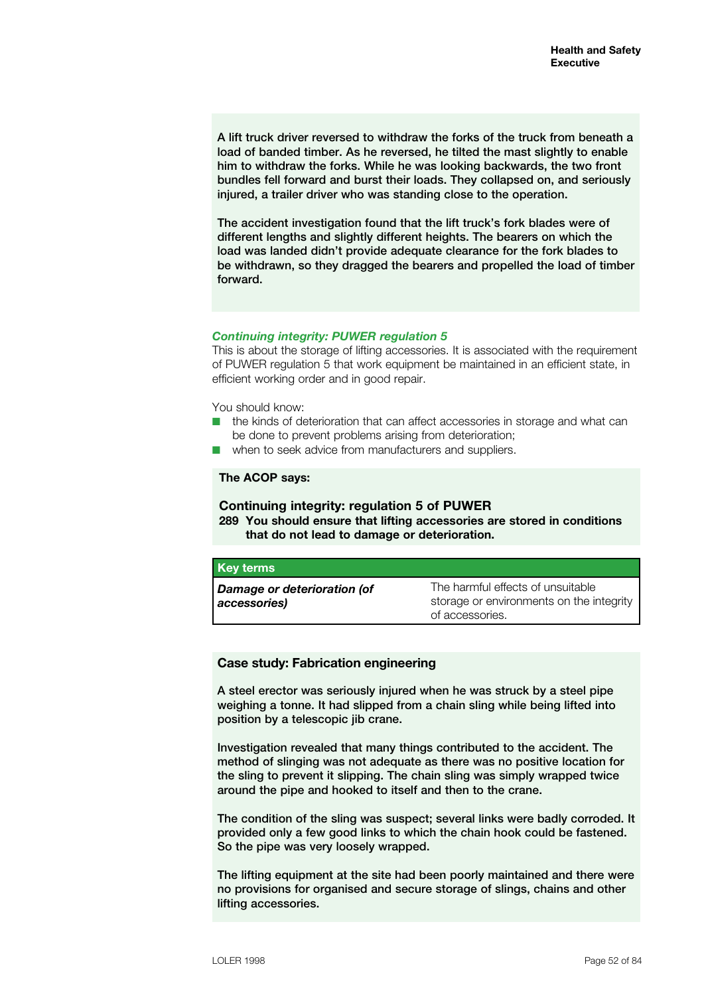A lift truck driver reversed to withdraw the forks of the truck from beneath a load of banded timber. As he reversed, he tilted the mast slightly to enable him to withdraw the forks. While he was looking backwards, the two front bundles fell forward and burst their loads. They collapsed on, and seriously injured, a trailer driver who was standing close to the operation.

The accident investigation found that the lift truck's fork blades were of different lengths and slightly different heights. The bearers on which the load was landed didn't provide adequate clearance for the fork blades to be withdrawn, so they dragged the bearers and propelled the load of timber forward.

### *Continuing integrity: PUWER regulation 5*

This is about the storage of lifting accessories. It is associated with the requirement of PUWER regulation 5 that work equipment be maintained in an efficient state, in efficient working order and in good repair.

You should know:

- $\blacksquare$  the kinds of deterioration that can affect accessories in storage and what can be done to prevent problems arising from deterioration;
- when to seek advice from manufacturers and suppliers.

### **The ACOP says:**

## **Continuing integrity: regulation 5 of PUWER**

**289 You should ensure that lifting accessories are stored in conditions that do not lead to damage or deterioration.** 

| <b>Key terms</b>                                   |                                                                               |
|----------------------------------------------------|-------------------------------------------------------------------------------|
| <b>Damage or deterioration (of</b><br>accessories) | The harmful effects of unsuitable<br>storage or environments on the integrity |
|                                                    | of accessories.                                                               |

#### **Case study: Fabrication engineering**

A steel erector was seriously injured when he was struck by a steel pipe weighing a tonne. It had slipped from a chain sling while being lifted into position by a telescopic jib crane.

Investigation revealed that many things contributed to the accident. The method of slinging was not adequate as there was no positive location for the sling to prevent it slipping. The chain sling was simply wrapped twice around the pipe and hooked to itself and then to the crane.

The condition of the sling was suspect; several links were badly corroded. It provided only a few good links to which the chain hook could be fastened. So the pipe was very loosely wrapped.

The lifting equipment at the site had been poorly maintained and there were no provisions for organised and secure storage of slings, chains and other lifting accessories.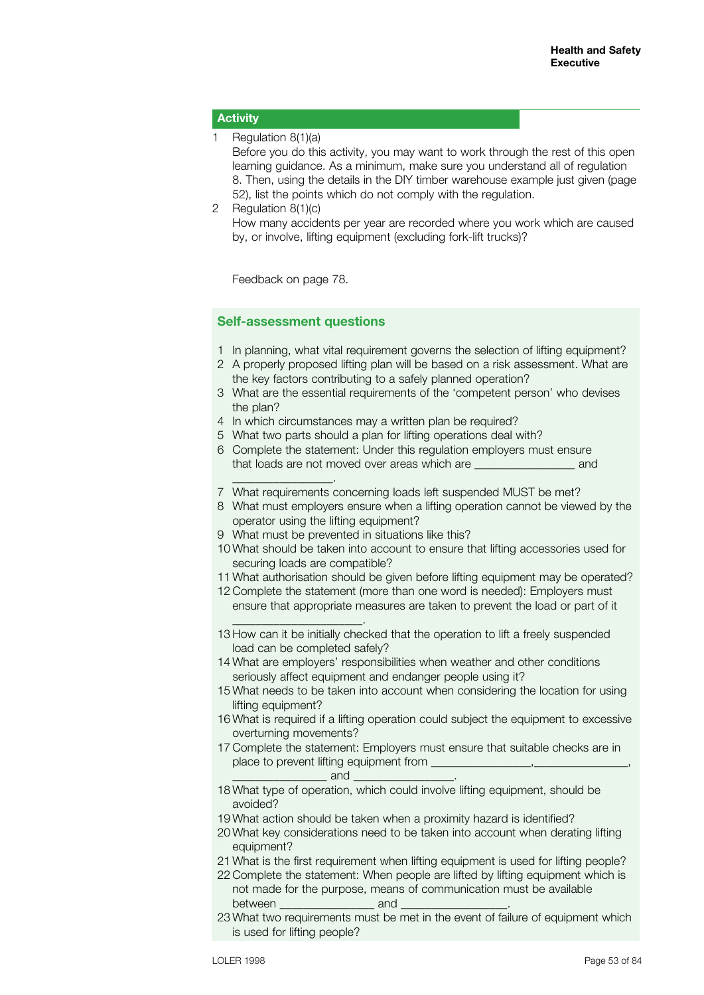## **Activity**

1 Regulation 8(1)(a)

Before you do this activity, you may want to work through the rest of this open learning guidance. As a minimum, make sure you understand all of regulation 8. Then, using the details in the DIY timber warehouse example just given (page 52), list the points which do not comply with the regulation.

2 Regulation 8(1)(c) How many accidents per year are recorded where you work which are caused by, or involve, lifting equipment (excluding fork-lift trucks)?

Feedback on page 78.

\_\_\_\_\_\_\_\_\_\_\_\_\_\_\_\_\_.

\_\_\_\_\_\_\_\_\_\_\_\_\_\_\_\_\_\_\_\_\_\_.

## **Self-assessment questions**

- 1 In planning, what vital requirement governs the selection of lifting equipment?
- 2 A properly proposed lifting plan will be based on a risk assessment. What are the key factors contributing to a safely planned operation?
- 3 What are the essential requirements of the 'competent person' who devises the plan?
- 4 In which circumstances may a written plan be required?
- 5 What two parts should a plan for lifting operations deal with?
- 6 Complete the statement: Under this regulation employers must ensure that loads are not moved over areas which are \_\_\_\_\_\_\_\_\_\_\_\_\_\_\_\_\_ and
- 7 What requirements concerning loads left suspended MUST be met?
- 8 What must employers ensure when a lifting operation cannot be viewed by the operator using the lifting equipment?
- 9 What must be prevented in situations like this?
- 10 What should be taken into account to ensure that lifting accessories used for securing loads are compatible?
- 11 What authorisation should be given before lifting equipment may be operated?
- 12 Complete the statement (more than one word is needed): Employers must ensure that appropriate measures are taken to prevent the load or part of it
- 13 How can it be initially checked that the operation to lift a freely suspended load can be completed safely?
- 14 What are employers' responsibilities when weather and other conditions seriously affect equipment and endanger people using it?
- 15 What needs to be taken into account when considering the location for using lifting equipment?
- 16 What is required if a lifting operation could subject the equipment to excessive overturning movements?
- 17 Complete the statement: Employers must ensure that suitable checks are in place to prevent lifting equipment from  $\Box$  and
- 18 What type of operation, which could involve lifting equipment, should be avoided?
- 19 What action should be taken when a proximity hazard is identified?
- 20 What key considerations need to be taken into account when derating lifting equipment?
- 21 What is the first requirement when lifting equipment is used for lifting people?
- 22 Complete the statement: When people are lifted by lifting equipment which is not made for the purpose, means of communication must be available between \_\_\_\_\_\_\_\_\_\_\_\_\_\_\_\_ and \_\_\_\_\_\_\_\_\_\_\_\_\_\_\_\_\_\_.
- 23 What two requirements must be met in the event of failure of equipment which is used for lifting people?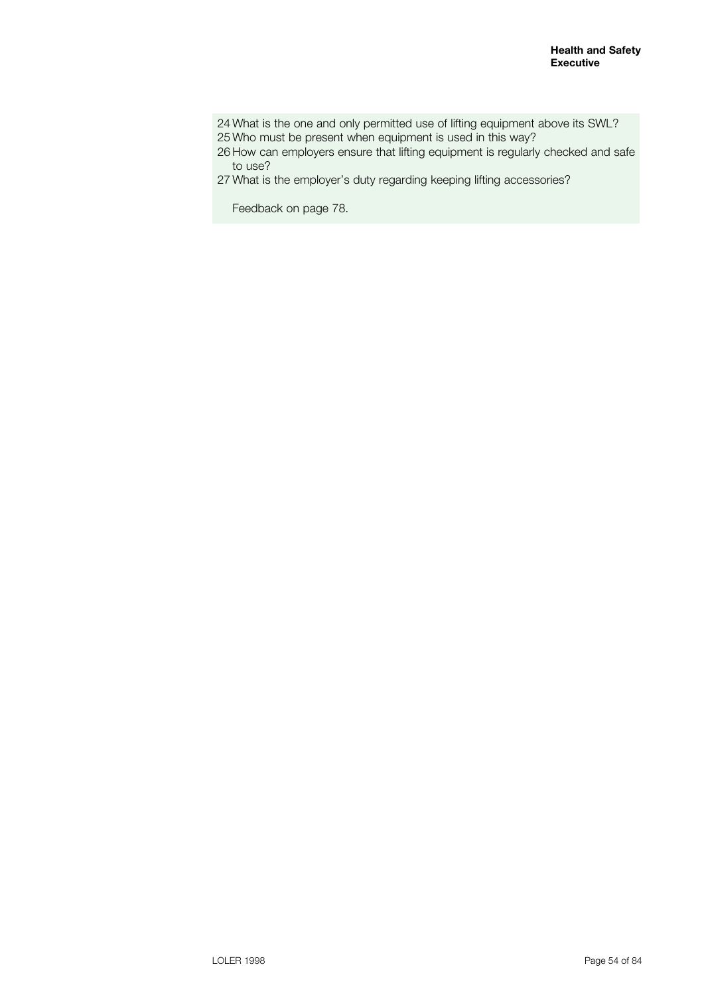24 What is the one and only permitted use of lifting equipment above its SWL? 25 Who must be present when equipment is used in this way?

26 How can employers ensure that lifting equipment is regularly checked and safe to use?

27 What is the employer's duty regarding keeping lifting accessories?

Feedback on page 78.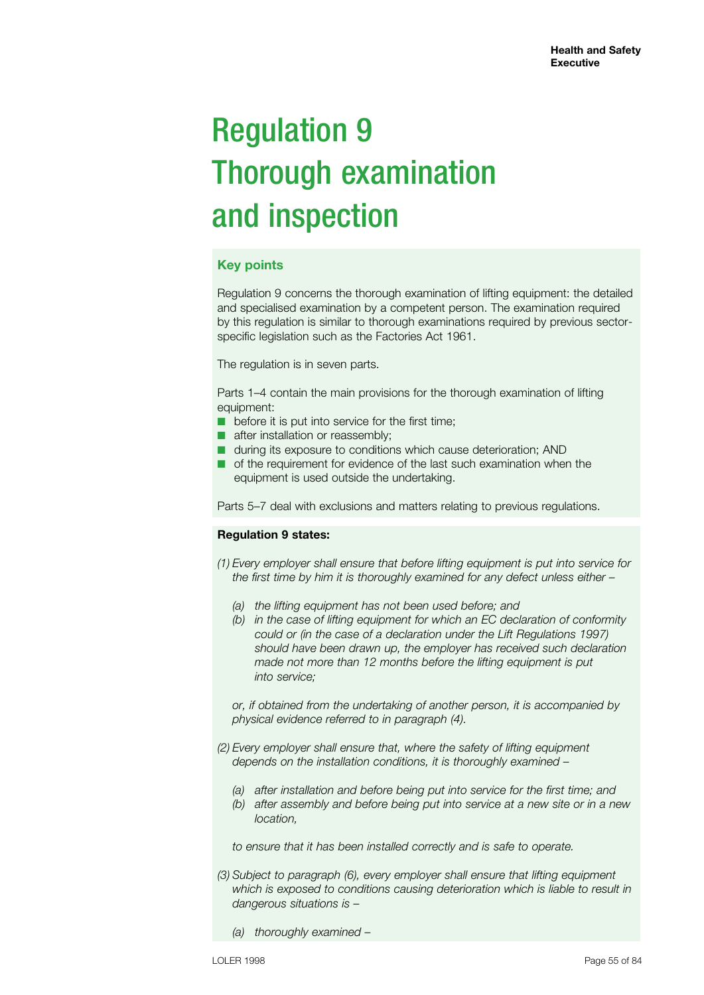# Regulation 9 Thorough examination and inspection

# **Key points**

Regulation 9 concerns the thorough examination of lifting equipment: the detailed and specialised examination by a competent person. The examination required by this regulation is similar to thorough examinations required by previous sectorspecific legislation such as the Factories Act 1961.

The regulation is in seven parts.

Parts 1–4 contain the main provisions for the thorough examination of lifting equipment:

- before it is put into service for the first time;
- after installation or reassembly;
- during its exposure to conditions which cause deterioration; AND
- of the requirement for evidence of the last such examination when the equipment is used outside the undertaking.

Parts 5–7 deal with exclusions and matters relating to previous regulations.

## **Regulation 9 states:**

*(1) Every employer shall ensure that before lifting equipment is put into service for the first time by him it is thoroughly examined for any defect unless either –*

- *(a) the lifting equipment has not been used before; and*
- *(b) in the case of lifting equipment for which an EC declaration of conformity could or (in the case of a declaration under the Lift Regulations 1997) should have been drawn up, the employer has received such declaration made not more than 12 months before the lifting equipment is put into service;*

*or, if obtained from the undertaking of another person, it is accompanied by physical evidence referred to in paragraph (4).*

- *(2) Every employer shall ensure that, where the safety of lifting equipment depends on the installation conditions, it is thoroughly examined –*
	- *(a) after installation and before being put into service for the first time; and*
	- *(b) after assembly and before being put into service at a new site or in a new location,*

*to ensure that it has been installed correctly and is safe to operate.*

- *(3) Subject to paragraph (6), every employer shall ensure that lifting equipment which is exposed to conditions causing deterioration which is liable to result in dangerous situations is –*
	- *(a) thoroughly examined –*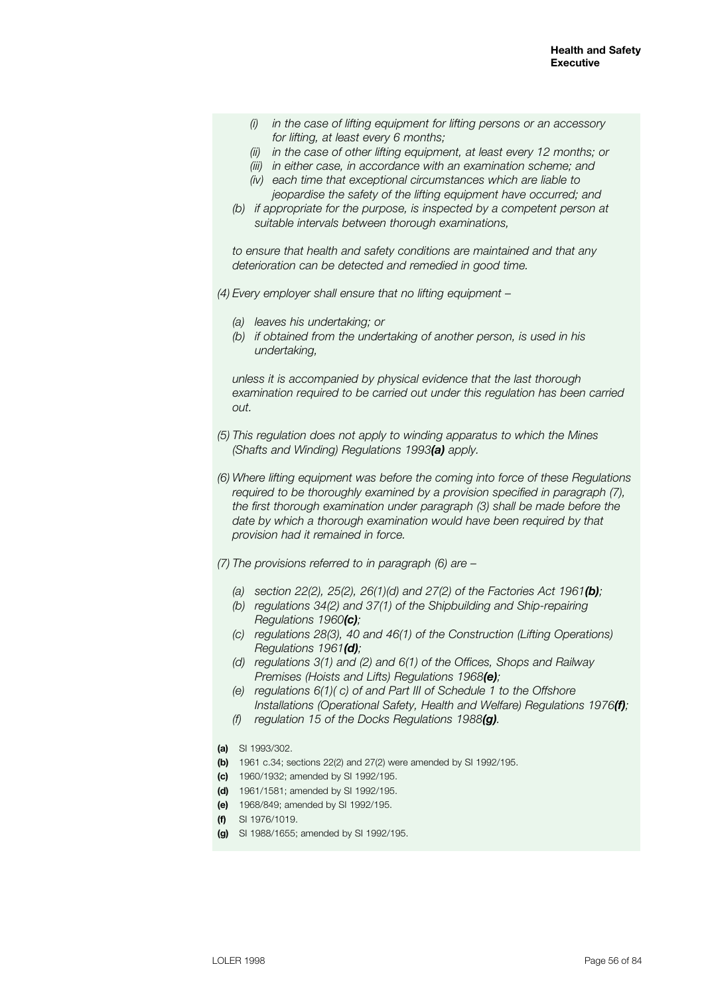- *(i) in the case of lifting equipment for lifting persons or an accessory for lifting, at least every 6 months;*
- *(ii) in the case of other lifting equipment, at least every 12 months; or*
- *(iii) in either case, in accordance with an examination scheme; and*
- *(iv) each time that exceptional circumstances which are liable to jeopardise the safety of the lifting equipment have occurred; and*
- *(b) if appropriate for the purpose, is inspected by a competent person at suitable intervals between thorough examinations,*

*to ensure that health and safety conditions are maintained and that any deterioration can be detected and remedied in good time.*

*(4) Every employer shall ensure that no lifting equipment –*

- *(a) leaves his undertaking; or*
- *(b) if obtained from the undertaking of another person, is used in his undertaking,*

*unless it is accompanied by physical evidence that the last thorough examination required to be carried out under this regulation has been carried out.*

- *(5) This regulation does not apply to winding apparatus to which the Mines (Shafts and Winding) Regulations 1993(a) apply.*
- *(6) Where lifting equipment was before the coming into force of these Regulations required to be thoroughly examined by a provision specified in paragraph (7), the first thorough examination under paragraph (3) shall be made before the date by which a thorough examination would have been required by that provision had it remained in force.*
- *(7) The provisions referred to in paragraph (6) are –*
	- *(a) section 22(2), 25(2), 26(1)(d) and 27(2) of the Factories Act 1961(b);*
	- *(b) regulations 34(2) and 37(1) of the Shipbuilding and Ship-repairing Regulations 1960(c);*
	- *(c) regulations 28(3), 40 and 46(1) of the Construction (Lifting Operations) Regulations 1961(d);*
	- *(d) regulations 3(1) and (2) and 6(1) of the Offices, Shops and Railway Premises (Hoists and Lifts) Regulations 1968(e);*
	- *(e) regulations 6(1)( c) of and Part III of Schedule 1 to the Offshore Installations (Operational Safety, Health and Welfare) Regulations 1976(f);*
	- *(f) regulation 15 of the Docks Regulations 1988(g).*
- **(a)** SI 1993/302.
- **(b)** 1961 c.34; sections 22(2) and 27(2) were amended by SI 1992/195.
- **(c)** 1960/1932; amended by SI 1992/195.
- **(d)** 1961/1581; amended by SI 1992/195.
- **(e)** 1968/849; amended by SI 1992/195.
- **(f)** SI 1976/1019.
- **(g)** SI 1988/1655; amended by SI 1992/195.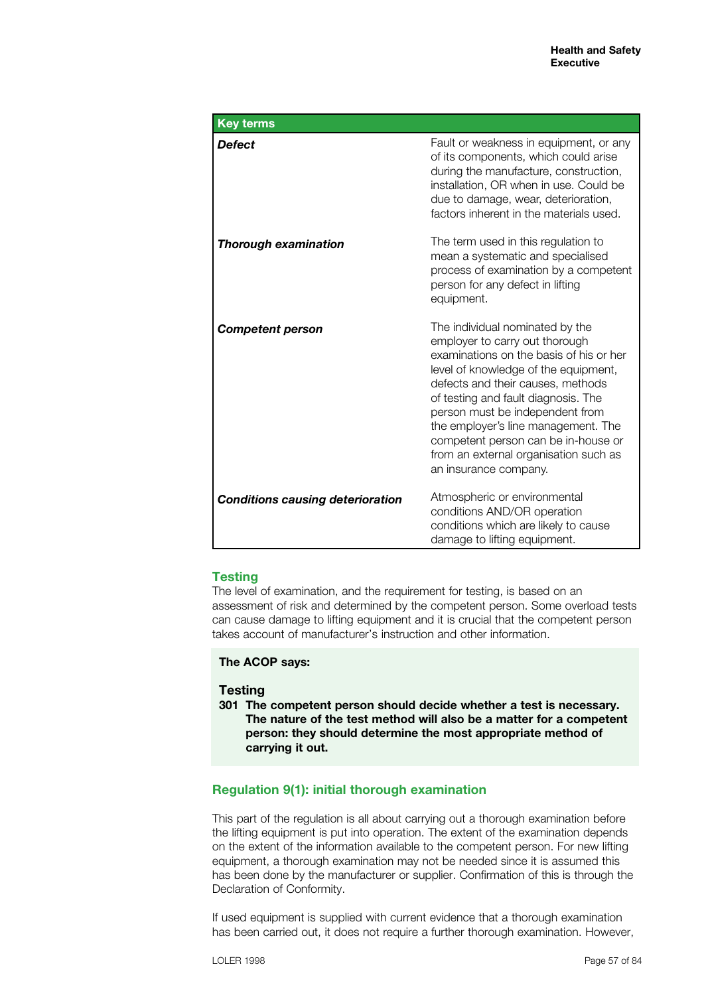| <b>Key terms</b>                        |                                                                                                                                                                                                                                                                                                                                                                                                                     |
|-----------------------------------------|---------------------------------------------------------------------------------------------------------------------------------------------------------------------------------------------------------------------------------------------------------------------------------------------------------------------------------------------------------------------------------------------------------------------|
| Defect                                  | Fault or weakness in equipment, or any<br>of its components, which could arise<br>during the manufacture, construction,<br>installation, OR when in use. Could be<br>due to damage, wear, deterioration,<br>factors inherent in the materials used.                                                                                                                                                                 |
| <b>Thorough examination</b>             | The term used in this regulation to<br>mean a systematic and specialised<br>process of examination by a competent<br>person for any defect in lifting<br>equipment.                                                                                                                                                                                                                                                 |
| <b>Competent person</b>                 | The individual nominated by the<br>employer to carry out thorough<br>examinations on the basis of his or her<br>level of knowledge of the equipment,<br>defects and their causes, methods<br>of testing and fault diagnosis. The<br>person must be independent from<br>the employer's line management. The<br>competent person can be in-house or<br>from an external organisation such as<br>an insurance company. |
| <b>Conditions causing deterioration</b> | Atmospheric or environmental<br>conditions AND/OR operation<br>conditions which are likely to cause<br>damage to lifting equipment.                                                                                                                                                                                                                                                                                 |

## **Testing**

The level of examination, and the requirement for testing, is based on an assessment of risk and determined by the competent person. Some overload tests can cause damage to lifting equipment and it is crucial that the competent person takes account of manufacturer's instruction and other information.

### **The ACOP says:**

## **Testing**

**301 The competent person should decide whether a test is necessary. The nature of the test method will also be a matter for a competent person: they should determine the most appropriate method of carrying it out.**

## **Regulation 9(1): initial thorough examination**

This part of the regulation is all about carrying out a thorough examination before the lifting equipment is put into operation. The extent of the examination depends on the extent of the information available to the competent person. For new lifting equipment, a thorough examination may not be needed since it is assumed this has been done by the manufacturer or supplier. Confirmation of this is through the Declaration of Conformity.

If used equipment is supplied with current evidence that a thorough examination has been carried out, it does not require a further thorough examination. However,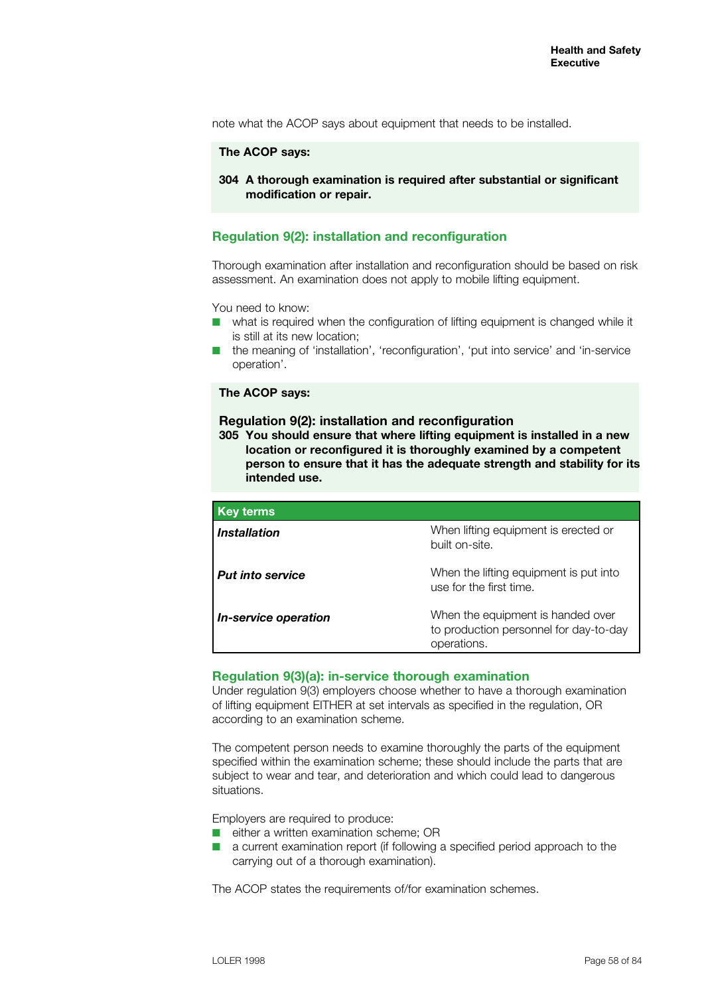note what the ACOP says about equipment that needs to be installed.

#### **The ACOP says:**

**304 A thorough examination is required after substantial or significant modification or repair.**

## **Regulation 9(2): installation and reconfiguration**

Thorough examination after installation and reconfiguration should be based on risk assessment. An examination does not apply to mobile lifting equipment.

You need to know:

- $\blacksquare$  what is required when the configuration of lifting equipment is changed while it is still at its new location;
- $\blacksquare$  the meaning of 'installation', 'reconfiguration', 'put into service' and 'in-service operation'.

### **The ACOP says:**

#### **Regulation 9(2): installation and reconfiguration**

**305 You should ensure that where lifting equipment is installed in a new location or reconfigured it is thoroughly examined by a competent person to ensure that it has the adequate strength and stability for its intended use.**

| <b>Key terms</b>            |                                                                                            |
|-----------------------------|--------------------------------------------------------------------------------------------|
| <i><b>Installation</b></i>  | When lifting equipment is erected or<br>built on-site.                                     |
| <b>Put into service</b>     | When the lifting equipment is put into<br>use for the first time.                          |
| <i>In-service operation</i> | When the equipment is handed over<br>to production personnel for day-to-day<br>operations. |

#### **Regulation 9(3)(a): in-service thorough examination**

Under regulation 9(3) employers choose whether to have a thorough examination of lifting equipment EITHER at set intervals as specified in the regulation, OR according to an examination scheme.

The competent person needs to examine thoroughly the parts of the equipment specified within the examination scheme; these should include the parts that are subject to wear and tear, and deterioration and which could lead to dangerous situations.

Employers are required to produce:

- $\blacksquare$  either a written examination scheme; OR
- a current examination report (if following a specified period approach to the carrying out of a thorough examination).

The ACOP states the requirements of/for examination schemes.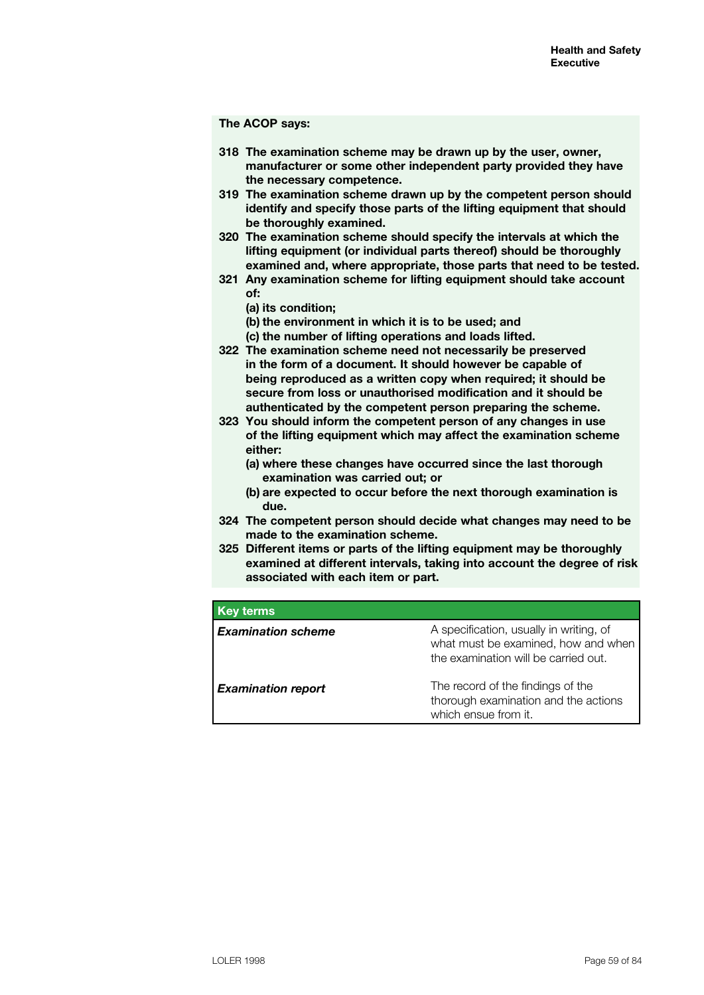#### **The ACOP says:**

- **318 The examination scheme may be drawn up by the user, owner, manufacturer or some other independent party provided they have the necessary competence.**
- **319 The examination scheme drawn up by the competent person should identify and specify those parts of the lifting equipment that should be thoroughly examined.**
- **320 The examination scheme should specify the intervals at which the lifting equipment (or individual parts thereof) should be thoroughly examined and, where appropriate, those parts that need to be tested.**
- **321 Any examination scheme for lifting equipment should take account of:**
	- **(a) its condition;**
	- **(b) the environment in which it is to be used; and**
	- **(c) the number of lifting operations and loads lifted.**
- **322 The examination scheme need not necessarily be preserved in the form of a document. It should however be capable of being reproduced as a written copy when required; it should be secure from loss or unauthorised modification and it should be authenticated by the competent person preparing the scheme.**
- **323 You should inform the competent person of any changes in use of the lifting equipment which may affect the examination scheme either:**
	- **(a) where these changes have occurred since the last thorough examination was carried out; or**
	- **(b) are expected to occur before the next thorough examination is due.**
- **324 The competent person should decide what changes may need to be made to the examination scheme.**
- **325 Different items or parts of the lifting equipment may be thoroughly examined at different intervals, taking into account the degree of risk associated with each item or part.**

| <b>Key terms</b>          |                                                                                                                        |
|---------------------------|------------------------------------------------------------------------------------------------------------------------|
| <b>Examination scheme</b> | A specification, usually in writing, of<br>what must be examined, how and when<br>the examination will be carried out. |
| <b>Examination report</b> | The record of the findings of the<br>thorough examination and the actions<br>which ensue from it.                      |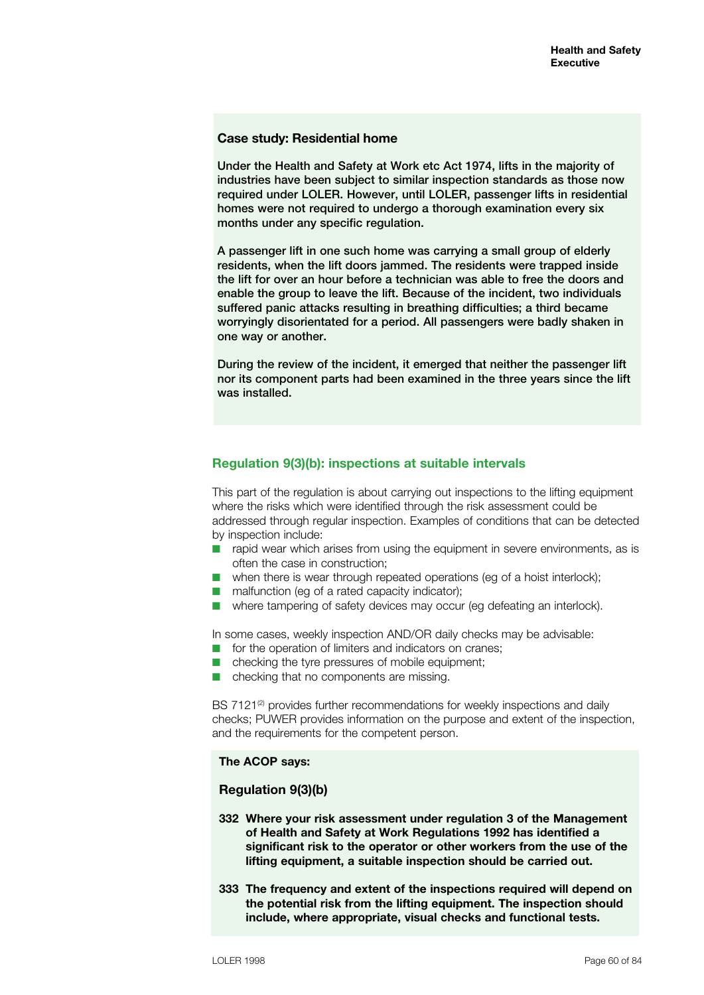### **Case study: Residential home**

Under the Health and Safety at Work etc Act 1974, lifts in the majority of industries have been subject to similar inspection standards as those now required under LOLER. However, until LOLER, passenger lifts in residential homes were not required to undergo a thorough examination every six months under any specific regulation.

A passenger lift in one such home was carrying a small group of elderly residents, when the lift doors jammed. The residents were trapped inside the lift for over an hour before a technician was able to free the doors and enable the group to leave the lift. Because of the incident, two individuals suffered panic attacks resulting in breathing difficulties; a third became worryingly disorientated for a period. All passengers were badly shaken in one way or another.

During the review of the incident, it emerged that neither the passenger lift nor its component parts had been examined in the three years since the lift was installed.

## **Regulation 9(3)(b): inspections at suitable intervals**

This part of the regulation is about carrying out inspections to the lifting equipment where the risks which were identified through the risk assessment could be addressed through regular inspection. Examples of conditions that can be detected by inspection include:

- $\blacksquare$  rapid wear which arises from using the equipment in severe environments, as is often the case in construction;
- $\blacksquare$  when there is wear through repeated operations (eg of a hoist interlock);
- $\blacksquare$  malfunction (eq of a rated capacity indicator);
- $\blacksquare$  where tampering of safety devices may occur (eg defeating an interlock).

In some cases, weekly inspection AND/OR daily checks may be advisable:

- $\blacksquare$  for the operation of limiters and indicators on cranes;
- $\blacksquare$  checking the tyre pressures of mobile equipment;
- $\blacksquare$  checking that no components are missing.

BS 7121<sup>(2)</sup> provides further recommendations for weekly inspections and daily checks; PUWER provides information on the purpose and extent of the inspection, and the requirements for the competent person.

## **The ACOP says:**

## **Regulation 9(3)(b)**

- **332 Where your risk assessment under regulation 3 of the Management of Health and Safety at Work Regulations 1992 has identified a significant risk to the operator or other workers from the use of the lifting equipment, a suitable inspection should be carried out.**
- **333 The frequency and extent of the inspections required will depend on the potential risk from the lifting equipment. The inspection should include, where appropriate, visual checks and functional tests.**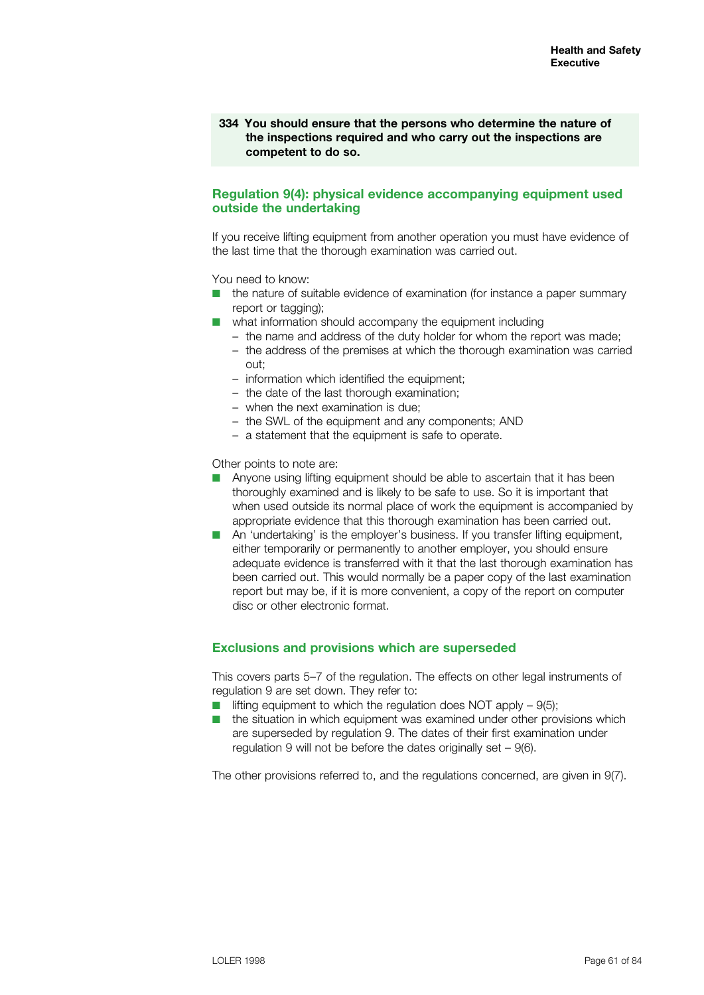**334 You should ensure that the persons who determine the nature of the inspections required and who carry out the inspections are competent to do so.**

## **Regulation 9(4): physical evidence accompanying equipment used outside the undertaking**

If you receive lifting equipment from another operation you must have evidence of the last time that the thorough examination was carried out.

You need to know:

- $\blacksquare$  the nature of suitable evidence of examination (for instance a paper summary report or tagging);
- $\blacksquare$  what information should accompany the equipment including
	- the name and address of the duty holder for whom the report was made;
	- the address of the premises at which the thorough examination was carried out;
	- information which identified the equipment;
	- the date of the last thorough examination;
	- when the next examination is due;
	- the SWL of the equipment and any components; AND
	- a statement that the equipment is safe to operate.

Other points to note are:

- Anyone using lifting equipment should be able to ascertain that it has been thoroughly examined and is likely to be safe to use. So it is important that when used outside its normal place of work the equipment is accompanied by appropriate evidence that this thorough examination has been carried out.
- $\blacksquare$  An 'undertaking' is the employer's business. If you transfer lifting equipment, either temporarily or permanently to another employer, you should ensure adequate evidence is transferred with it that the last thorough examination has been carried out. This would normally be a paper copy of the last examination report but may be, if it is more convenient, a copy of the report on computer disc or other electronic format.

## **Exclusions and provisions which are superseded**

This covers parts 5–7 of the regulation. The effects on other legal instruments of regulation 9 are set down. They refer to:

- $\blacksquare$  lifting equipment to which the regulation does NOT apply 9(5);
- the situation in which equipment was examined under other provisions which are superseded by regulation 9. The dates of their first examination under regulation 9 will not be before the dates originally set – 9(6).

The other provisions referred to, and the regulations concerned, are given in 9(7).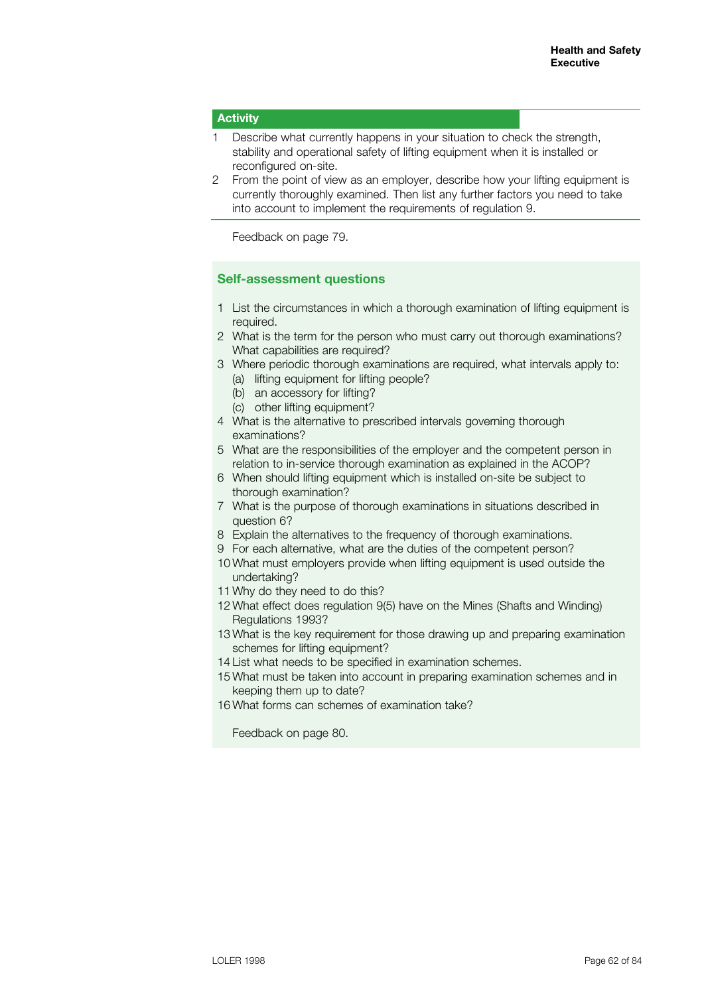## **Activity**

- 1 Describe what currently happens in your situation to check the strength, stability and operational safety of lifting equipment when it is installed or reconfigured on-site.
- 2 From the point of view as an employer, describe how your lifting equipment is currently thoroughly examined. Then list any further factors you need to take into account to implement the requirements of regulation 9.

Feedback on page 79.

## **Self-assessment questions**

- 1 List the circumstances in which a thorough examination of lifting equipment is required.
- 2 What is the term for the person who must carry out thorough examinations? What capabilities are required?
- 3 Where periodic thorough examinations are required, what intervals apply to:
	- (a) lifting equipment for lifting people?
	- (b) an accessory for lifting?
	- (c) other lifting equipment?
- 4 What is the alternative to prescribed intervals governing thorough examinations?
- 5 What are the responsibilities of the employer and the competent person in relation to in-service thorough examination as explained in the ACOP?
- 6 When should lifting equipment which is installed on-site be subject to thorough examination?
- 7 What is the purpose of thorough examinations in situations described in question 6?
- 8 Explain the alternatives to the frequency of thorough examinations.
- 9 For each alternative, what are the duties of the competent person?
- 10 What must employers provide when lifting equipment is used outside the undertaking?
- 11 Why do they need to do this?
- 12 What effect does regulation 9(5) have on the Mines (Shafts and Winding) Regulations 1993?
- 13 What is the key requirement for those drawing up and preparing examination schemes for lifting equipment?
- 14 List what needs to be specified in examination schemes.
- 15 What must be taken into account in preparing examination schemes and in keeping them up to date?
- 16 What forms can schemes of examination take?

Feedback on page 80.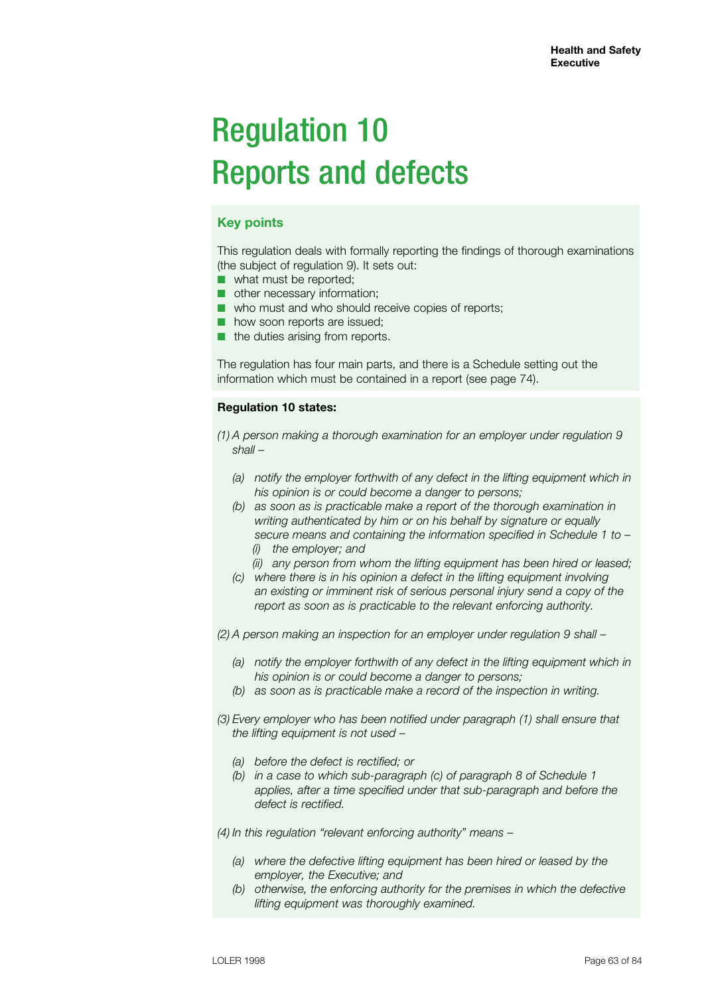# Regulation 10 Reports and defects

## **Key points**

This regulation deals with formally reporting the findings of thorough examinations (the subject of regulation 9). It sets out:

- what must be reported;
- other necessary information;
- who must and who should receive copies of reports;
- how soon reports are issued;
- the duties arising from reports.

The regulation has four main parts, and there is a Schedule setting out the information which must be contained in a report (see page 74).

## **Regulation 10 states:**

- *(1) A person making a thorough examination for an employer under regulation 9 shall –*
	- *(a) notify the employer forthwith of any defect in the lifting equipment which in his opinion is or could become a danger to persons;*
	- *(b) as soon as is practicable make a report of the thorough examination in writing authenticated by him or on his behalf by signature or equally secure means and containing the information specified in Schedule 1 to – (i) the employer; and*
		- *(ii) any person from whom the lifting equipment has been hired or leased;*
	- *(c) where there is in his opinion a defect in the lifting equipment involving an existing or imminent risk of serious personal injury send a copy of the report as soon as is practicable to the relevant enforcing authority.*

*(2) A person making an inspection for an employer under regulation 9 shall –*

- *(a) notify the employer forthwith of any defect in the lifting equipment which in his opinion is or could become a danger to persons;*
- *(b) as soon as is practicable make a record of the inspection in writing.*
- *(3) Every employer who has been notified under paragraph (1) shall ensure that the lifting equipment is not used –*
	- *(a) before the defect is rectified; or*
	- *(b) in a case to which sub-paragraph (c) of paragraph 8 of Schedule 1 applies, after a time specified under that sub-paragraph and before the defect is rectified.*

*(4) In this regulation "relevant enforcing authority" means –*

- *(a) where the defective lifting equipment has been hired or leased by the employer, the Executive; and*
- *(b) otherwise, the enforcing authority for the premises in which the defective lifting equipment was thoroughly examined.*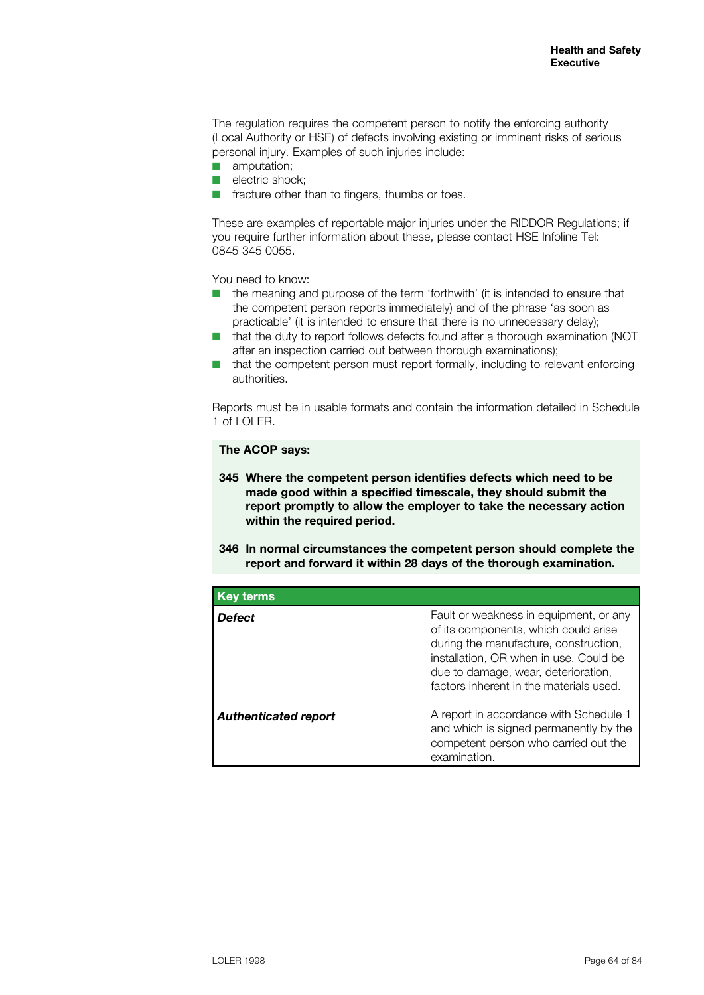The regulation requires the competent person to notify the enforcing authority (Local Authority or HSE) of defects involving existing or imminent risks of serious personal injury. Examples of such injuries include:

- $\blacksquare$  amputation;
- $\blacksquare$  electric shock;
- $\blacksquare$  fracture other than to fingers, thumbs or toes.

These are examples of reportable major injuries under the RIDDOR Regulations; if you require further information about these, please contact HSE Infoline Tel: 0845 345 0055.

You need to know:

- $\blacksquare$  the meaning and purpose of the term 'forthwith' (it is intended to ensure that the competent person reports immediately) and of the phrase 'as soon as practicable' (it is intended to ensure that there is no unnecessary delay);
- that the duty to report follows defects found after a thorough examination (NOT after an inspection carried out between thorough examinations);
- that the competent person must report formally, including to relevant enforcing authorities.

Reports must be in usable formats and contain the information detailed in Schedule 1 of LOLER.

## **The ACOP says:**

- **345 Where the competent person identifies defects which need to be made good within a specified timescale, they should submit the report promptly to allow the employer to take the necessary action within the required period.**
- **346 In normal circumstances the competent person should complete the report and forward it within 28 days of the thorough examination.**

| <b>Key terms</b>            |                                                                                                                                                                                                                                                     |
|-----------------------------|-----------------------------------------------------------------------------------------------------------------------------------------------------------------------------------------------------------------------------------------------------|
| Defect                      | Fault or weakness in equipment, or any<br>of its components, which could arise<br>during the manufacture, construction,<br>installation, OR when in use. Could be<br>due to damage, wear, deterioration,<br>factors inherent in the materials used. |
| <b>Authenticated report</b> | A report in accordance with Schedule 1<br>and which is signed permanently by the<br>competent person who carried out the<br>examination.                                                                                                            |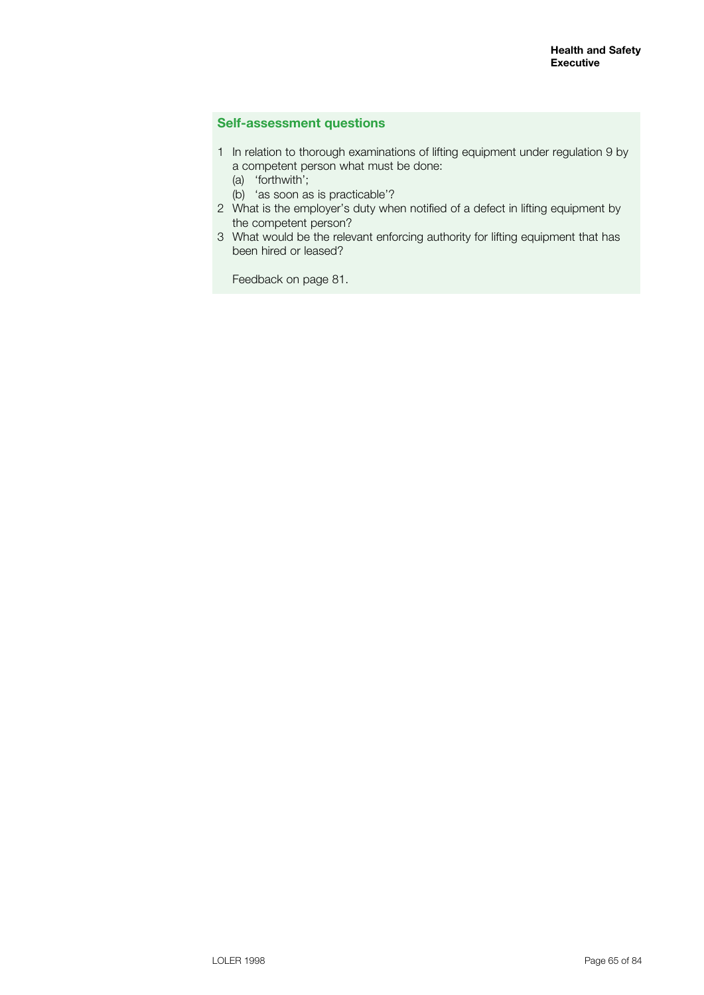## **Self-assessment questions**

- 1 In relation to thorough examinations of lifting equipment under regulation 9 by a competent person what must be done:
	- (a) 'forthwith';
	- (b) 'as soon as is practicable'?
- 2 What is the employer's duty when notified of a defect in lifting equipment by the competent person?
- 3 What would be the relevant enforcing authority for lifting equipment that has been hired or leased?

Feedback on page 81.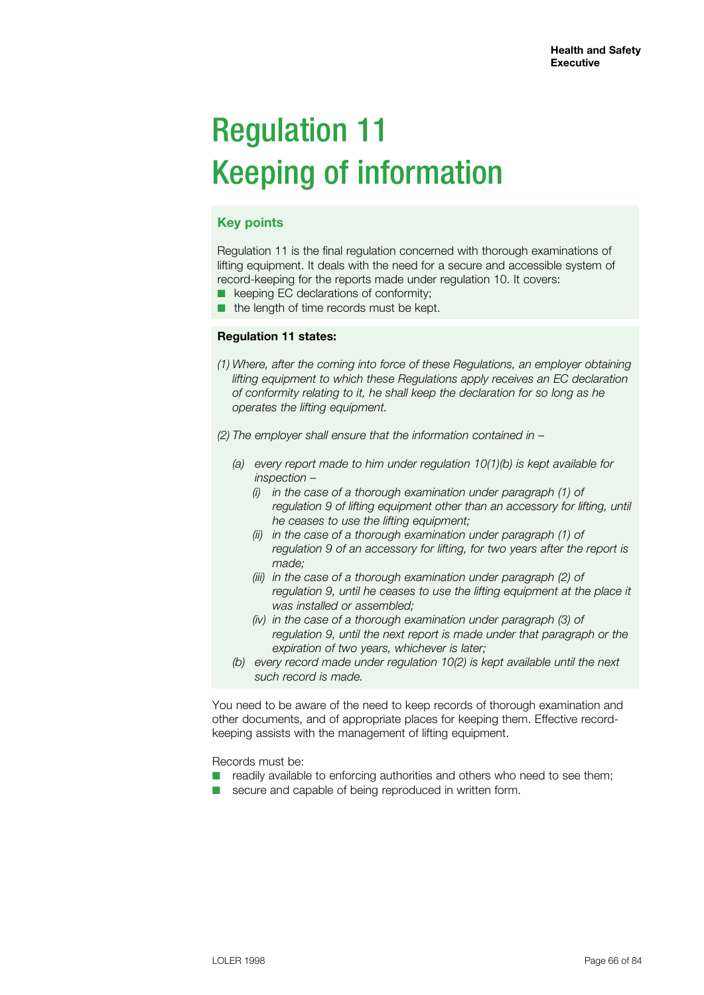# Regulation 11 Keeping of information

## **Key points**

Regulation 11 is the final regulation concerned with thorough examinations of lifting equipment. It deals with the need for a secure and accessible system of record-keeping for the reports made under regulation 10. It covers:

- keeping EC declarations of conformity;
- the length of time records must be kept.

### **Regulation 11 states:**

- *(1) Where, after the coming into force of these Regulations, an employer obtaining lifting equipment to which these Regulations apply receives an EC declaration of conformity relating to it, he shall keep the declaration for so long as he operates the lifting equipment.*
- *(2) The employer shall ensure that the information contained in –*
	- *(a) every report made to him under regulation 10(1)(b) is kept available for inspection –*
		- *(i) in the case of a thorough examination under paragraph (1) of regulation 9 of lifting equipment other than an accessory for lifting, until he ceases to use the lifting equipment;*
		- *(ii) in the case of a thorough examination under paragraph (1) of regulation 9 of an accessory for lifting, for two years after the report is made;*
		- *(iii) in the case of a thorough examination under paragraph (2) of*  regulation 9, until he ceases to use the lifting equipment at the place it  *was installed or assembled;*
		- *(iv) in the case of a thorough examination under paragraph (3) of regulation 9, until the next report is made under that paragraph or the expiration of two years, whichever is later;*
	- *(b) every record made under regulation 10(2) is kept available until the next such record is made.*

You need to be aware of the need to keep records of thorough examination and other documents, and of appropriate places for keeping them. Effective recordkeeping assists with the management of lifting equipment.

Records must be:

- $\blacksquare$  readily available to enforcing authorities and others who need to see them;
- secure and capable of being reproduced in written form.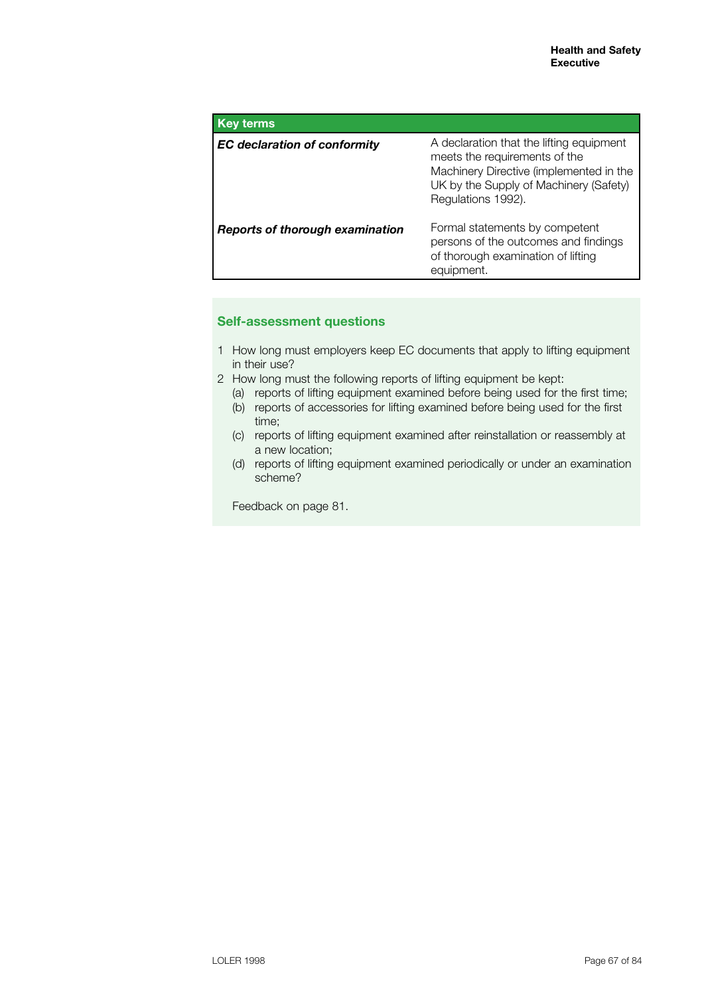| <b>Key terms</b>                       |                                                                                                                                                                                      |
|----------------------------------------|--------------------------------------------------------------------------------------------------------------------------------------------------------------------------------------|
| <b>EC</b> declaration of conformity    | A declaration that the lifting equipment<br>meets the requirements of the<br>Machinery Directive (implemented in the<br>UK by the Supply of Machinery (Safety)<br>Regulations 1992). |
| <b>Reports of thorough examination</b> | Formal statements by competent<br>persons of the outcomes and findings<br>of thorough examination of lifting<br>equipment.                                                           |

## **Self-assessment questions**

- 1 How long must employers keep EC documents that apply to lifting equipment in their use?
- 2 How long must the following reports of lifting equipment be kept:
	- (a) reports of lifting equipment examined before being used for the first time;
	- (b) reports of accessories for lifting examined before being used for the first time;
	- (c) reports of lifting equipment examined after reinstallation or reassembly at a new location;
	- (d) reports of lifting equipment examined periodically or under an examination scheme?

Feedback on page 81.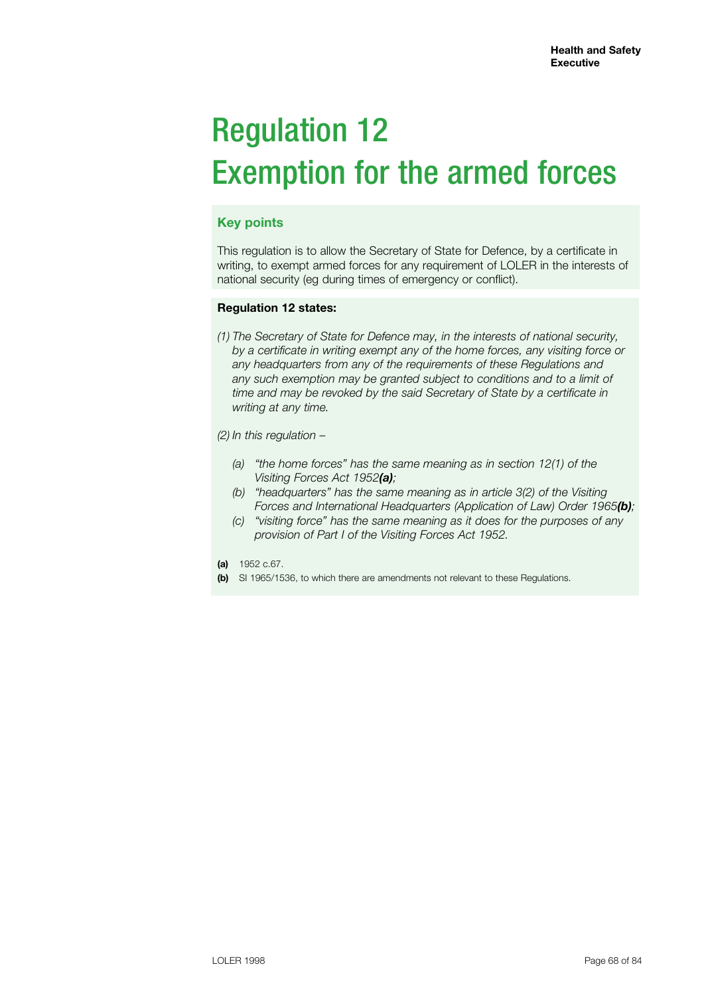# Regulation 12 Exemption for the armed forces

## **Key points**

This regulation is to allow the Secretary of State for Defence, by a certificate in writing, to exempt armed forces for any requirement of LOLER in the interests of national security (eg during times of emergency or conflict).

## **Regulation 12 states:**

*(1) The Secretary of State for Defence may, in the interests of national security, by a certificate in writing exempt any of the home forces, any visiting force or any headquarters from any of the requirements of these Regulations and any such exemption may be granted subject to conditions and to a limit of time and may be revoked by the said Secretary of State by a certificate in writing at any time.*

*(2) In this regulation –*

- *(a) "the home forces" has the same meaning as in section 12(1) of the Visiting Forces Act 1952(a);*
- *(b) "headquarters" has the same meaning as in article 3(2) of the Visiting Forces and International Headquarters (Application of Law) Order 1965(b);*
- *(c) "visiting force" has the same meaning as it does for the purposes of any provision of Part I of the Visiting Forces Act 1952.*
- **(a)** 1952 c.67.
- **(b)** SI 1965/1536, to which there are amendments not relevant to these Regulations.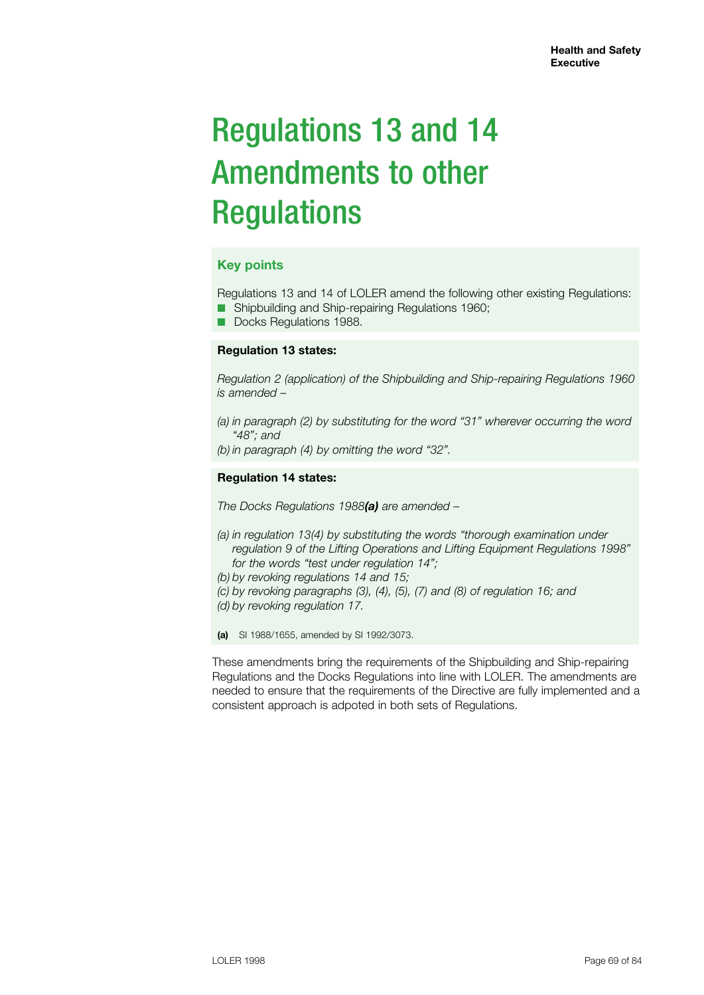# Regulations 13 and 14 Amendments to other **Regulations**

## **Key points**

Regulations 13 and 14 of LOLER amend the following other existing Regulations: ■ Shipbuilding and Ship-repairing Regulations 1960;

■ Docks Regulations 1988.

## **Regulation 13 states:**

*Regulation 2 (application) of the Shipbuilding and Ship-repairing Regulations 1960 is amended –*

- *(a) in paragraph (2) by substituting for the word "31" wherever occurring the word "48"; and*
- *(b) in paragraph (4) by omitting the word "32".*

### **Regulation 14 states:**

*The Docks Regulations 1988(a) are amended –*

- *(a) in regulation 13(4) by substituting the words "thorough examination under regulation 9 of the Lifting Operations and Lifting Equipment Regulations 1998" for the words "test under regulation 14";*
- *(b) by revoking regulations 14 and 15;*
- *(c) by revoking paragraphs (3), (4), (5), (7) and (8) of regulation 16; and*
- *(d) by revoking regulation 17.*

**(a)** SI 1988/1655, amended by SI 1992/3073.

These amendments bring the requirements of the Shipbuilding and Ship-repairing Regulations and the Docks Regulations into line with LOLER. The amendments are needed to ensure that the requirements of the Directive are fully implemented and a consistent approach is adpoted in both sets of Regulations.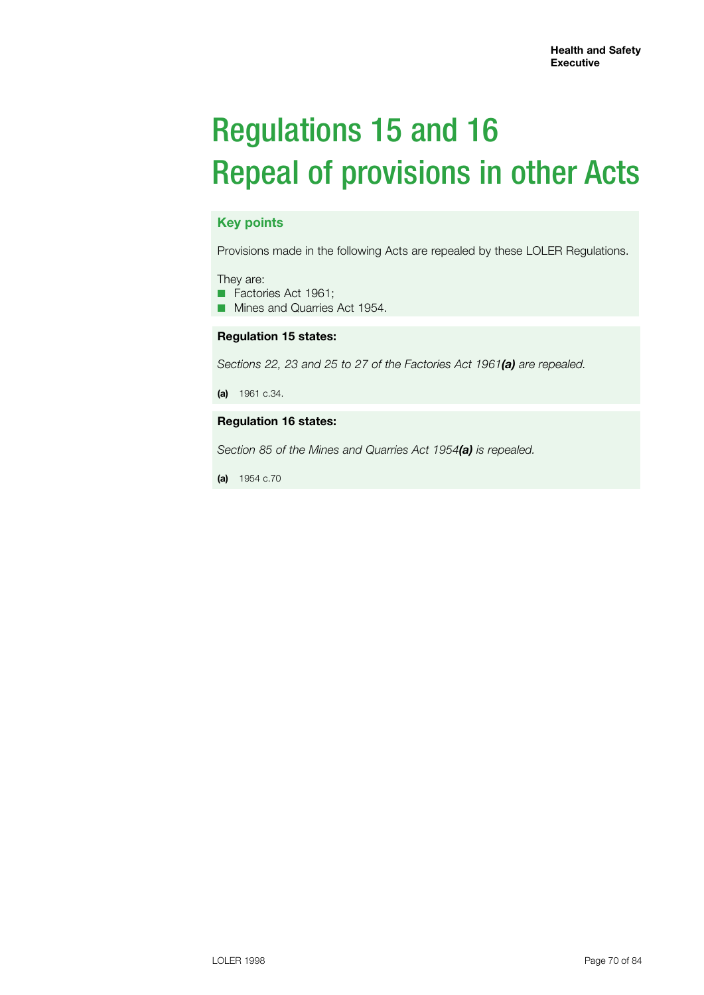# Regulations 15 and 16 Repeal of provisions in other Acts

## **Key points**

Provisions made in the following Acts are repealed by these LOLER Regulations.

They are:

■ Factories Act 1961;

■ Mines and Quarries Act 1954.

## **Regulation 15 states:**

*Sections 22, 23 and 25 to 27 of the Factories Act 1961(a) are repealed.*

**(a)** 1961 c.34.

### **Regulation 16 states:**

*Section 85 of the Mines and Quarries Act 1954(a) is repealed.*

**(a)** 1954 c.70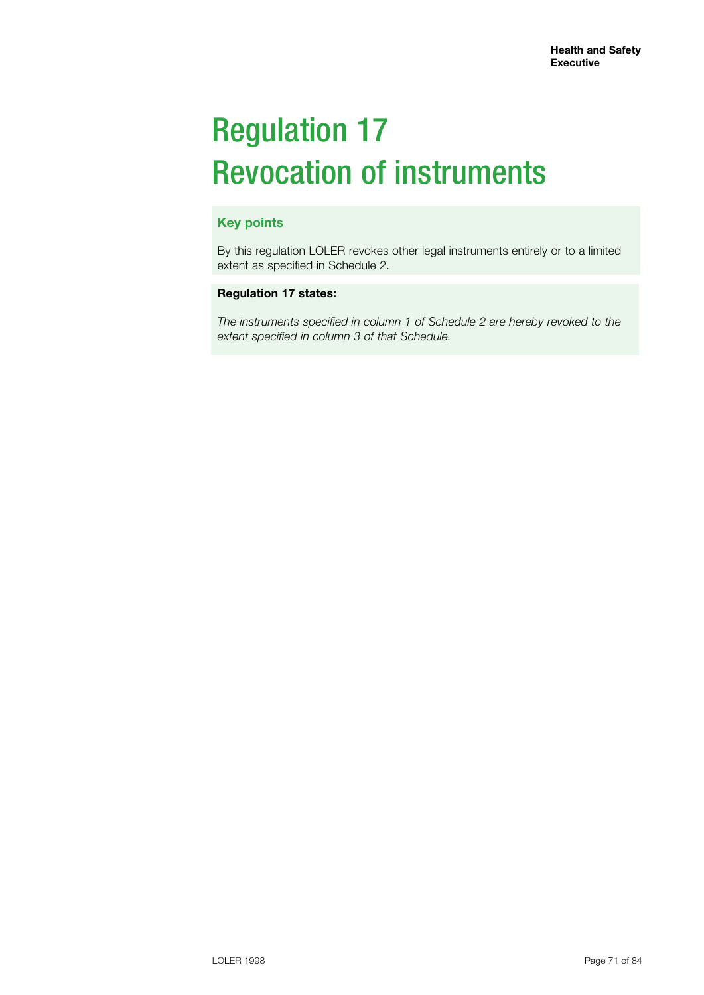# Regulation 17 Revocation of instruments

# **Key points**

By this regulation LOLER revokes other legal instruments entirely or to a limited extent as specified in Schedule 2.

## **Regulation 17 states:**

*The instruments specified in column 1 of Schedule 2 are hereby revoked to the extent specified in column 3 of that Schedule.*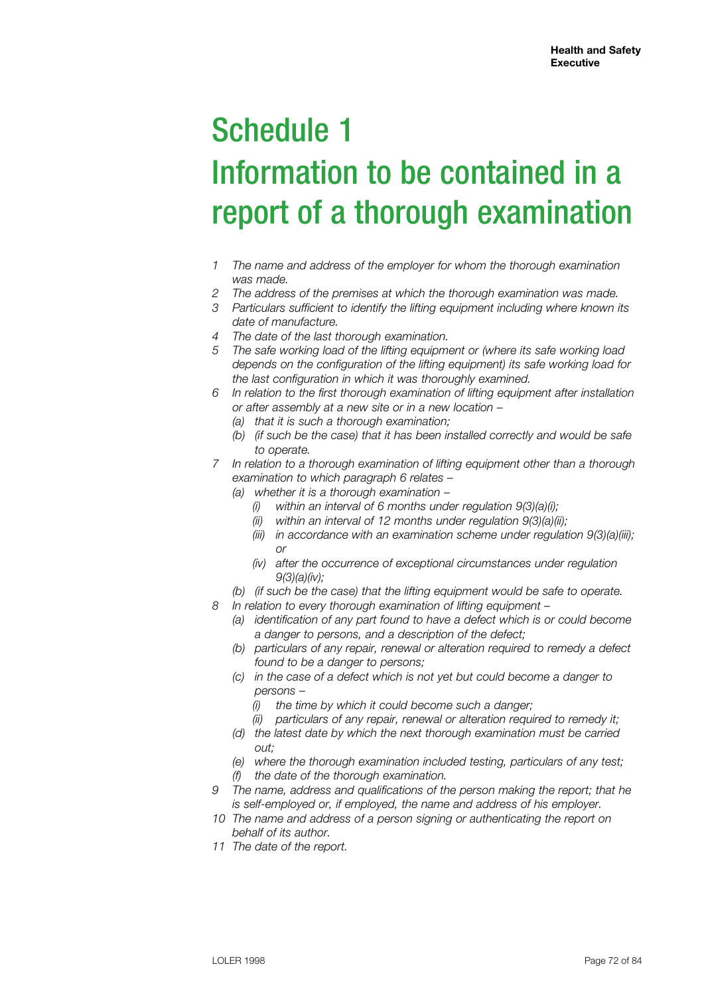# Schedule 1 Information to be contained in a report of a thorough examination

- *1 The name and address of the employer for whom the thorough examination was made.*
- *2 The address of the premises at which the thorough examination was made.*
- *3 Particulars sufficient to identify the lifting equipment including where known its date of manufacture.*
- *4 The date of the last thorough examination.*
- *5 The safe working load of the lifting equipment or (where its safe working load depends on the configuration of the lifting equipment) its safe working load for the last configuration in which it was thoroughly examined.*
- *6 In relation to the first thorough examination of lifting equipment after installation or after assembly at a new site or in a new location –*
	- *(a) that it is such a thorough examination;*
	- *(b) (if such be the case) that it has been installed correctly and would be safe to operate.*
- *7 In relation to a thorough examination of lifting equipment other than a thorough examination to which paragraph 6 relates –*
	- *(a) whether it is a thorough examination –*
		- *(i) within an interval of 6 months under regulation 9(3)(a)(i);*
		- *(ii) within an interval of 12 months under regulation 9(3)(a)(ii);*
		- *(iii) in accordance with an examination scheme under regulation 9(3)(a)(iii); or*
		- *(iv) after the occurrence of exceptional circumstances under regulation 9(3)(a)(iv);*
	- *(b) (if such be the case) that the lifting equipment would be safe to operate.*
- *8 In relation to every thorough examination of lifting equipment –*
	- *(a) identification of any part found to have a defect which is or could become a danger to persons, and a description of the defect;*
	- *(b) particulars of any repair, renewal or alteration required to remedy a defect found to be a danger to persons;*
	- *(c) in the case of a defect which is not yet but could become a danger to persons –*
		- *(i) the time by which it could become such a danger;*
		- *(ii) particulars of any repair, renewal or alteration required to remedy it;*
	- *(d) the latest date by which the next thorough examination must be carried out;*
	- *(e) where the thorough examination included testing, particulars of any test;*
	- *(f) the date of the thorough examination.*
- *9 The name, address and qualifications of the person making the report; that he is self-employed or, if employed, the name and address of his employer.*
- *10 The name and address of a person signing or authenticating the report on behalf of its author.*
- *11 The date of the report.*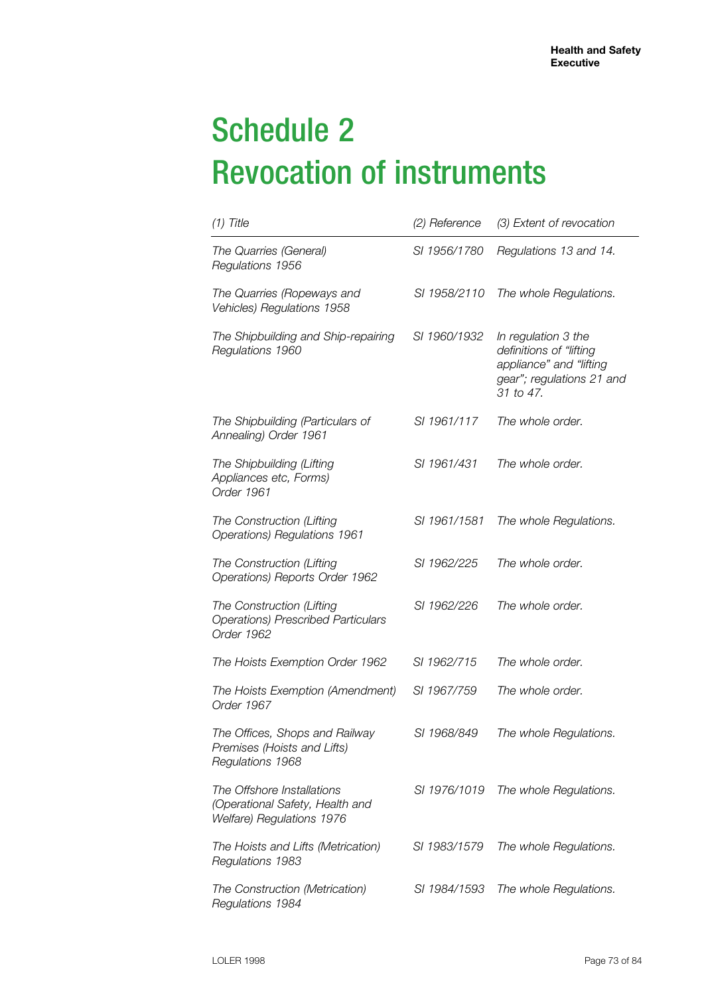# Schedule 2 Revocation of instruments

| $(1)$ Title                                                                                | (2) Reference | (3) Extent of revocation                                                                                            |  |
|--------------------------------------------------------------------------------------------|---------------|---------------------------------------------------------------------------------------------------------------------|--|
| The Quarries (General)<br>Regulations 1956                                                 | SI 1956/1780  | Regulations 13 and 14.                                                                                              |  |
| The Quarries (Ropeways and<br>Vehicles) Regulations 1958                                   | SI 1958/2110  | The whole Regulations.                                                                                              |  |
| The Shipbuilding and Ship-repairing<br>Regulations 1960                                    | SI 1960/1932  | In regulation 3 the<br>definitions of "lifting<br>appliance" and "lifting<br>gear"; regulations 21 and<br>31 to 47. |  |
| The Shipbuilding (Particulars of<br>Annealing) Order 1961                                  | SI 1961/117   | The whole order.                                                                                                    |  |
| The Shipbuilding (Lifting<br>Appliances etc, Forms)<br>Order 1961                          | SI 1961/431   | The whole order.                                                                                                    |  |
| The Construction (Lifting<br>Operations) Regulations 1961                                  | SI 1961/1581  | The whole Regulations.                                                                                              |  |
| The Construction (Lifting<br>Operations) Reports Order 1962                                | SI 1962/225   | The whole order.                                                                                                    |  |
| The Construction (Lifting<br><b>Operations) Prescribed Particulars</b><br>Order 1962       | SI 1962/226   | The whole order.                                                                                                    |  |
| The Hoists Exemption Order 1962                                                            | SI 1962/715   | The whole order.                                                                                                    |  |
| The Hoists Exemption (Amendment)<br>Order 1967                                             | SI 1967/759   | The whole order.                                                                                                    |  |
| The Offices, Shops and Railway<br>Premises (Hoists and Lifts)<br>Regulations 1968          | SI 1968/849   | The whole Regulations.                                                                                              |  |
| The Offshore Installations<br>(Operational Safety, Health and<br>Welfare) Regulations 1976 | SI 1976/1019  | The whole Regulations.                                                                                              |  |
| The Hoists and Lifts (Metrication)<br>Regulations 1983                                     | SI 1983/1579  | The whole Regulations.                                                                                              |  |
| The Construction (Metrication)<br>Regulations 1984                                         | SI 1984/1593  | The whole Regulations.                                                                                              |  |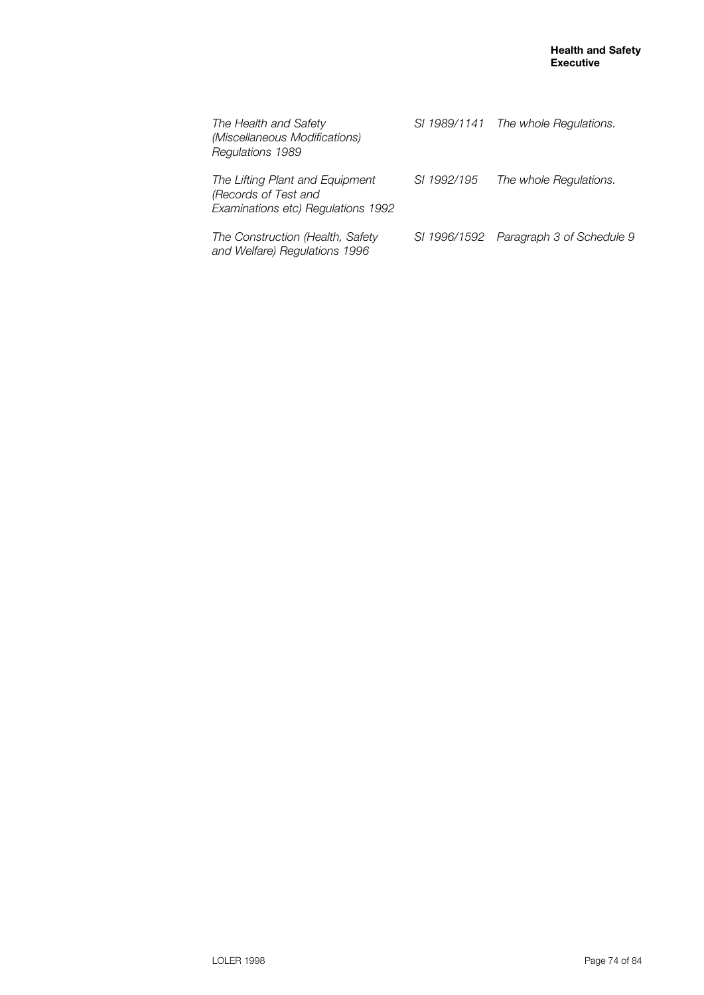| The Health and Safety<br>(Miscellaneous Modifications)<br>Regulations 1989                    |             | SI 1989/1141 The whole Regulations.    |
|-----------------------------------------------------------------------------------------------|-------------|----------------------------------------|
| The Lifting Plant and Equipment<br>(Records of Test and<br>Examinations etc) Regulations 1992 | SI 1992/195 | The whole Regulations.                 |
| The Construction (Health, Safety<br>and Welfare) Regulations 1996                             |             | SI 1996/1592 Paragraph 3 of Schedule 9 |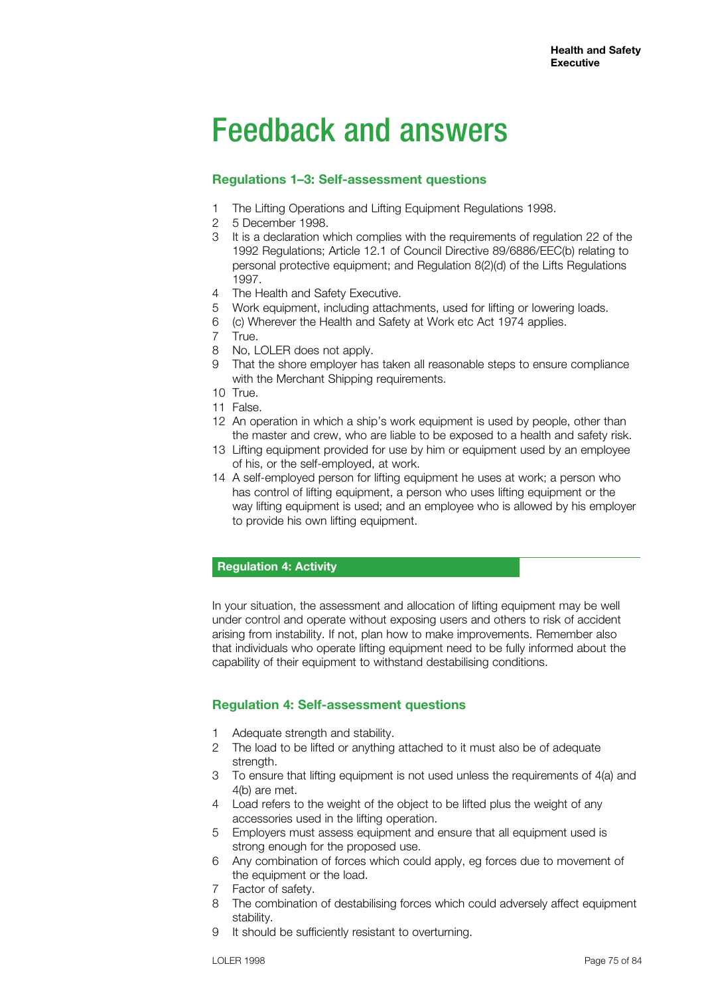## Feedback and answers

## **Regulations 1–3: Self-assessment questions**

- 1 The Lifting Operations and Lifting Equipment Regulations 1998.
- 2 5 December 1998.
- 3 It is a declaration which complies with the requirements of regulation 22 of the 1992 Regulations; Article 12.1 of Council Directive 89/6886/EEC(b) relating to personal protective equipment; and Regulation 8(2)(d) of the Lifts Regulations 1997.
- 4 The Health and Safety Executive.
- 5 Work equipment, including attachments, used for lifting or lowering loads.
- 6 (c) Wherever the Health and Safety at Work etc Act 1974 applies.
- 7 True.
- 8 No, LOLER does not apply.
- 9 That the shore employer has taken all reasonable steps to ensure compliance with the Merchant Shipping requirements.
- 10 True.
- 11 False.
- 12 An operation in which a ship's work equipment is used by people, other than the master and crew, who are liable to be exposed to a health and safety risk.
- 13 Lifting equipment provided for use by him or equipment used by an employee of his, or the self-employed, at work.
- 14 A self-employed person for lifting equipment he uses at work; a person who has control of lifting equipment, a person who uses lifting equipment or the way lifting equipment is used; and an employee who is allowed by his employer to provide his own lifting equipment.

#### **Regulation 4: Activity**

In your situation, the assessment and allocation of lifting equipment may be well under control and operate without exposing users and others to risk of accident arising from instability. If not, plan how to make improvements. Remember also that individuals who operate lifting equipment need to be fully informed about the capability of their equipment to withstand destabilising conditions.

## **Regulation 4: Self-assessment questions**

- 1 Adequate strength and stability.
- 2 The load to be lifted or anything attached to it must also be of adequate strength.
- 3 To ensure that lifting equipment is not used unless the requirements of 4(a) and 4(b) are met.
- 4 Load refers to the weight of the object to be lifted plus the weight of any accessories used in the lifting operation.
- 5 Employers must assess equipment and ensure that all equipment used is strong enough for the proposed use.
- 6 Any combination of forces which could apply, eg forces due to movement of the equipment or the load.
- 7 Factor of safety.
- 8 The combination of destabilising forces which could adversely affect equipment stability.
- 9 It should be sufficiently resistant to overturning.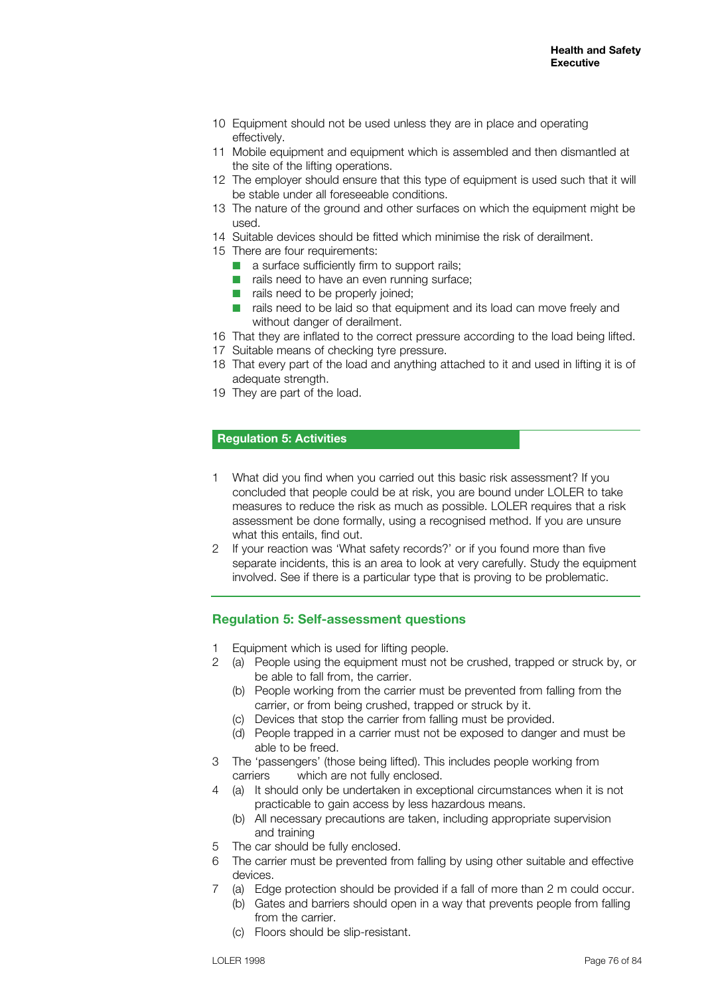- 10 Equipment should not be used unless they are in place and operating effectively.
- 11 Mobile equipment and equipment which is assembled and then dismantled at the site of the lifting operations.
- 12 The employer should ensure that this type of equipment is used such that it will be stable under all foreseeable conditions.
- 13 The nature of the ground and other surfaces on which the equipment might be used.
- 14 Suitable devices should be fitted which minimise the risk of derailment.
- 15 There are four requirements:
	- $\blacksquare$  a surface sufficiently firm to support rails;
	- $\blacksquare$  rails need to have an even running surface;
	- $\blacksquare$  rails need to be properly joined;
	- $\blacksquare$  rails need to be laid so that equipment and its load can move freely and without danger of derailment.
- 16 That they are inflated to the correct pressure according to the load being lifted.
- 17 Suitable means of checking tyre pressure.
- 18 That every part of the load and anything attached to it and used in lifting it is of adequate strength.
- 19 They are part of the load.

#### **Regulation 5: Activities**

- 1 What did you find when you carried out this basic risk assessment? If you concluded that people could be at risk, you are bound under LOLER to take measures to reduce the risk as much as possible. LOLER requires that a risk assessment be done formally, using a recognised method. If you are unsure what this entails, find out.
- 2 If your reaction was 'What safety records?' or if you found more than five separate incidents, this is an area to look at very carefully. Study the equipment involved. See if there is a particular type that is proving to be problematic.

#### **Regulation 5: Self-assessment questions**

- 1 Equipment which is used for lifting people.
- 2 (a) People using the equipment must not be crushed, trapped or struck by, or be able to fall from, the carrier.
	- (b) People working from the carrier must be prevented from falling from the carrier, or from being crushed, trapped or struck by it.
	- (c) Devices that stop the carrier from falling must be provided.
	- (d) People trapped in a carrier must not be exposed to danger and must be able to be freed.
- 3 The 'passengers' (those being lifted). This includes people working from carriers which are not fully enclosed.
- 4 (a) It should only be undertaken in exceptional circumstances when it is not practicable to gain access by less hazardous means.
	- (b) All necessary precautions are taken, including appropriate supervision and training
- 5 The car should be fully enclosed.
- 6 The carrier must be prevented from falling by using other suitable and effective devices.
- 7 (a) Edge protection should be provided if a fall of more than 2 m could occur.
	- (b) Gates and barriers should open in a way that prevents people from falling from the carrier.
	- (c) Floors should be slip-resistant.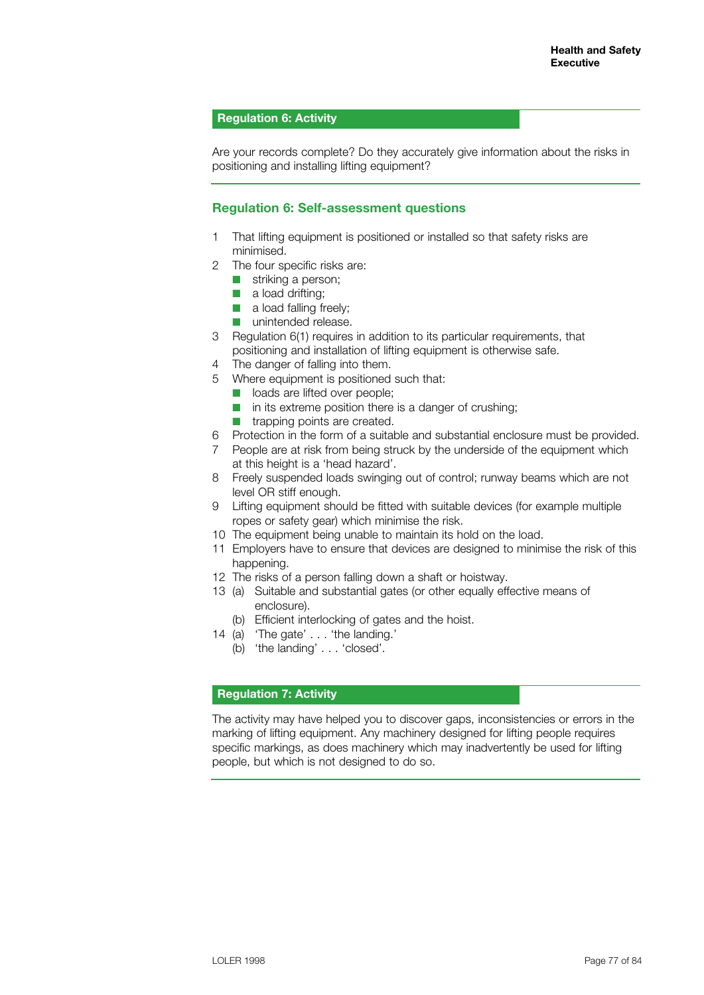#### **Regulation 6: Activity**

Are your records complete? Do they accurately give information about the risks in positioning and installing lifting equipment?

#### **Regulation 6: Self-assessment questions**

- 1 That lifting equipment is positioned or installed so that safety risks are minimised.
- 2 The four specific risks are:
	- $\blacksquare$  striking a person;
	- $\blacksquare$  a load drifting;
	- $\blacksquare$  a load falling freely;
	- $\blacksquare$  unintended release.
- 3 Regulation 6(1) requires in addition to its particular requirements, that positioning and installation of lifting equipment is otherwise safe.
- 4 The danger of falling into them.
- 5 Where equipment is positioned such that:
	- **n** loads are lifted over people;
	- $\blacksquare$  in its extreme position there is a danger of crushing;
	- $\blacksquare$  trapping points are created.
- 6 Protection in the form of a suitable and substantial enclosure must be provided.
- 7 People are at risk from being struck by the underside of the equipment which at this height is a 'head hazard'.
- 8 Freely suspended loads swinging out of control; runway beams which are not level OR stiff enough.
- 9 Lifting equipment should be fitted with suitable devices (for example multiple ropes or safety gear) which minimise the risk.
- 10 The equipment being unable to maintain its hold on the load.
- 11 Employers have to ensure that devices are designed to minimise the risk of this happening.
- 12 The risks of a person falling down a shaft or hoistway.
- 13 (a) Suitable and substantial gates (or other equally effective means of enclosure).
	- (b) Efficient interlocking of gates and the hoist.
- 14 (a) 'The gate' . . . 'the landing.'
	- (b) 'the landing' . . . 'closed'.

#### **Regulation 7: Activity**

The activity may have helped you to discover gaps, inconsistencies or errors in the marking of lifting equipment. Any machinery designed for lifting people requires specific markings, as does machinery which may inadvertently be used for lifting people, but which is not designed to do so.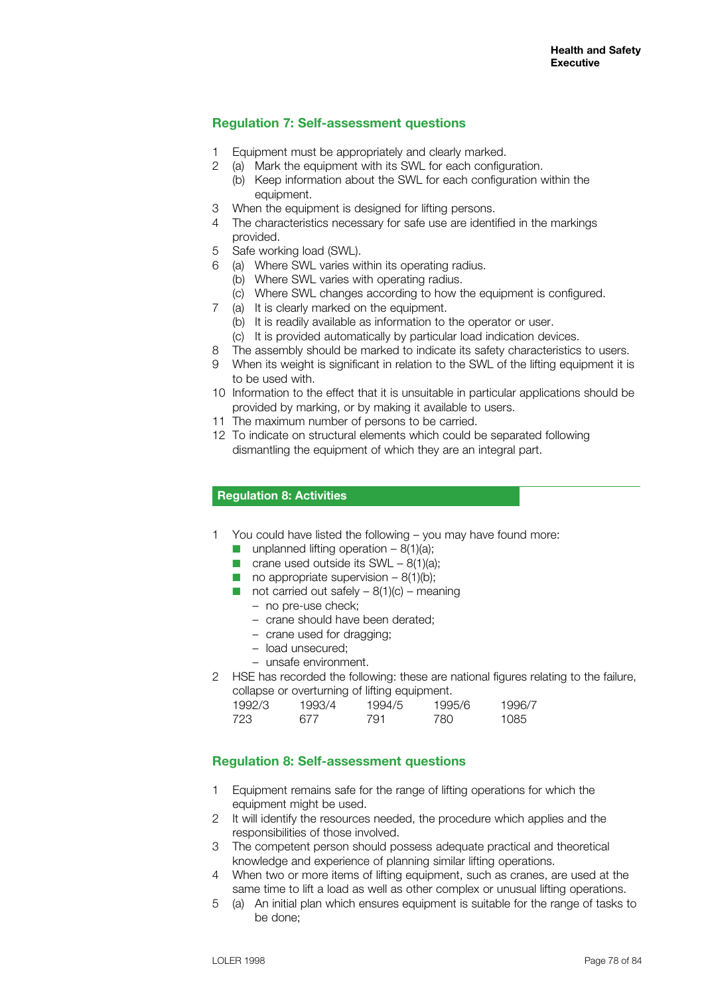## **Regulation 7: Self-assessment questions**

- Equipment must be appropriately and clearly marked.
- 2 (a) Mark the equipment with its SWL for each configuration.
	- (b) Keep information about the SWL for each configuration within the equipment.
- 3 When the equipment is designed for lifting persons.
- 4 The characteristics necessary for safe use are identified in the markings provided.
- 5 Safe working load (SWL).
- 6 (a) Where SWL varies within its operating radius.
	- (b) Where SWL varies with operating radius.
	- (c) Where SWL changes according to how the equipment is configured.
- 7 (a) It is clearly marked on the equipment.
	- (b) It is readily available as information to the operator or user.
	- (c) It is provided automatically by particular load indication devices.
- 8 The assembly should be marked to indicate its safety characteristics to users.
- 9 When its weight is significant in relation to the SWL of the lifting equipment it is to be used with.
- 10 Information to the effect that it is unsuitable in particular applications should be provided by marking, or by making it available to users.
- 11 The maximum number of persons to be carried.
- 12 To indicate on structural elements which could be separated following dismantling the equipment of which they are an integral part.

#### **Regulation 8: Activities**

- 1 You could have listed the following you may have found more:
	- **n** unplanned lifting operation  $8(1)(a)$ ;
	- **n** crane used outside its  $SWL 8(1)(a)$ ;
	- no appropriate supervision  $-8(1)(b)$ ;
	- not carried out safely  $8(1)(c)$  meaning
		- no pre-use check;
		- crane should have been derated;
		- crane used for dragging;
		- load unsecured;
		- unsafe environment.
- 2 HSE has recorded the following: these are national figures relating to the failure, collapse or overturning of lifting equipment.

| 1992/3 | 1993/4 | 1994/5 | 1995/6 | 1996/7 |
|--------|--------|--------|--------|--------|
| 723.   | 677    | 791    | 780    | 1085   |

## **Regulation 8: Self-assessment questions**

- 1 Equipment remains safe for the range of lifting operations for which the equipment might be used.
- 2 It will identify the resources needed, the procedure which applies and the responsibilities of those involved.
- 3 The competent person should possess adequate practical and theoretical knowledge and experience of planning similar lifting operations.
- 4 When two or more items of lifting equipment, such as cranes, are used at the same time to lift a load as well as other complex or unusual lifting operations.
- 5 (a) An initial plan which ensures equipment is suitable for the range of tasks to be done;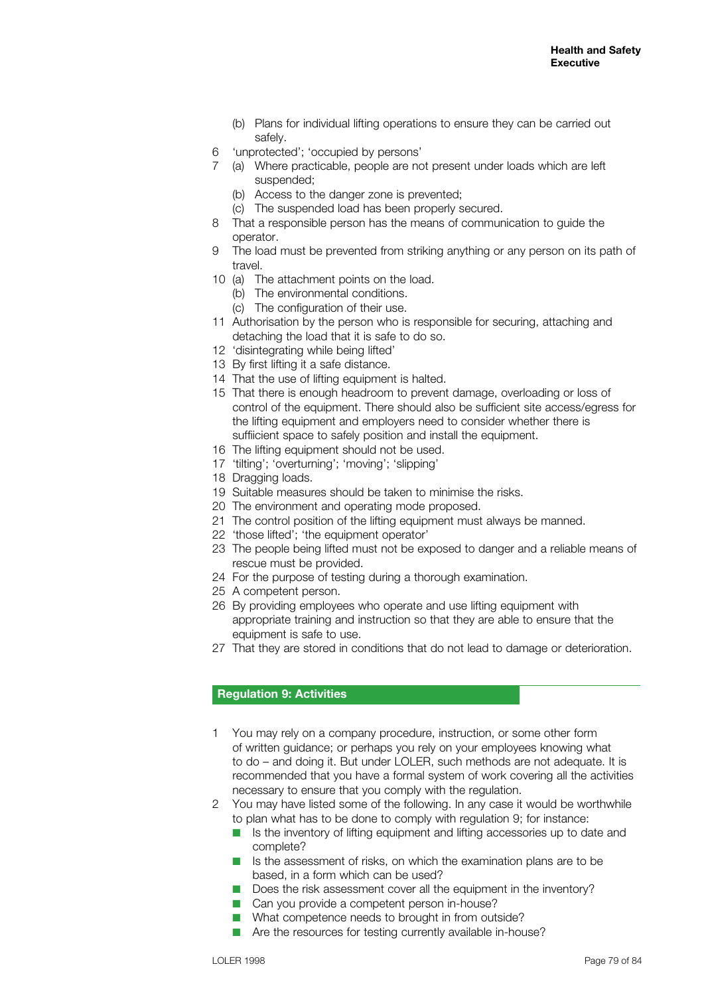- (b) Plans for individual lifting operations to ensure they can be carried out safely.
- 6 'unprotected'; 'occupied by persons'
- 7 (a) Where practicable, people are not present under loads which are left suspended;
	- (b) Access to the danger zone is prevented;
	- (c) The suspended load has been properly secured.
- 8 That a responsible person has the means of communication to guide the operator.
- 9 The load must be prevented from striking anything or any person on its path of travel.
- 10 (a) The attachment points on the load.
	- (b) The environmental conditions.
	- (c) The configuration of their use.
- 11 Authorisation by the person who is responsible for securing, attaching and detaching the load that it is safe to do so.
- 12 'disintegrating while being lifted'
- 13 By first lifting it a safe distance.
- 14 That the use of lifting equipment is halted.
- 15 That there is enough headroom to prevent damage, overloading or loss of control of the equipment. There should also be sufficient site access/egress for the lifting equipment and employers need to consider whether there is suffiicient space to safely position and install the equipment.
- 16 The lifting equipment should not be used.
- 17 'tilting'; 'overturning'; 'moving'; 'slipping'
- 18 Dragging loads.
- 19 Suitable measures should be taken to minimise the risks.
- 20 The environment and operating mode proposed.
- 21 The control position of the lifting equipment must always be manned.
- 22 'those lifted'; 'the equipment operator'
- 23 The people being lifted must not be exposed to danger and a reliable means of rescue must be provided.
- 24 For the purpose of testing during a thorough examination.
- 25 A competent person.
- 26 By providing employees who operate and use lifting equipment with appropriate training and instruction so that they are able to ensure that the equipment is safe to use.
- 27 That they are stored in conditions that do not lead to damage or deterioration.

#### **Regulation 9: Activities**

- 1 You may rely on a company procedure, instruction, or some other form of written guidance; or perhaps you rely on your employees knowing what to do – and doing it. But under LOLER, such methods are not adequate. It is recommended that you have a formal system of work covering all the activities necessary to ensure that you comply with the regulation.
- 2 You may have listed some of the following. In any case it would be worthwhile to plan what has to be done to comply with regulation 9; for instance:
	- $\blacksquare$  Is the inventory of lifting equipment and lifting accessories up to date and complete?
	- $\blacksquare$  Is the assessment of risks, on which the examination plans are to be based, in a form which can be used?
	- $\blacksquare$  Does the risk assessment cover all the equipment in the inventory?
	- $\blacksquare$  Can you provide a competent person in-house?
	- $\blacksquare$  What competence needs to brought in from outside?
	- $\blacksquare$  Are the resources for testing currently available in-house?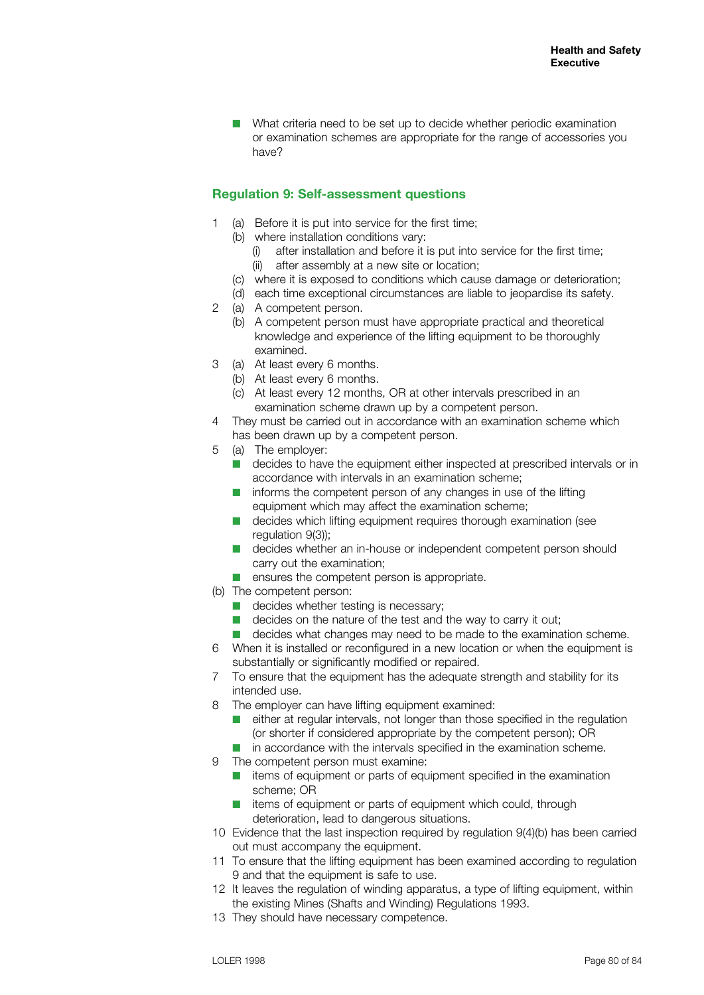$\blacksquare$  What criteria need to be set up to decide whether periodic examination or examination schemes are appropriate for the range of accessories you have?

## **Regulation 9: Self-assessment questions**

- 1 (a) Before it is put into service for the first time;
	- (b) where installation conditions vary:
		- (i) after installation and before it is put into service for the first time;
		- (ii) after assembly at a new site or location;
	- (c) where it is exposed to conditions which cause damage or deterioration;
	- (d) each time exceptional circumstances are liable to jeopardise its safety.
- 2 (a) A competent person.
	- (b) A competent person must have appropriate practical and theoretical knowledge and experience of the lifting equipment to be thoroughly examined.
- 3 (a) At least every 6 months.
	- (b) At least every 6 months.
	- (c) At least every 12 months, OR at other intervals prescribed in an examination scheme drawn up by a competent person.
- 4 They must be carried out in accordance with an examination scheme which has been drawn up by a competent person.
- 5 (a) The employer:
	- $\blacksquare$  decides to have the equipment either inspected at prescribed intervals or in accordance with intervals in an examination scheme;
	- $\blacksquare$  informs the competent person of any changes in use of the lifting equipment which may affect the examination scheme;
	- $\blacksquare$  decides which lifting equipment requires thorough examination (see regulation 9(3));
	- $\blacksquare$  decides whether an in-house or independent competent person should carry out the examination;
	- ensures the competent person is appropriate.
- (b) The competent person:
	- $\blacksquare$  decides whether testing is necessary:
	- $\blacksquare$  decides on the nature of the test and the way to carry it out;
	- $\blacksquare$  decides what changes may need to be made to the examination scheme.
- 6 When it is installed or reconfigured in a new location or when the equipment is substantially or significantly modified or repaired.
- 7 To ensure that the equipment has the adequate strength and stability for its intended use.
- 8 The employer can have lifting equipment examined:
	- $\blacksquare$  either at regular intervals, not longer than those specified in the regulation (or shorter if considered appropriate by the competent person); OR
	- $\blacksquare$  in accordance with the intervals specified in the examination scheme.
- 9 The competent person must examine:
	- $\blacksquare$  items of equipment or parts of equipment specified in the examination scheme; OR
	- items of equipment or parts of equipment which could, through deterioration, lead to dangerous situations.
- 10 Evidence that the last inspection required by regulation 9(4)(b) has been carried out must accompany the equipment.
- 11 To ensure that the lifting equipment has been examined according to regulation 9 and that the equipment is safe to use.
- 12 It leaves the regulation of winding apparatus, a type of lifting equipment, within the existing Mines (Shafts and Winding) Regulations 1993.
- 13 They should have necessary competence.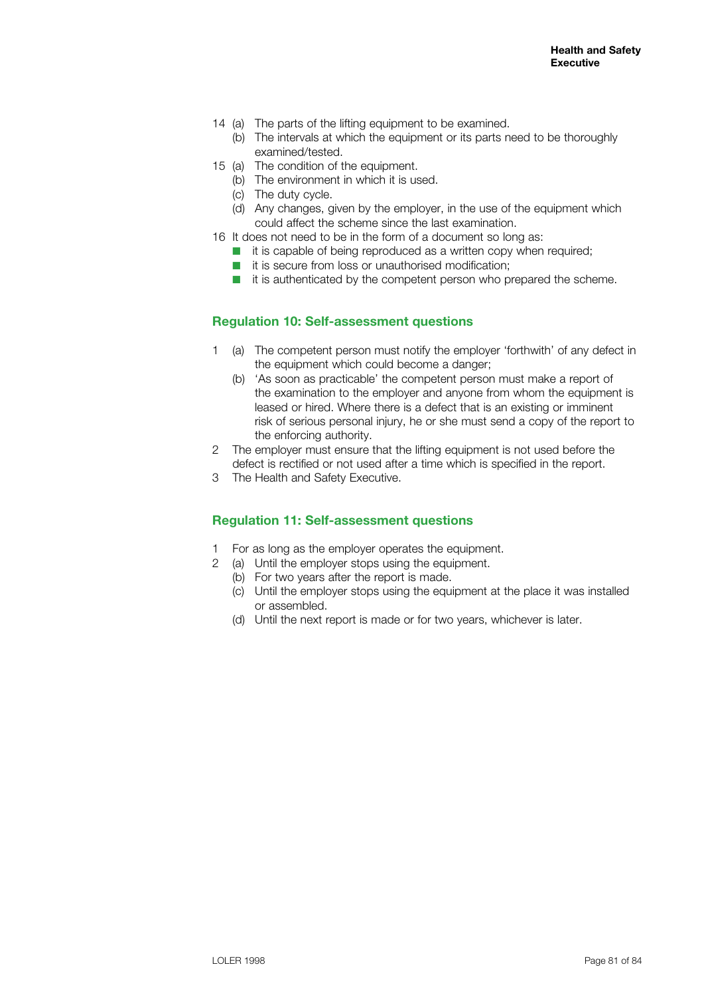- 14 (a) The parts of the lifting equipment to be examined.
	- (b) The intervals at which the equipment or its parts need to be thoroughly examined/tested.
- 15 (a) The condition of the equipment.
	- (b) The environment in which it is used.
	- (c) The duty cycle.
	- (d) Any changes, given by the employer, in the use of the equipment which could affect the scheme since the last examination.
- 16 It does not need to be in the form of a document so long as:
	- $\blacksquare$  it is capable of being reproduced as a written copy when required;
	- $\blacksquare$  it is secure from loss or unauthorised modification;
	- $\blacksquare$  it is authenticated by the competent person who prepared the scheme.

#### **Regulation 10: Self-assessment questions**

- 1 (a) The competent person must notify the employer 'forthwith' of any defect in the equipment which could become a danger;
	- (b) 'As soon as practicable' the competent person must make a report of the examination to the employer and anyone from whom the equipment is leased or hired. Where there is a defect that is an existing or imminent risk of serious personal injury, he or she must send a copy of the report to the enforcing authority.
- 2 The employer must ensure that the lifting equipment is not used before the defect is rectified or not used after a time which is specified in the report.
- 3 The Health and Safety Executive.

#### **Regulation 11: Self-assessment questions**

- For as long as the employer operates the equipment.
- 2 (a) Until the employer stops using the equipment.
	- (b) For two years after the report is made.
	- (c) Until the employer stops using the equipment at the place it was installed or assembled.
	- (d) Until the next report is made or for two years, whichever is later.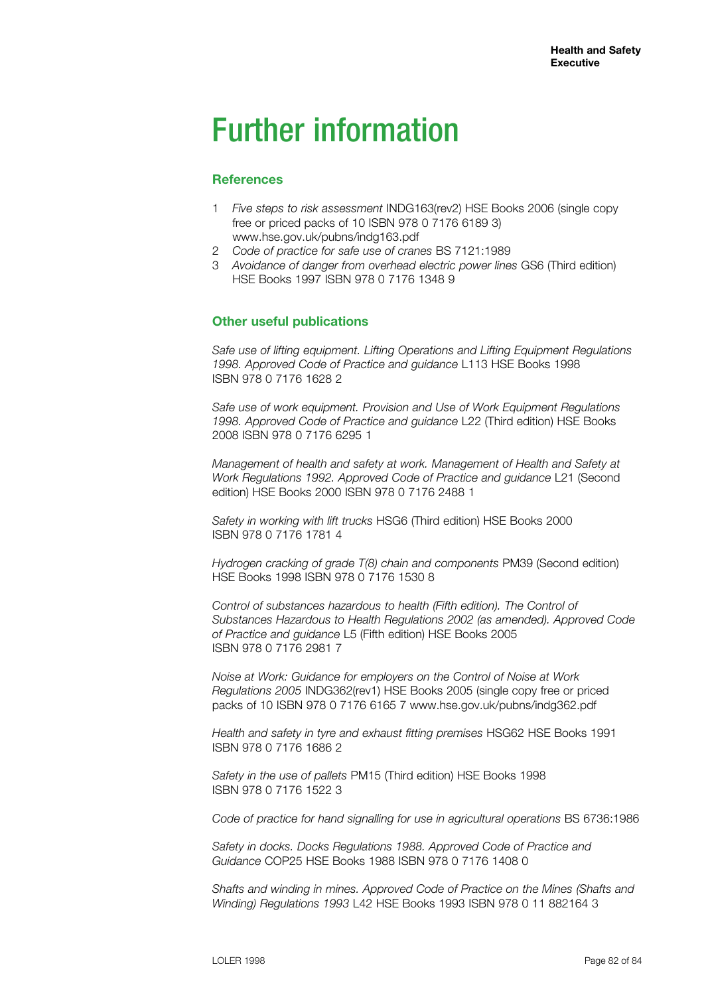## Further information

## **References**

- 1 *Five steps to risk assessment* INDG163(rev2) HSE Books 2006 (single copy free or priced packs of 10 ISBN 978 0 7176 6189 3) www.hse.gov.uk/pubns/indg163.pdf
- 2 *Code of practice for safe use of cranes* BS 7121:1989
- 3 *Avoidance of danger from overhead electric power lines* GS6 (Third edition) HSE Books 1997 ISBN 978 0 7176 1348 9

## **Other useful publications**

*Safe use of lifting equipment. Lifting Operations and Lifting Equipment Regulations 1998. Approved Code of Practice and guidance* L113 HSE Books 1998 ISBN 978 0 7176 1628 2

*Safe use of work equipment. Provision and Use of Work Equipment Regulations 1998. Approved Code of Practice and guidance* L22 (Third edition) HSE Books 2008 ISBN 978 0 7176 6295 1

*Management of health and safety at work. Management of Health and Safety at Work Regulations 1992. Approved Code of Practice and guidance* L21 (Second edition) HSE Books 2000 ISBN 978 0 7176 2488 1

*Safety in working with lift trucks* HSG6 (Third edition) HSE Books 2000 ISBN 978 0 7176 1781 4

*Hydrogen cracking of grade T(8) chain and components* PM39 (Second edition) HSE Books 1998 ISBN 978 0 7176 1530 8

*Control of substances hazardous to health (Fifth edition). The Control of Substances Hazardous to Health Regulations 2002 (as amended). Approved Code of Practice and guidance* L5 (Fifth edition) HSE Books 2005 ISBN 978 0 7176 2981 7

*Noise at Work: Guidance for employers on the Control of Noise at Work Regulations 2005* INDG362(rev1) HSE Books 2005 (single copy free or priced packs of 10 ISBN 978 0 7176 6165 7 www.hse.gov.uk/pubns/indg362.pdf

*Health and safety in tyre and exhaust fitting premises* HSG62 HSE Books 1991 ISBN 978 0 7176 1686 2

*Safety in the use of pallets* PM15 (Third edition) HSE Books 1998 ISBN 978 0 7176 1522 3

*Code of practice for hand signalling for use in agricultural operations* BS 6736:1986

*Safety in docks. Docks Regulations 1988. Approved Code of Practice and Guidance* COP25 HSE Books 1988 ISBN 978 0 7176 1408 0

*Shafts and winding in mines. Approved Code of Practice on the Mines (Shafts and Winding) Regulations 1993* L42 HSE Books 1993 ISBN 978 0 11 882164 3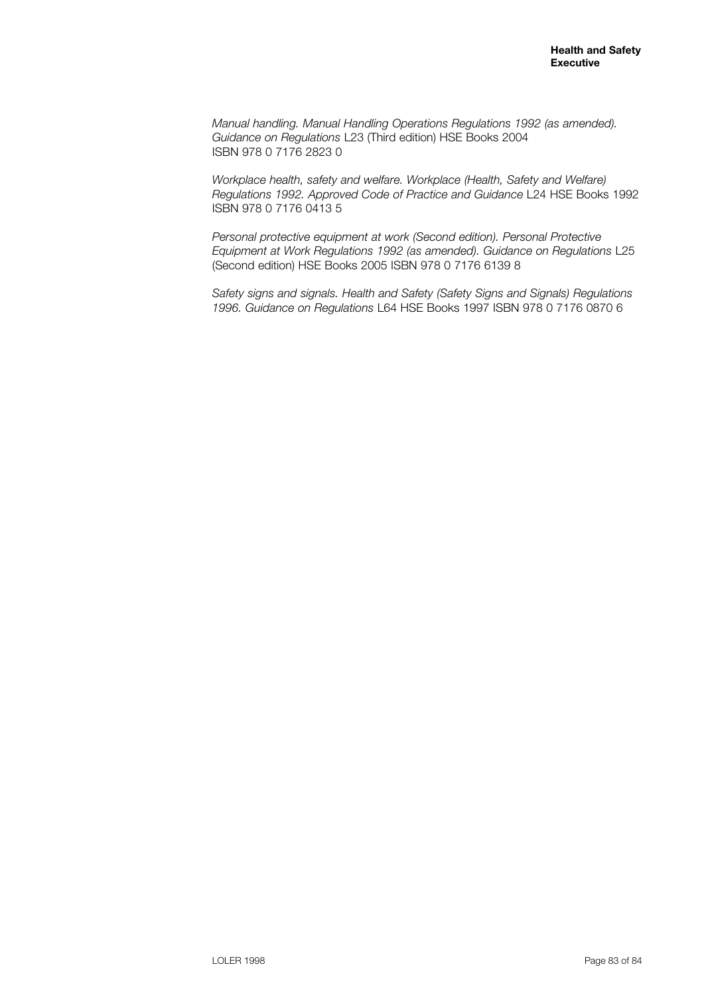*Manual handling. Manual Handling Operations Regulations 1992 (as amended). Guidance on Regulations* L23 (Third edition) HSE Books 2004 ISBN 978 0 7176 2823 0

*Workplace health, safety and welfare. Workplace (Health, Safety and Welfare) Regulations 1992. Approved Code of Practice and Guidance* L24 HSE Books 1992 ISBN 978 0 7176 0413 5

*Personal protective equipment at work (Second edition). Personal Protective Equipment at Work Regulations 1992 (as amended). Guidance on Regulations* L25 (Second edition) HSE Books 2005 ISBN 978 0 7176 6139 8

*Safety signs and signals. Health and Safety (Safety Signs and Signals) Regulations 1996. Guidance on Regulations* L64 HSE Books 1997 ISBN 978 0 7176 0870 6